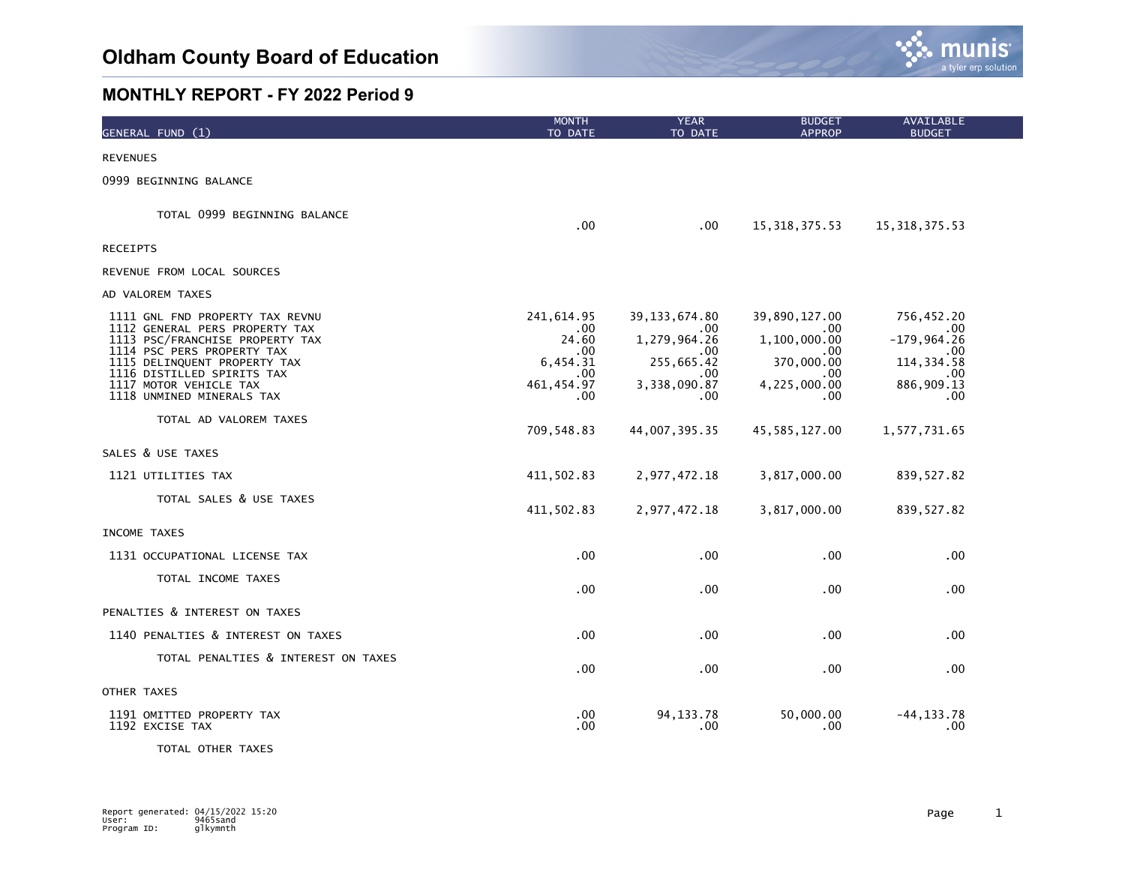

| GENERAL FUND (1)                                                                                                                                                                                                                                        | <b>MONTH</b><br>TO DATE                                                    | <b>YEAR</b><br>TO DATE                                                                    | <b>BUDGET</b><br><b>APPROP</b>                                                          | AVAILABLE<br><b>BUDGET</b>                                                           |  |
|---------------------------------------------------------------------------------------------------------------------------------------------------------------------------------------------------------------------------------------------------------|----------------------------------------------------------------------------|-------------------------------------------------------------------------------------------|-----------------------------------------------------------------------------------------|--------------------------------------------------------------------------------------|--|
| <b>REVENUES</b>                                                                                                                                                                                                                                         |                                                                            |                                                                                           |                                                                                         |                                                                                      |  |
| 0999 BEGINNING BALANCE                                                                                                                                                                                                                                  |                                                                            |                                                                                           |                                                                                         |                                                                                      |  |
| TOTAL 0999 BEGINNING BALANCE                                                                                                                                                                                                                            | $.00 \,$                                                                   | $.00 \,$                                                                                  | 15, 318, 375.53                                                                         | 15, 318, 375.53                                                                      |  |
| <b>RECEIPTS</b>                                                                                                                                                                                                                                         |                                                                            |                                                                                           |                                                                                         |                                                                                      |  |
| REVENUE FROM LOCAL SOURCES                                                                                                                                                                                                                              |                                                                            |                                                                                           |                                                                                         |                                                                                      |  |
| AD VALOREM TAXES                                                                                                                                                                                                                                        |                                                                            |                                                                                           |                                                                                         |                                                                                      |  |
| 1111 GNL FND PROPERTY TAX REVNU<br>1112 GENERAL PERS PROPERTY TAX<br>1113 PSC/FRANCHISE PROPERTY TAX<br>1114 PSC PERS PROPERTY TAX<br>1115 DELINQUENT PROPERTY TAX<br>1116 DISTILLED SPIRITS TAX<br>1117 MOTOR VEHICLE TAX<br>1118 UNMINED MINERALS TAX | 241,614.95<br>.00<br>24.60<br>.00<br>6,454.31<br>.00<br>461, 454.97<br>.00 | 39, 133, 674.80<br>.00<br>1,279,964.26<br>.00<br>255,665.42<br>.00<br>3,338,090.87<br>.00 | 39,890,127.00<br>.00<br>1,100,000.00<br>.00<br>370,000.00<br>.00<br>4,225,000.00<br>.00 | 756,452.20<br>.00<br>$-179,964.26$<br>.00<br>114, 334.58<br>.00<br>886,909.13<br>.00 |  |
| TOTAL AD VALOREM TAXES                                                                                                                                                                                                                                  | 709,548.83                                                                 | 44,007,395.35                                                                             | 45, 585, 127.00                                                                         | 1,577,731.65                                                                         |  |
| SALES & USE TAXES                                                                                                                                                                                                                                       |                                                                            |                                                                                           |                                                                                         |                                                                                      |  |
| 1121 UTILITIES TAX                                                                                                                                                                                                                                      | 411,502.83                                                                 | 2,977,472.18                                                                              | 3,817,000.00                                                                            | 839,527.82                                                                           |  |
| TOTAL SALES & USE TAXES                                                                                                                                                                                                                                 | 411,502.83                                                                 | 2,977,472.18                                                                              | 3,817,000.00                                                                            | 839, 527.82                                                                          |  |
| INCOME TAXES                                                                                                                                                                                                                                            |                                                                            |                                                                                           |                                                                                         |                                                                                      |  |
| 1131 OCCUPATIONAL LICENSE TAX                                                                                                                                                                                                                           | .00                                                                        | .00 <sub>1</sub>                                                                          | .00                                                                                     | .00.                                                                                 |  |
| TOTAL INCOME TAXES                                                                                                                                                                                                                                      | $.00 \,$                                                                   | .00 <sub>1</sub>                                                                          | .00                                                                                     | .00                                                                                  |  |
| PENALTIES & INTEREST ON TAXES                                                                                                                                                                                                                           |                                                                            |                                                                                           |                                                                                         |                                                                                      |  |
| 1140 PENALTIES & INTEREST ON TAXES                                                                                                                                                                                                                      | .00                                                                        | $.00 \,$                                                                                  | .00                                                                                     | .00                                                                                  |  |
| TOTAL PENALTIES & INTEREST ON TAXES                                                                                                                                                                                                                     | .00                                                                        | $.00 \,$                                                                                  | .00                                                                                     | .00                                                                                  |  |
| OTHER TAXES                                                                                                                                                                                                                                             |                                                                            |                                                                                           |                                                                                         |                                                                                      |  |
| 1191 OMITTED PROPERTY TAX<br>1192 EXCISE TAX                                                                                                                                                                                                            | .00<br>.00                                                                 | 94.133.78<br>.00                                                                          | 50,000.00<br>.00                                                                        | -44.133.78<br>.00                                                                    |  |

TOTAL OTHER TAXES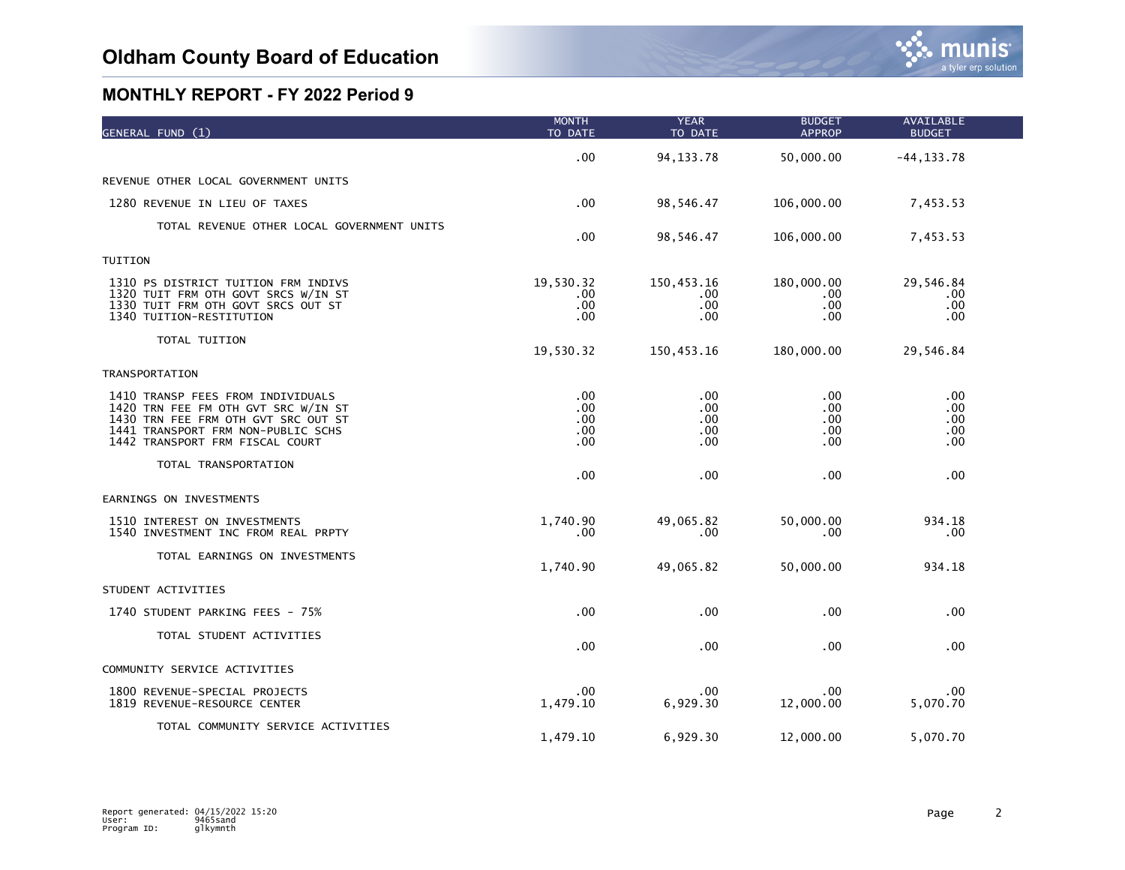| GENERAL FUND (1)                                                                                                                                                                         | <b>MONTH</b><br>TO DATE                | <b>YEAR</b><br>TO DATE          | <b>BUDGET</b><br><b>APPROP</b>       | <b>AVAILABLE</b><br><b>BUDGET</b> |  |
|------------------------------------------------------------------------------------------------------------------------------------------------------------------------------------------|----------------------------------------|---------------------------------|--------------------------------------|-----------------------------------|--|
|                                                                                                                                                                                          | $.00 \,$                               | 94, 133. 78                     | 50,000.00                            | $-44, 133.78$                     |  |
| REVENUE OTHER LOCAL GOVERNMENT UNITS                                                                                                                                                     |                                        |                                 |                                      |                                   |  |
| 1280 REVENUE IN LIEU OF TAXES                                                                                                                                                            | .00 <sub>1</sub>                       | 98,546.47                       | 106,000.00                           | 7,453.53                          |  |
| TOTAL REVENUE OTHER LOCAL GOVERNMENT UNITS                                                                                                                                               | .00                                    | 98,546.47                       | 106,000.00                           | 7,453.53                          |  |
| TUITION                                                                                                                                                                                  |                                        |                                 |                                      |                                   |  |
| 1310 PS DISTRICT TUITION FRM INDIVS<br>1320 TUIT FRM OTH GOVT SRCS W/IN ST<br>1330 TUIT FRM OTH GOVT SRCS OUT ST<br>1340 TUITION-RESTITUTION                                             | 19,530.32<br>.00.<br>.00<br>.00        | 150,453.16<br>.00<br>.00<br>.00 | 180,000.00<br>.00<br>$.00 \,$<br>.00 | 29,546.84<br>.00<br>.00<br>.00.   |  |
| TOTAL TUITION                                                                                                                                                                            | 19,530.32                              | 150,453.16                      | 180,000.00                           | 29,546.84                         |  |
| TRANSPORTATION                                                                                                                                                                           |                                        |                                 |                                      |                                   |  |
| 1410 TRANSP FEES FROM INDIVIDUALS<br>1420 TRN FEE FM OTH GVT SRC W/IN ST<br>1430 TRN FEE FRM OTH GVT SRC OUT ST<br>1441 TRANSPORT FRM NON-PUBLIC SCHS<br>1442 TRANSPORT FRM FISCAL COURT | .00<br>.00<br>$.00 \,$<br>.00.<br>.00. | .00<br>.00<br>.00<br>.00<br>.00 | .00<br>.00<br>.00.<br>.00.<br>.00    | .00<br>.00<br>.00<br>.00<br>.00   |  |
| TOTAL TRANSPORTATION                                                                                                                                                                     | .00                                    | .00                             | .00.                                 | .00                               |  |
| EARNINGS ON INVESTMENTS                                                                                                                                                                  |                                        |                                 |                                      |                                   |  |
| 1510 INTEREST ON INVESTMENTS<br>1540 INVESTMENT INC FROM REAL PRPTY                                                                                                                      | 1,740.90<br>.00                        | 49,065.82<br>.00                | 50,000.00<br>.00.                    | 934.18<br>.00                     |  |
| TOTAL EARNINGS ON INVESTMENTS                                                                                                                                                            | 1,740.90                               | 49,065.82                       | 50,000.00                            | 934.18                            |  |
| STUDENT ACTIVITIES                                                                                                                                                                       |                                        |                                 |                                      |                                   |  |
| 1740 STUDENT PARKING FEES - 75%                                                                                                                                                          | .00                                    | .00                             | .00                                  | .00.                              |  |
| TOTAL STUDENT ACTIVITIES                                                                                                                                                                 | .00                                    | .00                             | .00                                  | .00.                              |  |
| COMMUNITY SERVICE ACTIVITIES                                                                                                                                                             |                                        |                                 |                                      |                                   |  |
| 1800 REVENUE-SPECIAL PROJECTS<br>1819 REVENUE-RESOURCE CENTER                                                                                                                            | $.00 \,$<br>1,479.10                   | .00<br>6,929.30                 | .00.<br>12,000.00                    | .00<br>5,070.70                   |  |
| TOTAL COMMUNITY SERVICE ACTIVITIES                                                                                                                                                       | 1,479.10                               | 6,929.30                        | 12,000.00                            | 5,070.70                          |  |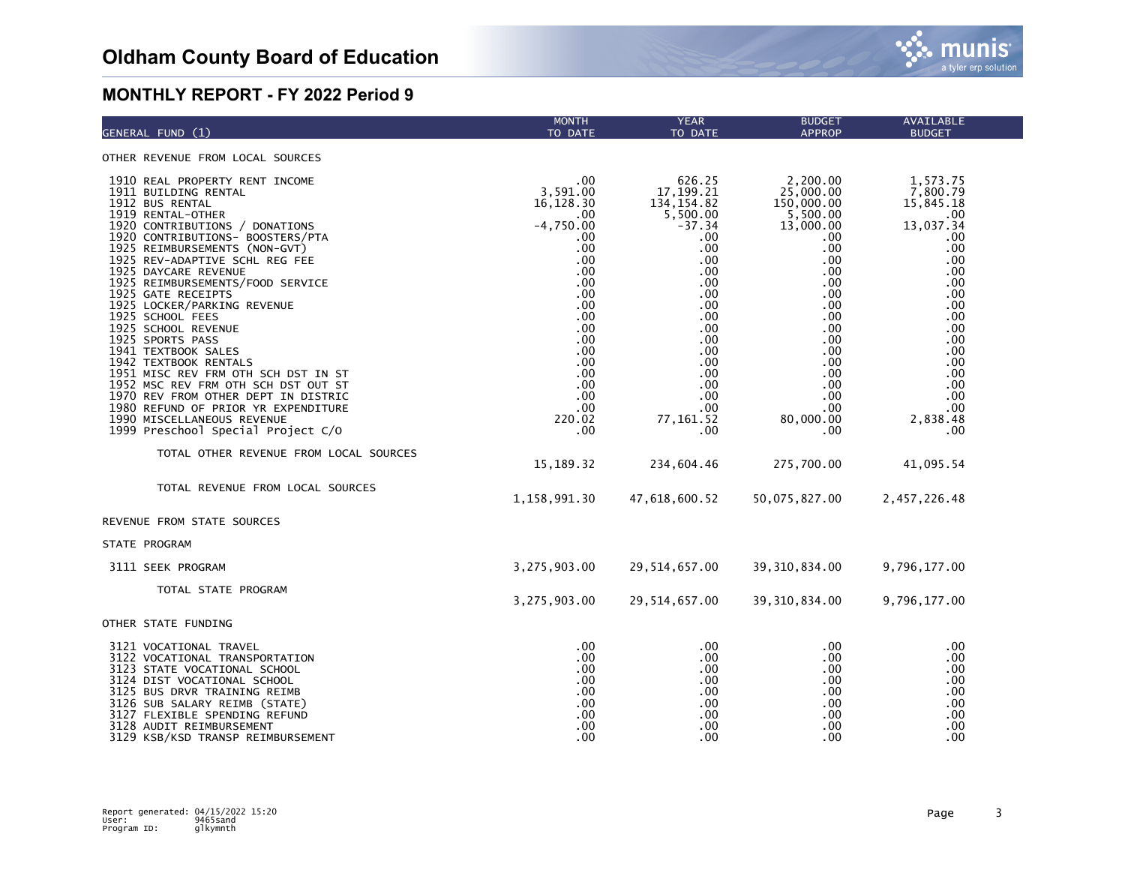| GENERAL FUND (1)                                                                                                                                                                                                                                                                                                                                                                                                                                                                                                                                                                                                                                                                                        | <b>MONTH</b><br>TO DATE                                                                                                                                                             | <b>YEAR</b><br>TO DATE                                                                                                                                                                          | <b>BUDGET</b><br><b>APPROP</b>                                                                                                                                                                           | AVAILABLE<br><b>BUDGET</b>                                                                                                                                                                  |
|---------------------------------------------------------------------------------------------------------------------------------------------------------------------------------------------------------------------------------------------------------------------------------------------------------------------------------------------------------------------------------------------------------------------------------------------------------------------------------------------------------------------------------------------------------------------------------------------------------------------------------------------------------------------------------------------------------|-------------------------------------------------------------------------------------------------------------------------------------------------------------------------------------|-------------------------------------------------------------------------------------------------------------------------------------------------------------------------------------------------|----------------------------------------------------------------------------------------------------------------------------------------------------------------------------------------------------------|---------------------------------------------------------------------------------------------------------------------------------------------------------------------------------------------|
| OTHER REVENUE FROM LOCAL SOURCES                                                                                                                                                                                                                                                                                                                                                                                                                                                                                                                                                                                                                                                                        |                                                                                                                                                                                     |                                                                                                                                                                                                 |                                                                                                                                                                                                          |                                                                                                                                                                                             |
| 1910 REAL PROPERTY RENT INCOME<br>1911 BUILDING RENTAL<br>1912 BUS RENTAL<br>1919 RENTAL-OTHER<br>1920 CONTRIBUTIONS / DONATIONS<br>1920 CONTRIBUTIONS- BOOSTERS/PTA<br>1925 REIMBURSEMENTS (NON-GVT)<br>1925 REV-ADAPTIVE SCHL REG FEE<br>1925 DAYCARE REVENUE<br>1925 REIMBURSEMENTS/FOOD SERVICE<br>1925 GATE RECEIPTS<br>1925 LOCKER/PARKING REVENUE<br>1925 SCHOOL FEES<br>1925 SCHOOL REVENUE<br>1925 SPORTS PASS<br>1941 TEXTBOOK SALES<br>1942 TEXTBOOK RENTALS<br>1951 MISC REV FRM OTH SCH DST IN ST<br>1952 MSC REV FRM OTH SCH DST OUT ST<br>1970 REV FROM OTHER DEPT IN DISTRIC<br>1980 REFUND OF PRIOR YR EXPENDITURE<br>1990 MISCELLANEOUS REVENUE<br>1999 Preschool Special Project C/O | .00<br>3.591.00<br>16,128.30<br>.00<br>$-4,750.00$<br>.00<br>.00<br>.00<br>.00<br>.00<br>.00<br>.00<br>.00<br>.00<br>.00<br>.00<br>.00<br>.00<br>.00<br>.00<br>.00<br>220.02<br>.00 | 626.25<br>17,199.21<br>134, 154.82<br>5,500.00<br>$-37.34$<br>.00<br>.00<br>.00<br>.00<br>.00<br>.00<br>.00<br>.00<br>.00<br>.00<br>.00<br>.00<br>.00<br>.00<br>.00<br>.00<br>77, 161.52<br>.00 | 2,200.00<br>25,000.00<br>150,000.00<br>5,500.00<br>13,000.00<br>.00<br>.00.<br>.00<br>.00<br>.00.<br>.00<br>.00.<br>.00<br>.00<br>.00.<br>.00.<br>.00<br>.00.<br>.00.<br>.00.<br>.00<br>80,000.00<br>.00 | 1,573.75<br>7,800.79<br>15,845.18<br>.00.<br>13,037.34<br>.00<br>.00.<br>.00<br>.00<br>.00<br>.00<br>.00<br>.00<br>.00<br>.00<br>.00<br>.00<br>.00<br>.00<br>.00<br>.00.<br>2,838.48<br>.00 |
| TOTAL OTHER REVENUE FROM LOCAL SOURCES                                                                                                                                                                                                                                                                                                                                                                                                                                                                                                                                                                                                                                                                  | 15,189.32                                                                                                                                                                           | 234,604.46                                                                                                                                                                                      | 275,700.00                                                                                                                                                                                               | 41,095.54                                                                                                                                                                                   |
| TOTAL REVENUE FROM LOCAL SOURCES                                                                                                                                                                                                                                                                                                                                                                                                                                                                                                                                                                                                                                                                        | 1,158,991.30                                                                                                                                                                        | 47,618,600.52                                                                                                                                                                                   | 50,075,827.00                                                                                                                                                                                            | 2,457,226.48                                                                                                                                                                                |
| REVENUE FROM STATE SOURCES                                                                                                                                                                                                                                                                                                                                                                                                                                                                                                                                                                                                                                                                              |                                                                                                                                                                                     |                                                                                                                                                                                                 |                                                                                                                                                                                                          |                                                                                                                                                                                             |
| STATE PROGRAM                                                                                                                                                                                                                                                                                                                                                                                                                                                                                                                                                                                                                                                                                           |                                                                                                                                                                                     |                                                                                                                                                                                                 |                                                                                                                                                                                                          |                                                                                                                                                                                             |
| 3111 SEEK PROGRAM                                                                                                                                                                                                                                                                                                                                                                                                                                                                                                                                                                                                                                                                                       | 3,275,903.00                                                                                                                                                                        | 29,514,657.00                                                                                                                                                                                   | 39, 310, 834.00                                                                                                                                                                                          | 9,796,177.00                                                                                                                                                                                |
| TOTAL STATE PROGRAM                                                                                                                                                                                                                                                                                                                                                                                                                                                                                                                                                                                                                                                                                     | 3,275,903.00                                                                                                                                                                        | 29,514,657.00                                                                                                                                                                                   | 39, 310, 834.00                                                                                                                                                                                          | 9,796,177.00                                                                                                                                                                                |
| OTHER STATE FUNDING                                                                                                                                                                                                                                                                                                                                                                                                                                                                                                                                                                                                                                                                                     |                                                                                                                                                                                     |                                                                                                                                                                                                 |                                                                                                                                                                                                          |                                                                                                                                                                                             |
| 3121 VOCATIONAL TRAVEL<br>3122 VOCATIONAL TRANSPORTATION<br>3123 STATE VOCATIONAL SCHOOL<br>3124 DIST VOCATIONAL SCHOOL<br>3125 BUS DRVR TRAINING REIMB<br>3126 SUB SALARY REIMB (STATE)<br>3127 FLEXIBLE SPENDING REFUND<br>3128 AUDIT REIMBURSEMENT<br>3129 KSB/KSD TRANSP REIMBURSEMENT                                                                                                                                                                                                                                                                                                                                                                                                              | .00<br>.00.<br>.00<br>.00<br>.00<br>.00<br>.00<br>.00<br>.00                                                                                                                        | .00<br>.00<br>.00<br>.00<br>.00<br>.00<br>.00<br>.00<br>.00                                                                                                                                     | .00<br>.00<br>.00.<br>.00.<br>.00.<br>.00<br>.00<br>.00<br>.00                                                                                                                                           | .00<br>.00<br>.00<br>.00<br>.00<br>.00<br>.00<br>.00<br>.00                                                                                                                                 |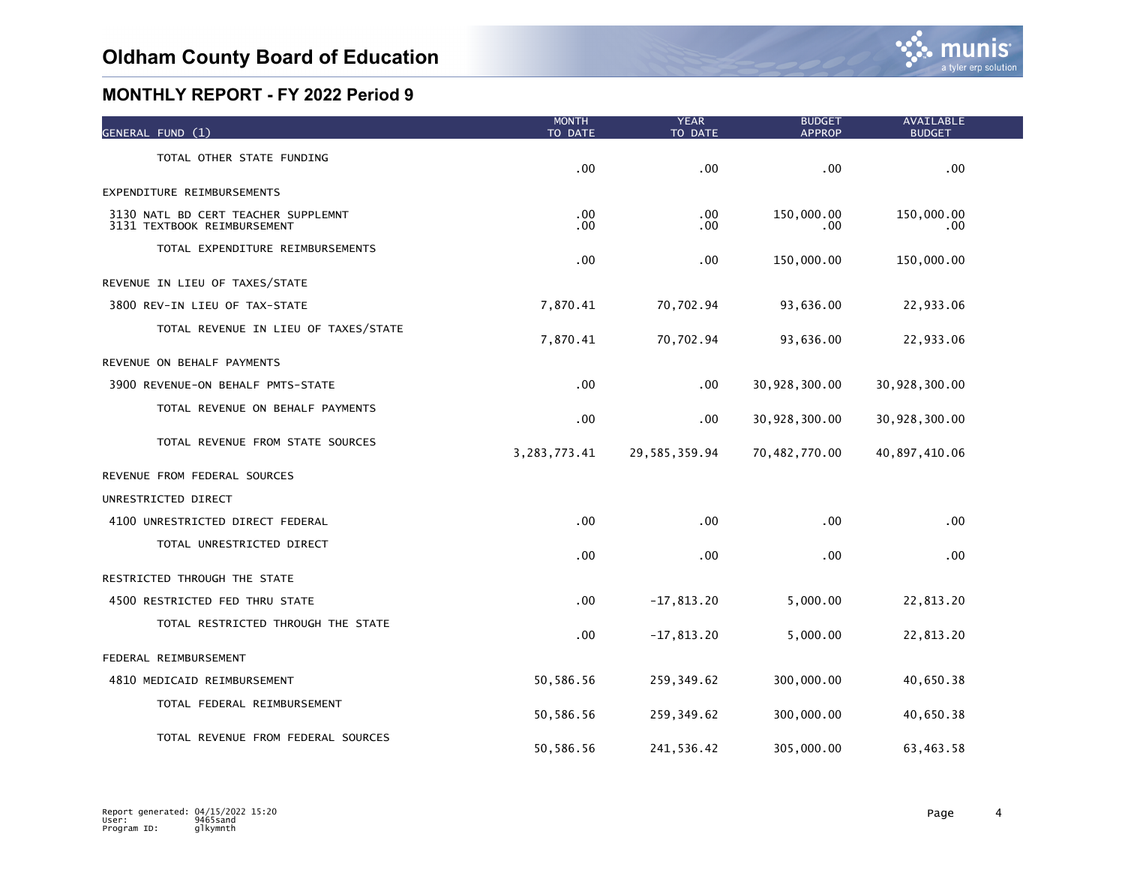| GENERAL FUND (1)                                                   | <b>MONTH</b><br>TO DATE | <b>YEAR</b><br>TO DATE | <b>BUDGET</b><br><b>APPROP</b> | AVAILABLE<br><b>BUDGET</b> |  |
|--------------------------------------------------------------------|-------------------------|------------------------|--------------------------------|----------------------------|--|
| TOTAL OTHER STATE FUNDING                                          | .00                     | .00                    | .00                            | .00                        |  |
| EXPENDITURE REIMBURSEMENTS                                         |                         |                        |                                |                            |  |
| 3130 NATL BD CERT TEACHER SUPPLEMNT<br>3131 TEXTBOOK REIMBURSEMENT | .00<br>.00              | .00<br>$.00 \,$        | 150,000.00<br>.00              | 150,000.00<br>.00.         |  |
| TOTAL EXPENDITURE REIMBURSEMENTS                                   | .00                     | .00 <sub>1</sub>       | 150,000.00                     | 150,000.00                 |  |
| REVENUE IN LIEU OF TAXES/STATE                                     |                         |                        |                                |                            |  |
| 3800 REV-IN LIEU OF TAX-STATE                                      | 7,870.41                | 70,702.94              | 93,636.00                      | 22,933.06                  |  |
| TOTAL REVENUE IN LIEU OF TAXES/STATE                               | 7,870.41                | 70,702.94              | 93,636.00                      | 22,933.06                  |  |
| REVENUE ON BEHALF PAYMENTS                                         |                         |                        |                                |                            |  |
| 3900 REVENUE-ON BEHALF PMTS-STATE                                  | .00                     | $.00 \,$               | 30,928,300.00                  | 30,928,300.00              |  |
| TOTAL REVENUE ON BEHALF PAYMENTS                                   | .00                     | .00                    | 30,928,300.00                  | 30,928,300.00              |  |
| TOTAL REVENUE FROM STATE SOURCES                                   | 3, 283, 773. 41         | 29,585,359.94          | 70,482,770.00                  | 40,897,410.06              |  |
| REVENUE FROM FEDERAL SOURCES                                       |                         |                        |                                |                            |  |
| UNRESTRICTED DIRECT                                                |                         |                        |                                |                            |  |
| 4100 UNRESTRICTED DIRECT FEDERAL                                   | .00                     | $.00 \,$               | .00                            | $.00 \,$                   |  |
| TOTAL UNRESTRICTED DIRECT                                          | .00                     | $.00 \,$               | .00                            | .00                        |  |
| RESTRICTED THROUGH THE STATE                                       |                         |                        |                                |                            |  |
| 4500 RESTRICTED FED THRU STATE                                     | .00                     | $-17,813.20$           | 5,000.00                       | 22,813.20                  |  |
| TOTAL RESTRICTED THROUGH THE STATE                                 | .00                     | $-17,813.20$           | 5,000.00                       | 22,813.20                  |  |
| FEDERAL REIMBURSEMENT                                              |                         |                        |                                |                            |  |
| 4810 MEDICAID REIMBURSEMENT                                        | 50,586.56               | 259, 349.62            | 300,000.00                     | 40,650.38                  |  |
| TOTAL FEDERAL REIMBURSEMENT                                        | 50,586.56               | 259, 349.62            | 300,000.00                     | 40,650.38                  |  |
| TOTAL REVENUE FROM FEDERAL SOURCES                                 | 50,586.56               | 241,536.42             | 305,000.00                     | 63,463.58                  |  |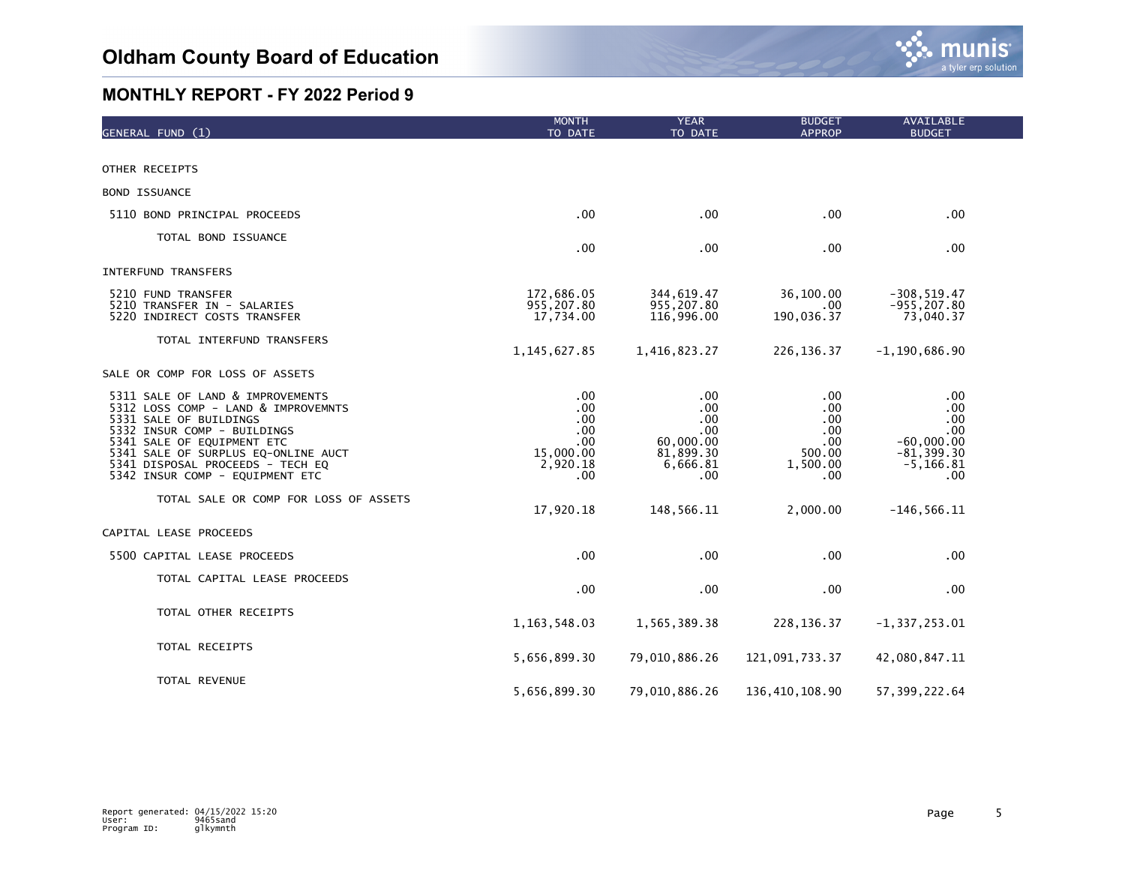

| GENERAL FUND (1)                                                                                                                                                                                                                                                             | <b>MONTH</b><br>TO DATE                                         | <b>YEAR</b><br>TO DATE                                                | <b>BUDGET</b><br><b>APPROP</b>                                | AVAILABLE<br><b>BUDGET</b>                                                         |  |
|------------------------------------------------------------------------------------------------------------------------------------------------------------------------------------------------------------------------------------------------------------------------------|-----------------------------------------------------------------|-----------------------------------------------------------------------|---------------------------------------------------------------|------------------------------------------------------------------------------------|--|
|                                                                                                                                                                                                                                                                              |                                                                 |                                                                       |                                                               |                                                                                    |  |
| OTHER RECEIPTS                                                                                                                                                                                                                                                               |                                                                 |                                                                       |                                                               |                                                                                    |  |
| <b>BOND ISSUANCE</b>                                                                                                                                                                                                                                                         |                                                                 |                                                                       |                                                               |                                                                                    |  |
| 5110 BOND PRINCIPAL PROCEEDS                                                                                                                                                                                                                                                 | .00 <sub>1</sub>                                                | .00                                                                   | .00                                                           | .00                                                                                |  |
| TOTAL BOND ISSUANCE                                                                                                                                                                                                                                                          | .00                                                             | .00                                                                   | .00                                                           | .00                                                                                |  |
| <b>INTERFUND TRANSFERS</b>                                                                                                                                                                                                                                                   |                                                                 |                                                                       |                                                               |                                                                                    |  |
| 5210 FUND TRANSFER<br>5210 TRANSFER IN - SALARIES<br>5220 INDIRECT COSTS TRANSFER                                                                                                                                                                                            | 172,686.05<br>955,207.80<br>17,734.00                           | 344,619.47<br>955,207.80<br>116,996.00                                | 36,100.00<br>.00.<br>190,036.37                               | $-308, 519.47$<br>$-955, 207.80$<br>73,040.37                                      |  |
| TOTAL INTERFUND TRANSFERS                                                                                                                                                                                                                                                    | 1, 145, 627.85                                                  | 1,416,823.27                                                          | 226, 136.37                                                   | $-1, 190, 686.90$                                                                  |  |
| SALE OR COMP FOR LOSS OF ASSETS                                                                                                                                                                                                                                              |                                                                 |                                                                       |                                                               |                                                                                    |  |
| 5311 SALE OF LAND & IMPROVEMENTS<br>5312 LOSS COMP - LAND & IMPROVEMNTS<br>5331 SALE OF BUILDINGS<br>5332 INSUR COMP - BUILDINGS<br>5341 SALE OF EQUIPMENT ETC<br>5341 SALE OF SURPLUS EQ-ONLINE AUCT<br>5341 DISPOSAL PROCEEDS - TECH EQ<br>5342 INSUR COMP - EQUIPMENT ETC | .00<br>.00<br>.00<br>.00<br>.00<br>15,000.00<br>2,920.18<br>.00 | .00<br>.00<br>.00<br>.00<br>60,000.00<br>81,899.30<br>6,666.81<br>.00 | .00.<br>.00<br>.00<br>.00<br>.00<br>500.00<br>1,500.00<br>.00 | .00.<br>.00<br>.00<br>.00.<br>$-60.000.00$<br>$-81, 399.30$<br>$-5, 166.81$<br>.00 |  |
| TOTAL SALE OR COMP FOR LOSS OF ASSETS                                                                                                                                                                                                                                        | 17,920.18                                                       | 148,566.11                                                            | 2,000.00                                                      | $-146, 566.11$                                                                     |  |
| CAPITAL LEASE PROCEEDS                                                                                                                                                                                                                                                       |                                                                 |                                                                       |                                                               |                                                                                    |  |
| 5500 CAPITAL LEASE PROCEEDS                                                                                                                                                                                                                                                  | .00                                                             | .00                                                                   | .00                                                           | .00                                                                                |  |
| TOTAL CAPITAL LEASE PROCEEDS                                                                                                                                                                                                                                                 | .00                                                             | .00                                                                   | .00                                                           | .00                                                                                |  |
| TOTAL OTHER RECEIPTS                                                                                                                                                                                                                                                         | 1, 163, 548.03                                                  | 1,565,389.38                                                          | 228, 136.37                                                   | $-1, 337, 253.01$                                                                  |  |
| TOTAL RECEIPTS                                                                                                                                                                                                                                                               | 5,656,899.30                                                    | 79,010,886.26                                                         | 121,091,733.37                                                | 42,080,847.11                                                                      |  |
| TOTAL REVENUE                                                                                                                                                                                                                                                                | 5,656,899.30                                                    | 79,010,886.26                                                         | 136,410,108.90                                                | 57, 399, 222.64                                                                    |  |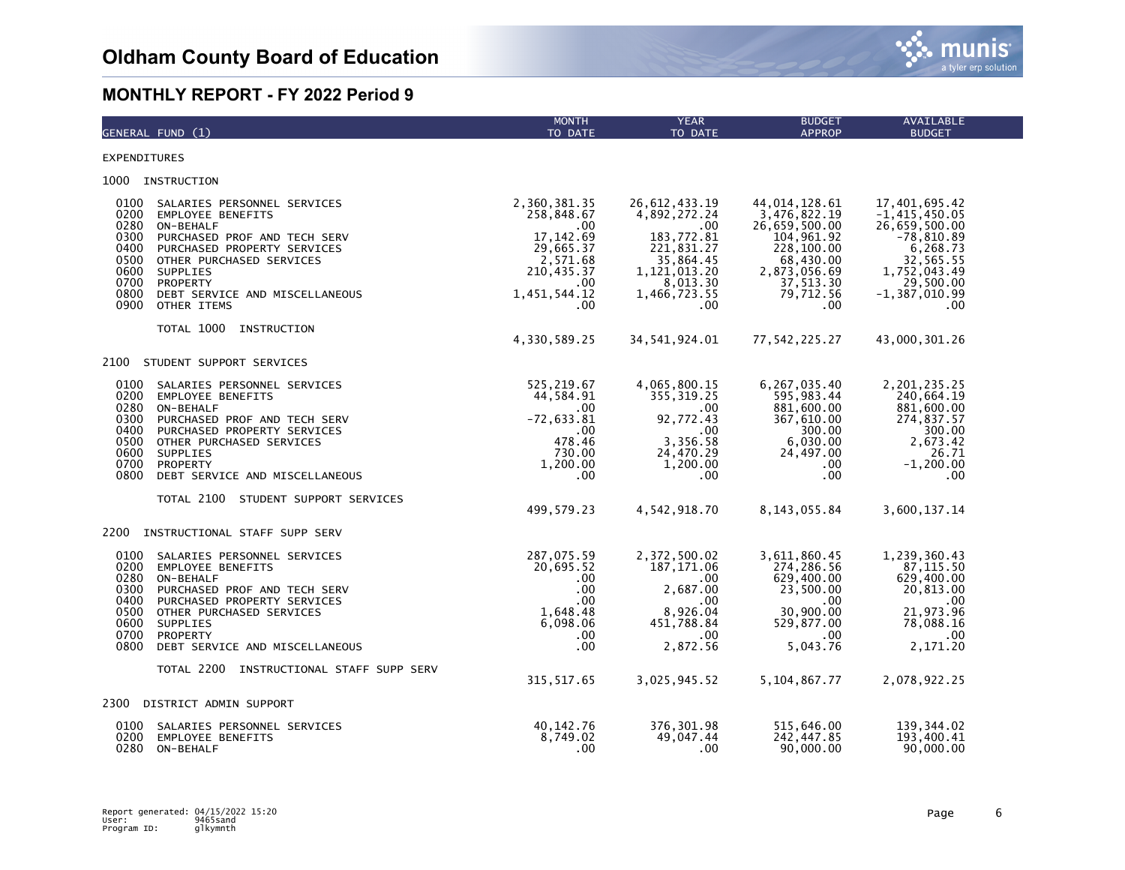

| GENERAL FUND (1)                                                                                                                                                                                                                                                                                                         | <b>MONTH</b><br>TO DATE                                                                                               | <b>YEAR</b><br>TO DATE                                                                                                                  | <b>BUDGET</b><br><b>APPROP</b>                                                                                                           | AVAILABLE<br><b>BUDGET</b>                                                                                                                          |
|--------------------------------------------------------------------------------------------------------------------------------------------------------------------------------------------------------------------------------------------------------------------------------------------------------------------------|-----------------------------------------------------------------------------------------------------------------------|-----------------------------------------------------------------------------------------------------------------------------------------|------------------------------------------------------------------------------------------------------------------------------------------|-----------------------------------------------------------------------------------------------------------------------------------------------------|
| <b>EXPENDITURES</b>                                                                                                                                                                                                                                                                                                      |                                                                                                                       |                                                                                                                                         |                                                                                                                                          |                                                                                                                                                     |
| 1000 INSTRUCTION                                                                                                                                                                                                                                                                                                         |                                                                                                                       |                                                                                                                                         |                                                                                                                                          |                                                                                                                                                     |
| 0100<br>SALARIES PERSONNEL SERVICES<br>0200<br>EMPLOYEE BENEFITS<br>0280<br>ON-BEHALF<br>0300<br>PURCHASED PROF AND TECH SERV<br>0400<br>PURCHASED PROPERTY SERVICES<br>0500<br>OTHER PURCHASED SERVICES<br>0600<br><b>SUPPLIES</b><br>0700<br>PROPERTY<br>0800<br>DEBT SERVICE AND MISCELLANEOUS<br>0900<br>OTHER ITEMS | 2,360,381.35<br>258,848.67<br>.00<br>17, 142.69<br>29,665.37<br>2,571.68<br>210,435.37<br>.00.<br>1,451,544.12<br>.00 | 26,612,433.19<br>4,892,272.24<br>$.00 \,$<br>183,772.81<br>221,831.27<br>35,864.45<br>1, 121, 013.20<br>8,013.30<br>1,466,723.55<br>.00 | 44,014,128.61<br>3,476,822.19<br>26,659,500.00<br>104,961.92<br>228,100.00<br>68,430.00<br>2,873,056.69<br>37,513.30<br>79,712.56<br>.00 | 17,401,695.42<br>$-1,415,450.05$<br>26,659,500.00<br>$-78,810.89$<br>6,268.73<br>32,565.55<br>1,752,043.49<br>29,500.00<br>$-1, 387, 010.99$<br>.00 |
| TOTAL 1000<br>INSTRUCTION                                                                                                                                                                                                                                                                                                | 4,330,589.25                                                                                                          | 34, 541, 924.01                                                                                                                         | 77,542,225.27                                                                                                                            | 43,000,301.26                                                                                                                                       |
| 2100<br>STUDENT SUPPORT SERVICES                                                                                                                                                                                                                                                                                         |                                                                                                                       |                                                                                                                                         |                                                                                                                                          |                                                                                                                                                     |
| 0100<br>SALARIES PERSONNEL SERVICES<br>0200<br><b>EMPLOYEE BENEFITS</b><br>0280<br>ON-BEHALF<br>0300<br>PURCHASED PROF AND TECH SERV<br>0400<br>PURCHASED PROPERTY SERVICES<br>0500<br>OTHER PURCHASED SERVICES<br>0600<br>SUPPLIES<br>0700<br>PROPERTY<br>0800<br>DEBT SERVICE AND MISCELLANEOUS                        | 525,219.67<br>44,584.91<br>.00.<br>$-72,633.81$<br>.00<br>478.46<br>730.00<br>1,200.00<br>.00.                        | 4,065,800.15<br>355, 319.25<br>$.00 \,$<br>92,772.43<br>$.00 \,$<br>3,356.58<br>24,470.29<br>1,200.00<br>.00.                           | 6,267,035.40<br>595,983.44<br>881,600.00<br>367,610.00<br>300.00<br>6,030.00<br>24,497.00<br>.00.<br>.00                                 | 2,201,235.25<br>240,664.19<br>881,600.00<br>274,837.57<br>300.00<br>2,673.42<br>26.71<br>$-1,200.00$<br>.00                                         |
| TOTAL 2100 STUDENT SUPPORT SERVICES                                                                                                                                                                                                                                                                                      | 499,579.23                                                                                                            | 4,542,918.70                                                                                                                            | 8, 143, 055.84                                                                                                                           | 3,600,137.14                                                                                                                                        |
| 2200<br>INSTRUCTIONAL STAFF SUPP SERV                                                                                                                                                                                                                                                                                    |                                                                                                                       |                                                                                                                                         |                                                                                                                                          |                                                                                                                                                     |
| 0100<br>SALARIES PERSONNEL SERVICES<br>0200<br><b>EMPLOYEE BENEFITS</b><br>0280<br>ON-BEHALF<br>0300<br>PURCHASED PROF AND TECH SERV<br>0400<br>PURCHASED PROPERTY SERVICES<br>0500<br>OTHER PURCHASED SERVICES<br>0600<br>SUPPLIES<br>0700<br>PROPERTY<br>0800<br>DEBT SERVICE AND MISCELLANEOUS                        | 287,075.59<br>20,695.52<br>$.00 \,$<br>.00.<br>$.00 \,$<br>1,648.48<br>6,098.06<br>.00.<br>$.00 \,$                   | 2,372,500.02<br>187, 171.06<br>.00<br>2,687.00<br>.00<br>8,926.04<br>451,788.84<br>$.00 \,$<br>2,872.56                                 | 3,611,860.45<br>274,286.56<br>629,400.00<br>23,500.00<br>$.00 \,$<br>30,900.00<br>529,877.00<br>$.00 \,$<br>5,043.76                     | 1,239,360.43<br>87, 115.50<br>629,400.00<br>20,813.00<br>.00<br>21,973.96<br>78,088.16<br>.00<br>2,171.20                                           |
| TOTAL 2200 INSTRUCTIONAL STAFF SUPP SERV                                                                                                                                                                                                                                                                                 | 315,517.65                                                                                                            | 3,025,945.52                                                                                                                            | 5,104,867.77                                                                                                                             | 2,078,922.25                                                                                                                                        |
| 2300<br>DISTRICT ADMIN SUPPORT                                                                                                                                                                                                                                                                                           |                                                                                                                       |                                                                                                                                         |                                                                                                                                          |                                                                                                                                                     |
| 0100<br>SALARIES PERSONNEL SERVICES<br>0200<br><b>EMPLOYEE BENEFITS</b><br>0280<br>ON-BEHALF                                                                                                                                                                                                                             | 40, 142. 76<br>8,749.02<br>$.00 \,$                                                                                   | 376, 301.98<br>49,047.44<br>.00                                                                                                         | 515,646.00<br>242,447.85<br>90,000.00                                                                                                    | 139, 344.02<br>193,400.41<br>90,000.00                                                                                                              |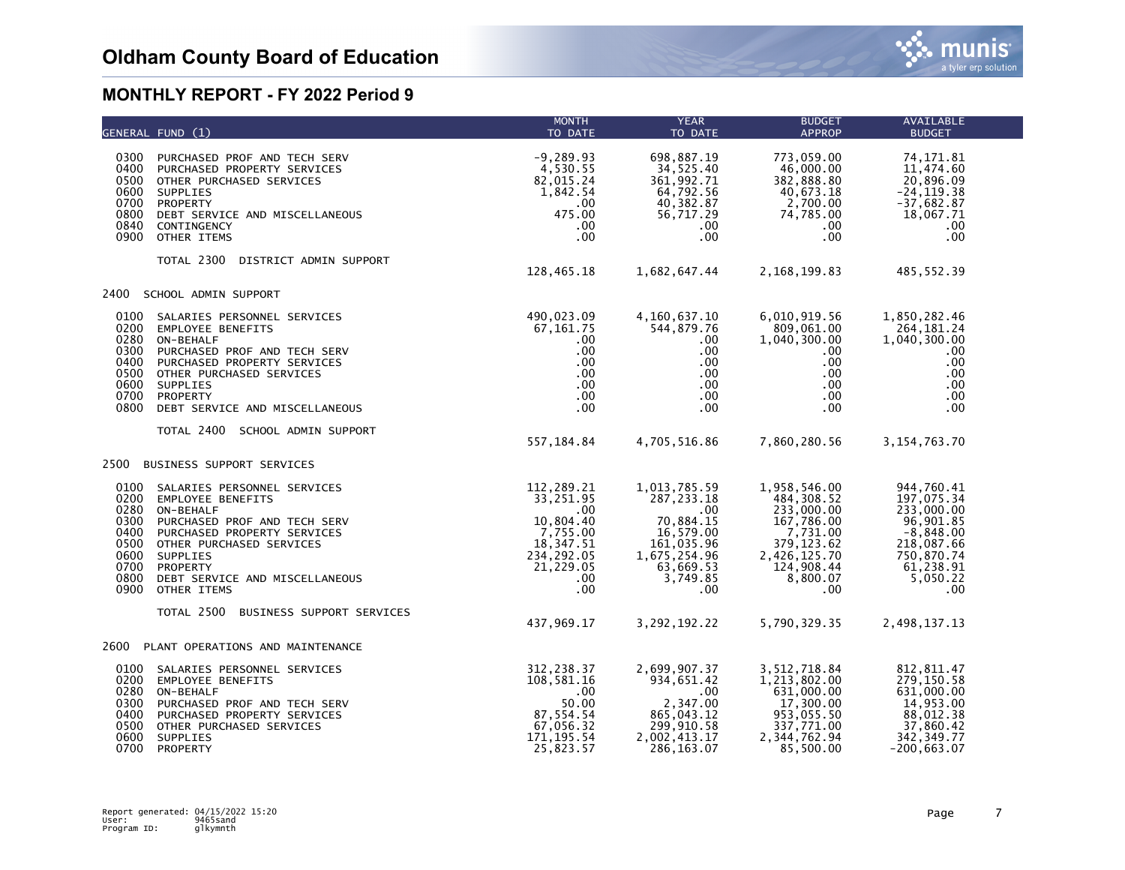

|                                                                                                                                                                                                                                                                                                                             | GENERAL FUND (1)                                                                                                                                                                                                                                                | <b>MONTH</b><br>TO DATE                                                                                              | <b>YEAR</b><br>TO DATE                                                                                                           | <b>BUDGET</b><br><b>APPROP</b>                                                                                                          | AVAILABLE<br><b>BUDGET</b>                                                                                                      |  |
|-----------------------------------------------------------------------------------------------------------------------------------------------------------------------------------------------------------------------------------------------------------------------------------------------------------------------------|-----------------------------------------------------------------------------------------------------------------------------------------------------------------------------------------------------------------------------------------------------------------|----------------------------------------------------------------------------------------------------------------------|----------------------------------------------------------------------------------------------------------------------------------|-----------------------------------------------------------------------------------------------------------------------------------------|---------------------------------------------------------------------------------------------------------------------------------|--|
| 0400<br>0700<br>0800<br>0900                                                                                                                                                                                                                                                                                                | 0300 PURCHASED PROF AND TECH SERV<br>PURCHASED PROPERTY SERVICES<br>0500 OTHER PURCHASED SERVICES<br>0600 SUPPLIES<br>PROPERTY<br>DEBT SERVICE AND MISCELLANEOUS<br>0840 CONTINGENCY<br>OTHER ITEMS                                                             | $-9,289.93$<br>4,530.55<br>82,015.24<br>1,842.54<br>$.00 \,$<br>475.00<br>$.00 \,$<br>$.00 \,$                       | 698,887.19<br>34,525.40<br>361,992.71<br>64,792.56<br>40,382.87<br>56,717.29<br>$.00 \,$<br>$.00 \,$                             | 773,059.00<br>46,000.00<br>382,888.80<br>40,673.18<br>2,700.00<br>74,785.00<br>$.00 \,$<br>$.00 \,$                                     | 74, 171.81<br>11,474.60<br>20,896.09<br>$-24, 119.38$<br>$-37,682.87$<br>18,067.71<br>.00<br>.00                                |  |
|                                                                                                                                                                                                                                                                                                                             | TOTAL 2300<br>DISTRICT ADMIN SUPPORT                                                                                                                                                                                                                            | 128,465.18                                                                                                           | 1,682,647.44                                                                                                                     | 2,168,199.83                                                                                                                            | 485,552.39                                                                                                                      |  |
|                                                                                                                                                                                                                                                                                                                             | 2400 SCHOOL ADMIN SUPPORT                                                                                                                                                                                                                                       |                                                                                                                      |                                                                                                                                  |                                                                                                                                         |                                                                                                                                 |  |
| 0100 SALARIES PERSONNEL SERVICES<br>0200<br><b>EMPLOYEE BENEFITS</b><br>0280<br>ON-BEHALF<br>0300<br>PURCHASED PROF AND TECH SERV<br>0400 PURCHASED PROPERTY SERVICES<br>0500<br>OTHER PURCHASED SERVICES<br>0600<br>SUPPLIES<br>0700 PROPERTY<br>0800<br>DEBT SERVICE AND MISCELLANEOUS<br>TOTAL 2400 SCHOOL ADMIN SUPPORT | 490,023.09<br>67,161.75<br>$.00 \,$<br>$.00 \,$<br>.00<br>$.00 \,$<br>$.00 \,$<br>.00<br>$.00 \,$                                                                                                                                                               | 4,160,637.10<br>544,879.76<br>$.00 \,$<br>$.00 \,$<br>.00<br>.00<br>$0.00$<br>$0.00$<br>$0.00$                       | 6,010,919.56<br>809,061.00<br>1,040,300.00<br>$.00\,$<br>$.00 \,$<br>$.00 \,$<br>$.00\,$<br>$.00 \,$<br>$.00 \,$                 | 1,850,282.46<br>264,181.24<br>1,040,300.00<br>.00.<br>.00<br>.00<br>.00.<br>.00<br>.00                                                  |                                                                                                                                 |  |
|                                                                                                                                                                                                                                                                                                                             |                                                                                                                                                                                                                                                                 | 557,184.84                                                                                                           | 4,705,516.86                                                                                                                     | 7,860,280.56                                                                                                                            | 3, 154, 763. 70                                                                                                                 |  |
| 2500                                                                                                                                                                                                                                                                                                                        | BUSINESS SUPPORT SERVICES                                                                                                                                                                                                                                       |                                                                                                                      |                                                                                                                                  |                                                                                                                                         |                                                                                                                                 |  |
| 0280<br>0300<br>0500<br>0800                                                                                                                                                                                                                                                                                                | 0100 SALARIES PERSONNEL SERVICES<br>0200 EMPLOYEE BENEFITS<br>ON-BEHALF<br>PURCHASED PROF AND TECH SERV<br>0400 PURCHASED PROPERTY SERVICES<br>OTHER PURCHASED SERVICES<br>0600 SUPPLIES<br>0700 PROPERTY<br>DEBT SERVICE AND MISCELLANEOUS<br>0900 OTHER ITEMS | 112,289.21<br>33,251.95<br>.00<br>10,804.40<br>7,755.00<br>18, 347.51<br>234, 292.05<br>21,229.05<br>.00<br>$.00 \,$ | 1,013,785.59<br>287, 233. 18<br>.00<br>70,884.15<br>16,579.00<br>161,035.96<br>1,675,254.96<br>63,669.53<br>3,749.85<br>$.00 \,$ | 1,958,546.00<br>484,308.52<br>233,000.00<br>167,786.00<br>7,731.00<br>379, 123.62<br>2,426,125.70<br>124,908.44<br>8,800.07<br>$.00 \,$ | 944,760.41<br>197,075.34<br>233,000.00<br>96,901.85<br>$-8,848.00$<br>218,087.66<br>750,870.74<br>61,238.91<br>5,050.22<br>.00. |  |
|                                                                                                                                                                                                                                                                                                                             | TOTAL 2500<br>BUSINESS SUPPORT SERVICES                                                                                                                                                                                                                         | 437,969.17                                                                                                           | 3,292,192.22                                                                                                                     | 5,790,329.35                                                                                                                            | 2,498,137.13                                                                                                                    |  |
|                                                                                                                                                                                                                                                                                                                             | 2600 PLANT OPERATIONS AND MAINTENANCE                                                                                                                                                                                                                           |                                                                                                                      |                                                                                                                                  |                                                                                                                                         |                                                                                                                                 |  |
| 0200<br>0300<br>0400<br>0500                                                                                                                                                                                                                                                                                                | 0100 SALARIES PERSONNEL SERVICES<br><b>EMPLOYEE BENEFITS</b><br>0280 ON-BEHALF<br>PURCHASED PROF AND TECH SERV<br>PURCHASED PROPERTY SERVICES<br>OTHER PURCHASED SERVICES<br>0600 SUPPLIES<br>0700 PROPERTY                                                     | 312,238.37<br>108,581.16<br>.00<br>$50.00$<br>87, 554. 54<br>67,056.32<br>171, 195.54<br>25,823.57                   | 2,699,907.37<br>934,651.42<br>.00<br>2,347.00<br>865,043.12<br>299, 910.58<br>2,002,413.17<br>286, 163.07                        | 3,512,718.84<br>1,213,802.00<br>631,000.00<br>17,300.00<br>953,055.50<br>337,771.00<br>2,344,762.94<br>85,500.00                        | 812, 811.47<br>279,150.58<br>631,000.00<br>14,953.00<br>88,012.38<br>37,860.42<br>342, 349.77<br>$-200, 663.07$                 |  |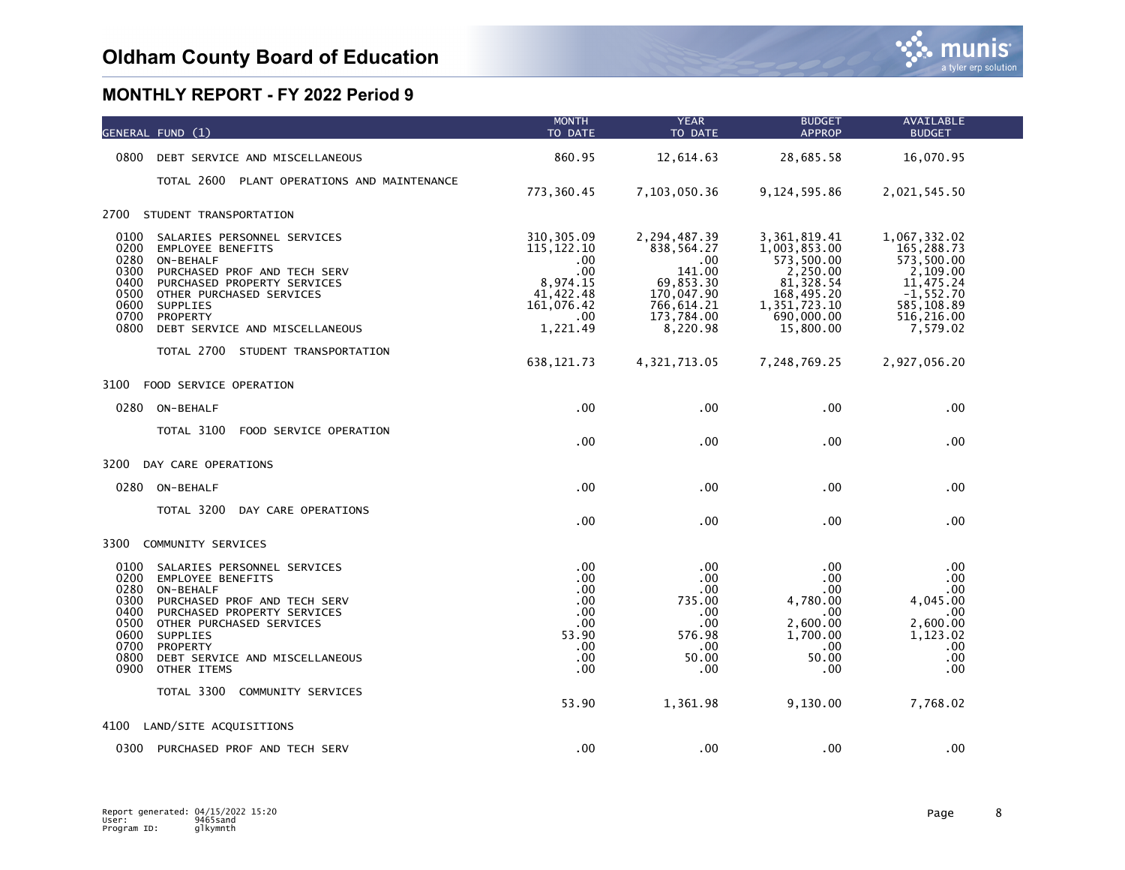|                                                                              | GENERAL FUND (1)                                                                                                                                                                                                                                                             | <b>MONTH</b><br>TO DATE                                                                                  | <b>YEAR</b><br>TO DATE                                                                                              | <b>BUDGET</b><br><b>APPROP</b>                                                                                                  | AVAILABLE<br><b>BUDGET</b>                                                                                                |  |
|------------------------------------------------------------------------------|------------------------------------------------------------------------------------------------------------------------------------------------------------------------------------------------------------------------------------------------------------------------------|----------------------------------------------------------------------------------------------------------|---------------------------------------------------------------------------------------------------------------------|---------------------------------------------------------------------------------------------------------------------------------|---------------------------------------------------------------------------------------------------------------------------|--|
| 0800                                                                         | DEBT SERVICE AND MISCELLANEOUS                                                                                                                                                                                                                                               | 860.95                                                                                                   | 12,614.63                                                                                                           | 28,685.58                                                                                                                       | 16,070.95                                                                                                                 |  |
|                                                                              | TOTAL 2600 PLANT OPERATIONS AND MAINTENANCE                                                                                                                                                                                                                                  | 773,360.45                                                                                               | 7,103,050.36                                                                                                        | 9,124,595.86                                                                                                                    | 2,021,545.50                                                                                                              |  |
| 2700                                                                         | STUDENT TRANSPORTATION                                                                                                                                                                                                                                                       |                                                                                                          |                                                                                                                     |                                                                                                                                 |                                                                                                                           |  |
| 0100<br>0200<br>0280<br>0300<br>0400<br>0500<br>0600<br>0700<br>0800         | SALARIES PERSONNEL SERVICES<br><b>EMPLOYEE BENEFITS</b><br>ON-BEHALF<br>PURCHASED PROF AND TECH SERV<br>PURCHASED PROPERTY SERVICES<br>OTHER PURCHASED SERVICES<br>SUPPLIES<br>PROPERTY<br>DEBT SERVICE AND MISCELLANEOUS                                                    | 310, 305.09<br>115, 122. 10<br>$.00 \,$<br>.00<br>8,974.15<br>41,422.48<br>161,076.42<br>.00<br>1,221.49 | 2,294,487.39<br>838,564.27<br>$.00 \,$<br>141.00<br>69,853.30<br>170,047.90<br>766,614.21<br>173,784.00<br>8,220.98 | 3, 361, 819.41<br>1,003,853.00<br>573,500.00<br>2,250.00<br>81, 328.54<br>168,495.20<br>1,351,723.10<br>690,000.00<br>15,800.00 | 1,067,332.02<br>165,288.73<br>573,500.00<br>2,109.00<br>11,475.24<br>$-1, 552.70$<br>585,108.89<br>516,216.00<br>7,579.02 |  |
|                                                                              | TOTAL 2700 STUDENT TRANSPORTATION                                                                                                                                                                                                                                            | 638, 121.73                                                                                              | 4, 321, 713.05                                                                                                      | 7,248,769.25                                                                                                                    | 2,927,056.20                                                                                                              |  |
| 3100                                                                         | FOOD SERVICE OPERATION                                                                                                                                                                                                                                                       |                                                                                                          |                                                                                                                     |                                                                                                                                 |                                                                                                                           |  |
|                                                                              | 0280 ON-BEHALF                                                                                                                                                                                                                                                               | .00                                                                                                      | .00                                                                                                                 | .00                                                                                                                             | .00                                                                                                                       |  |
|                                                                              | TOTAL 3100<br>FOOD SERVICE OPERATION                                                                                                                                                                                                                                         | .00                                                                                                      | .00                                                                                                                 | .00                                                                                                                             | .00                                                                                                                       |  |
| 3200                                                                         | DAY CARE OPERATIONS                                                                                                                                                                                                                                                          |                                                                                                          |                                                                                                                     |                                                                                                                                 |                                                                                                                           |  |
|                                                                              | 0280 ON-BEHALF                                                                                                                                                                                                                                                               | .00 <sub>1</sub>                                                                                         | .00                                                                                                                 | .00                                                                                                                             | .00                                                                                                                       |  |
|                                                                              | TOTAL 3200<br>DAY CARE OPERATIONS                                                                                                                                                                                                                                            | .00.                                                                                                     | .00                                                                                                                 | .00                                                                                                                             | .00                                                                                                                       |  |
| 3300                                                                         | COMMUNITY SERVICES                                                                                                                                                                                                                                                           |                                                                                                          |                                                                                                                     |                                                                                                                                 |                                                                                                                           |  |
| 0100<br>0200<br>0280<br>0300<br>0400<br>0500<br>0600<br>0700<br>0800<br>0900 | SALARIES PERSONNEL SERVICES<br><b>EMPLOYEE BENEFITS</b><br>ON-BEHALF<br>PURCHASED PROF AND TECH SERV<br>PURCHASED PROPERTY SERVICES<br>OTHER PURCHASED SERVICES<br>SUPPLIES<br>PROPERTY<br>DEBT SERVICE AND MISCELLANEOUS<br>OTHER ITEMS<br>TOTAL 3300<br>COMMUNITY SERVICES | .00.<br>.00<br>$.00 \,$<br>.00<br>.00<br>.00<br>53.90<br>.00.<br>.00.<br>.00<br>53.90                    | $.00 \,$<br>.00<br>.00<br>735.00<br>.00<br>.00<br>576.98<br>$.00 \,$<br>50.00<br>.00<br>1,361.98                    | .00<br>.00<br>.00<br>4,780.00<br>.00<br>2,600.00<br>1,700.00<br>.00<br>50.00<br>.00<br>9,130.00                                 | .00<br>.00<br>.00.<br>4,045.00<br>$.00 \,$<br>2,600.00<br>1,123.02<br>.00<br>.00<br>.00<br>7,768.02                       |  |
| 4100                                                                         | LAND/SITE ACQUISITIONS                                                                                                                                                                                                                                                       |                                                                                                          |                                                                                                                     |                                                                                                                                 |                                                                                                                           |  |
| 0300                                                                         | PURCHASED PROF AND TECH SERV                                                                                                                                                                                                                                                 | .00.                                                                                                     | .00                                                                                                                 | .00                                                                                                                             | .00                                                                                                                       |  |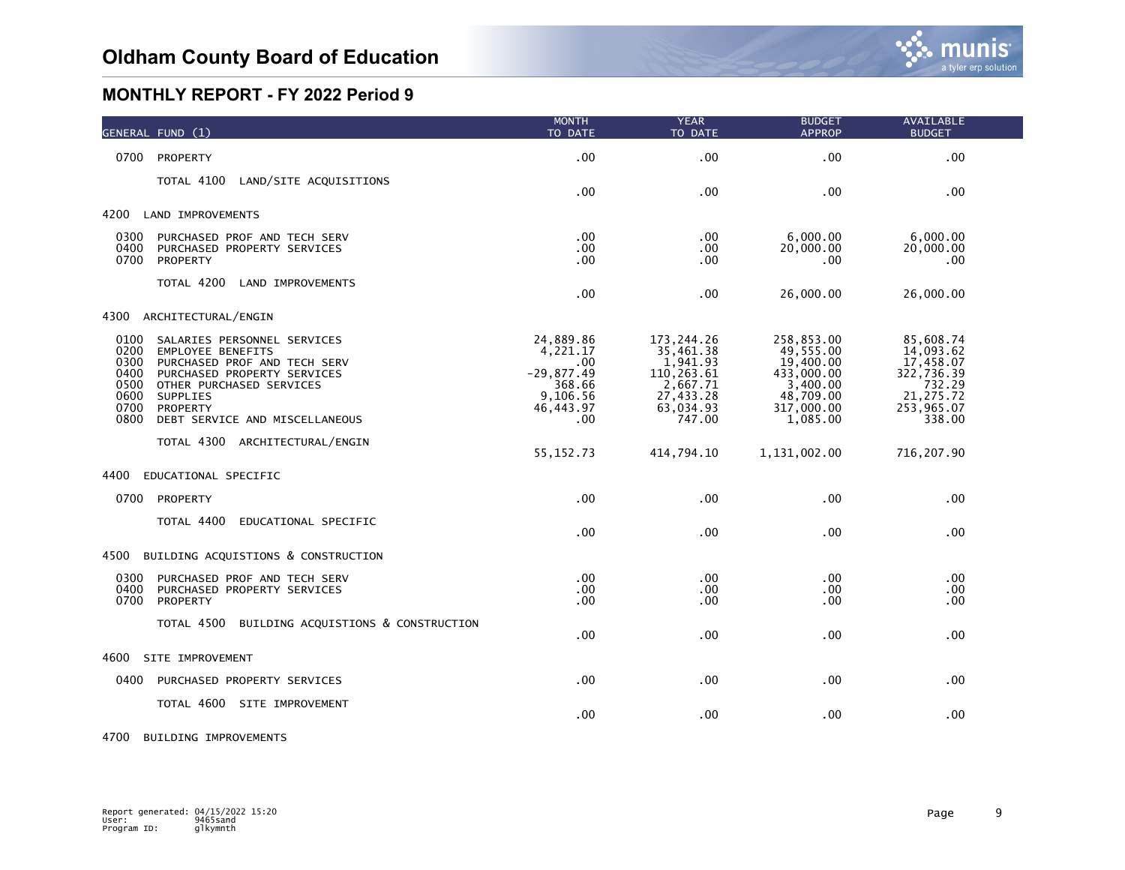|                                                              | GENERAL FUND (1)                                                                                                                                                                                             | <b>MONTH</b><br>TO DATE                                                                 | <b>YEAR</b><br>TO DATE                                                                              | <b>BUDGET</b><br><b>APPROP</b>                                                                        | AVAILABLE<br><b>BUDGET</b>                                                                        |
|--------------------------------------------------------------|--------------------------------------------------------------------------------------------------------------------------------------------------------------------------------------------------------------|-----------------------------------------------------------------------------------------|-----------------------------------------------------------------------------------------------------|-------------------------------------------------------------------------------------------------------|---------------------------------------------------------------------------------------------------|
| 0700                                                         | PROPERTY                                                                                                                                                                                                     | .00                                                                                     | .00                                                                                                 | .00                                                                                                   | .00                                                                                               |
|                                                              | TOTAL 4100<br>LAND/SITE ACQUISITIONS                                                                                                                                                                         | $.00 \,$                                                                                | .00                                                                                                 | .00                                                                                                   | .00                                                                                               |
| 4200                                                         | LAND IMPROVEMENTS                                                                                                                                                                                            |                                                                                         |                                                                                                     |                                                                                                       |                                                                                                   |
| 0300<br>0400<br>0700                                         | PURCHASED PROF AND TECH SERV<br>PURCHASED PROPERTY SERVICES<br>PROPERTY                                                                                                                                      | $.00 \,$<br>.00<br>$.00 \,$                                                             | .00<br>.00<br>.00                                                                                   | 6,000.00<br>20,000.00<br>.00                                                                          | 6,000.00<br>20,000.00<br>.00                                                                      |
|                                                              | TOTAL 4200<br>LAND IMPROVEMENTS                                                                                                                                                                              | .00                                                                                     | .00                                                                                                 | 26,000.00                                                                                             | 26,000.00                                                                                         |
| 4300                                                         | ARCHITECTURAL/ENGIN                                                                                                                                                                                          |                                                                                         |                                                                                                     |                                                                                                       |                                                                                                   |
| 0100<br>0200<br>0300<br>0400<br>0500<br>0600<br>0700<br>0800 | SALARIES PERSONNEL SERVICES<br><b>EMPLOYEE BENEFITS</b><br>PURCHASED PROF AND TECH SERV<br>PURCHASED PROPERTY SERVICES<br>OTHER PURCHASED SERVICES<br>SUPPLIES<br>PROPERTY<br>DEBT SERVICE AND MISCELLANEOUS | 24,889.86<br>4,221.17<br>.00<br>$-29,877.49$<br>368.66<br>9,106.56<br>46, 443.97<br>.00 | 173, 244. 26<br>35,461.38<br>1,941.93<br>110,263.61<br>2,667.71<br>27,433.28<br>63,034.93<br>747.00 | 258,853.00<br>49,555.00<br>19,400.00<br>433,000.00<br>3,400.00<br>48,709.00<br>317,000.00<br>1,085.00 | 85,608.74<br>14,093.62<br>17,458.07<br>322,736.39<br>732.29<br>21, 275.72<br>253,965.07<br>338.00 |
|                                                              | TOTAL 4300 ARCHITECTURAL/ENGIN                                                                                                                                                                               | 55, 152. 73                                                                             | 414,794.10                                                                                          | 1,131,002.00                                                                                          | 716,207.90                                                                                        |
| 4400                                                         | EDUCATIONAL SPECIFIC                                                                                                                                                                                         |                                                                                         |                                                                                                     |                                                                                                       |                                                                                                   |
| 0700                                                         | PROPERTY                                                                                                                                                                                                     | .00                                                                                     | .00                                                                                                 | .00                                                                                                   | .00                                                                                               |
|                                                              | TOTAL 4400<br>EDUCATIONAL SPECIFIC                                                                                                                                                                           | .00                                                                                     | .00                                                                                                 | .00                                                                                                   | .00                                                                                               |
| 4500                                                         | BUILDING ACQUISTIONS & CONSTRUCTION                                                                                                                                                                          |                                                                                         |                                                                                                     |                                                                                                       |                                                                                                   |
| 0300<br>0400<br>0700                                         | PURCHASED PROF AND TECH SERV<br>PURCHASED PROPERTY SERVICES<br>PROPERTY                                                                                                                                      | $.00 \,$<br>.00<br>.00                                                                  | .00<br>.00<br>.00                                                                                   | .00<br>.00<br>.00                                                                                     | .00<br>.00<br>.00                                                                                 |
|                                                              | TOTAL 4500 BUILDING ACQUISTIONS & CONSTRUCTION                                                                                                                                                               | .00 <sub>1</sub>                                                                        | .00                                                                                                 | .00                                                                                                   | .00                                                                                               |
| 4600                                                         | SITE IMPROVEMENT                                                                                                                                                                                             |                                                                                         |                                                                                                     |                                                                                                       |                                                                                                   |
| 0400                                                         | PURCHASED PROPERTY SERVICES                                                                                                                                                                                  | .00                                                                                     | .00                                                                                                 | .00                                                                                                   | .00                                                                                               |
|                                                              | TOTAL 4600 SITE IMPROVEMENT                                                                                                                                                                                  | $.00 \,$                                                                                | .00                                                                                                 | .00                                                                                                   | .00                                                                                               |

#### 4700 BUILDING IMPROVEMENTS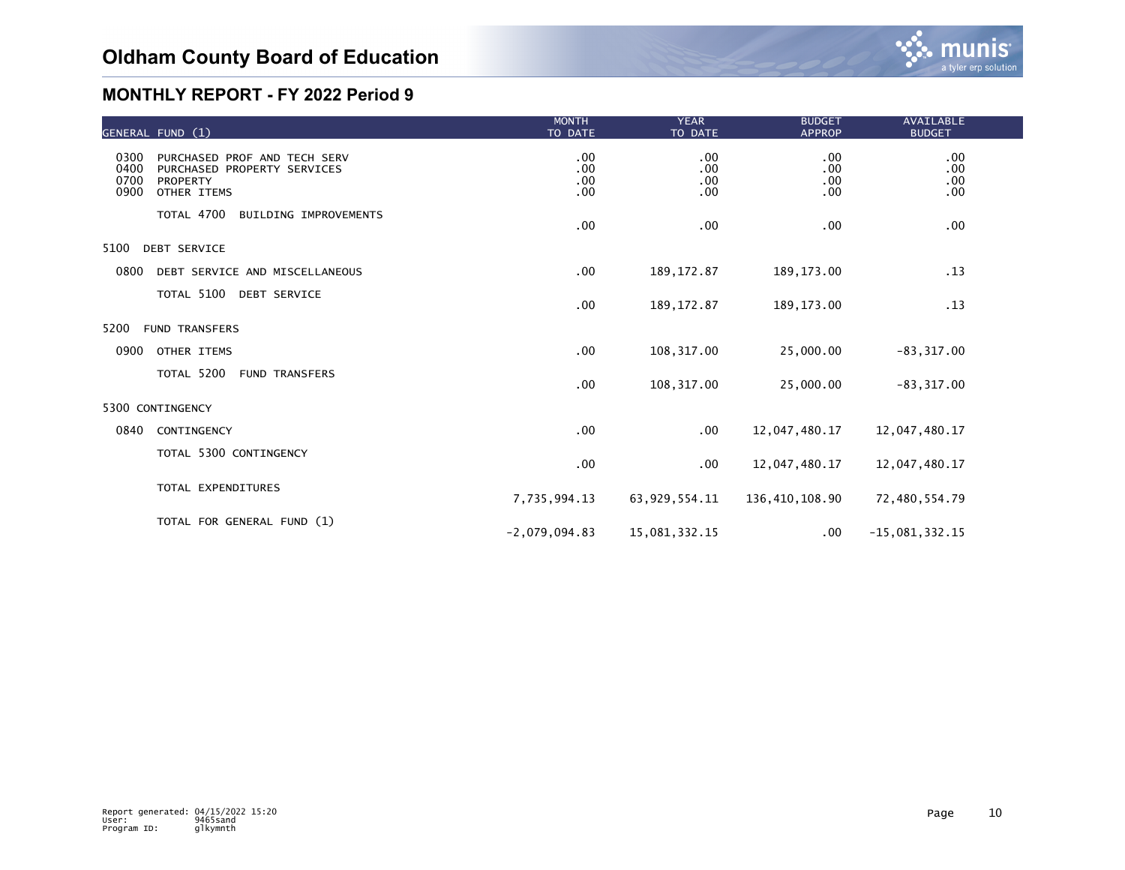|                              | GENERAL FUND (1)                                                                              | <b>MONTH</b><br>TO DATE  | <b>YEAR</b><br>TO DATE        | <b>BUDGET</b><br><b>APPROP</b> | <b>AVAILABLE</b><br><b>BUDGET</b> |  |
|------------------------------|-----------------------------------------------------------------------------------------------|--------------------------|-------------------------------|--------------------------------|-----------------------------------|--|
| 0300<br>0400<br>0700<br>0900 | PURCHASED PROF AND TECH SERV<br>PURCHASED PROPERTY SERVICES<br><b>PROPERTY</b><br>OTHER ITEMS | .00<br>.00<br>.00<br>.00 | $.00 \,$<br>.00<br>.00<br>.00 | .00<br>.00<br>.00<br>.00       | $.00 \,$<br>.00<br>.00<br>.00     |  |
|                              | TOTAL 4700 BUILDING IMPROVEMENTS                                                              | .00                      | .00                           | .00                            | .00                               |  |
| 5100                         | <b>DEBT SERVICE</b>                                                                           |                          |                               |                                |                                   |  |
| 0800                         | DEBT SERVICE AND MISCELLANEOUS                                                                | .00                      | 189, 172.87                   | 189, 173.00                    | .13                               |  |
| TOTAL 5100 DEBT SERVICE      |                                                                                               | .00                      | 189, 172.87                   | 189, 173.00                    | .13                               |  |
| 5200                         | <b>FUND TRANSFERS</b>                                                                         |                          |                               |                                |                                   |  |
| 0900                         | OTHER ITEMS                                                                                   | .00                      | 108, 317.00                   | 25,000.00                      | $-83, 317.00$                     |  |
|                              | TOTAL 5200 FUND TRANSFERS                                                                     | .00                      | 108,317.00                    | 25,000.00                      | $-83, 317.00$                     |  |
|                              | 5300 CONTINGENCY                                                                              |                          |                               |                                |                                   |  |
| 0840                         | CONTINGENCY                                                                                   | .00                      | $.00 \,$                      | 12,047,480.17                  | 12,047,480.17                     |  |
|                              | TOTAL 5300 CONTINGENCY                                                                        | .00                      | $.00 \,$                      | 12,047,480.17                  | 12,047,480.17                     |  |
|                              | TOTAL EXPENDITURES                                                                            | 7,735,994.13             | 63,929,554.11                 | 136,410,108.90                 | 72,480,554.79                     |  |
|                              | TOTAL FOR GENERAL FUND (1)                                                                    | $-2,079,094.83$          | 15,081,332.15                 | .00.                           | $-15,081,332.15$                  |  |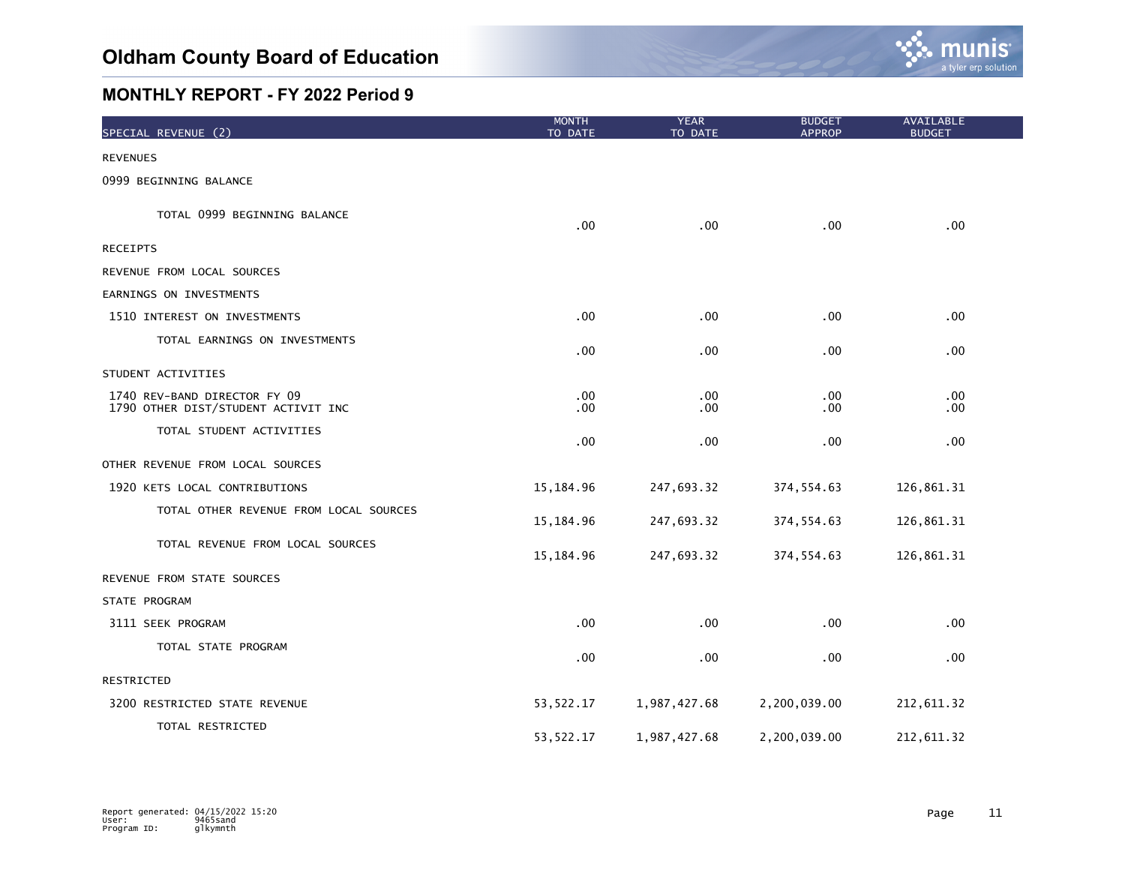

| SPECIAL REVENUE (2)                                                 | <b>MONTH</b><br>TO DATE | <b>YEAR</b><br>TO DATE  | <b>BUDGET</b><br><b>APPROP</b> | <b>AVAILABLE</b><br><b>BUDGET</b> |
|---------------------------------------------------------------------|-------------------------|-------------------------|--------------------------------|-----------------------------------|
| <b>REVENUES</b>                                                     |                         |                         |                                |                                   |
| 0999 BEGINNING BALANCE                                              |                         |                         |                                |                                   |
| TOTAL 0999 BEGINNING BALANCE                                        | .00                     | .00                     | .00                            | .00                               |
| <b>RECEIPTS</b>                                                     |                         |                         |                                |                                   |
| REVENUE FROM LOCAL SOURCES                                          |                         |                         |                                |                                   |
| EARNINGS ON INVESTMENTS                                             |                         |                         |                                |                                   |
| 1510 INTEREST ON INVESTMENTS                                        | .00                     | .00                     | .00.                           | .00                               |
| TOTAL EARNINGS ON INVESTMENTS                                       | .00                     | .00                     | .00.                           | .00                               |
| STUDENT ACTIVITIES                                                  |                         |                         |                                |                                   |
| 1740 REV-BAND DIRECTOR FY 09<br>1790 OTHER DIST/STUDENT ACTIVIT INC | $.00 \,$<br>$.00 \,$    | .00<br>.00 <sub>1</sub> | .00.<br>.00.                   | .00<br>.00                        |
| TOTAL STUDENT ACTIVITIES                                            | .00                     | .00                     | .00.                           | .00                               |
| OTHER REVENUE FROM LOCAL SOURCES                                    |                         |                         |                                |                                   |
| 1920 KETS LOCAL CONTRIBUTIONS                                       | 15,184.96               | 247,693.32              | 374, 554.63                    | 126,861.31                        |
| TOTAL OTHER REVENUE FROM LOCAL SOURCES                              | 15, 184. 96             | 247,693.32              | 374, 554.63                    | 126,861.31                        |
| TOTAL REVENUE FROM LOCAL SOURCES                                    | 15,184.96               | 247,693.32              | 374, 554.63                    | 126,861.31                        |
| REVENUE FROM STATE SOURCES                                          |                         |                         |                                |                                   |
| STATE PROGRAM                                                       |                         |                         |                                |                                   |
| 3111 SEEK PROGRAM                                                   | .00                     | .00 <sub>1</sub>        | .00                            | .00                               |
| TOTAL STATE PROGRAM                                                 | .00                     | .00                     | .00.                           | .00                               |
| RESTRICTED                                                          |                         |                         |                                |                                   |
| 3200 RESTRICTED STATE REVENUE                                       | 53, 522.17              | 1,987,427.68            | 2,200,039.00                   | 212,611.32                        |
| TOTAL RESTRICTED                                                    | 53, 522.17              | 1,987,427.68            | 2,200,039.00                   | 212,611.32                        |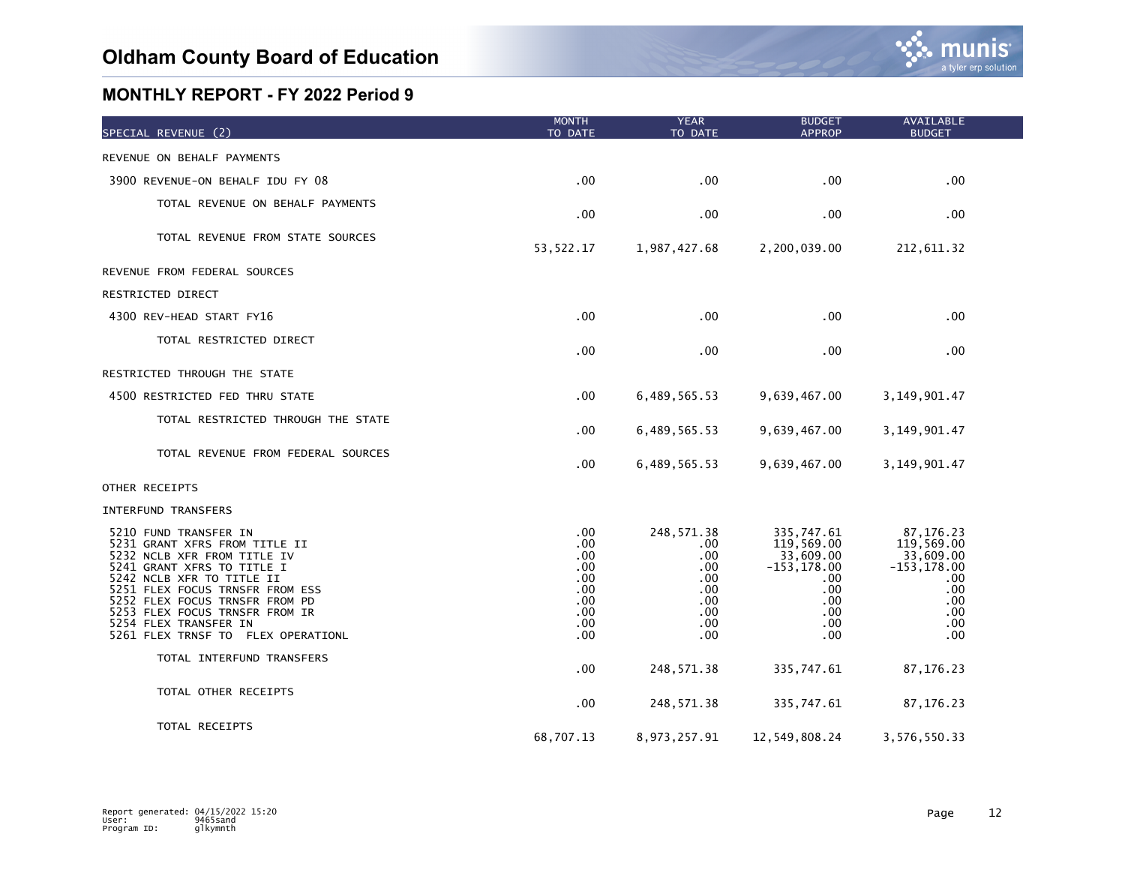| SPECIAL REVENUE (2)                                                                                                                                                                                                                                                                                                    | <b>MONTH</b><br>TO DATE                                            | <b>YEAR</b><br>TO DATE                                                     | <b>BUDGET</b><br><b>APPROP</b>                                                                          | <b>AVAILABLE</b><br><b>BUDGET</b>                                                                |  |
|------------------------------------------------------------------------------------------------------------------------------------------------------------------------------------------------------------------------------------------------------------------------------------------------------------------------|--------------------------------------------------------------------|----------------------------------------------------------------------------|---------------------------------------------------------------------------------------------------------|--------------------------------------------------------------------------------------------------|--|
| REVENUE ON BEHALF PAYMENTS                                                                                                                                                                                                                                                                                             |                                                                    |                                                                            |                                                                                                         |                                                                                                  |  |
| 3900 REVENUE-ON BEHALF IDU FY 08                                                                                                                                                                                                                                                                                       | .00                                                                | .00                                                                        | .00                                                                                                     | .00                                                                                              |  |
| TOTAL REVENUE ON BEHALF PAYMENTS                                                                                                                                                                                                                                                                                       | .00                                                                | .00                                                                        | .00                                                                                                     | .00                                                                                              |  |
| TOTAL REVENUE FROM STATE SOURCES                                                                                                                                                                                                                                                                                       | 53, 522.17                                                         | 1,987,427.68                                                               | 2,200,039.00                                                                                            | 212,611.32                                                                                       |  |
| REVENUE FROM FEDERAL SOURCES                                                                                                                                                                                                                                                                                           |                                                                    |                                                                            |                                                                                                         |                                                                                                  |  |
| RESTRICTED DIRECT                                                                                                                                                                                                                                                                                                      |                                                                    |                                                                            |                                                                                                         |                                                                                                  |  |
| 4300 REV-HEAD START FY16                                                                                                                                                                                                                                                                                               | .00                                                                | .00                                                                        | .00                                                                                                     | .00                                                                                              |  |
| TOTAL RESTRICTED DIRECT                                                                                                                                                                                                                                                                                                | .00                                                                | .00                                                                        | .00                                                                                                     | .00                                                                                              |  |
| RESTRICTED THROUGH THE STATE                                                                                                                                                                                                                                                                                           |                                                                    |                                                                            |                                                                                                         |                                                                                                  |  |
| 4500 RESTRICTED FED THRU STATE                                                                                                                                                                                                                                                                                         | .00                                                                | 6,489,565.53                                                               | 9,639,467.00                                                                                            | 3, 149, 901.47                                                                                   |  |
| TOTAL RESTRICTED THROUGH THE STATE                                                                                                                                                                                                                                                                                     | .00                                                                | 6,489,565.53                                                               | 9,639,467.00                                                                                            | 3, 149, 901.47                                                                                   |  |
| TOTAL REVENUE FROM FEDERAL SOURCES                                                                                                                                                                                                                                                                                     | .00                                                                | 6,489,565.53                                                               | 9,639,467.00                                                                                            | 3,149,901.47                                                                                     |  |
| OTHER RECEIPTS                                                                                                                                                                                                                                                                                                         |                                                                    |                                                                            |                                                                                                         |                                                                                                  |  |
| INTERFUND TRANSFERS                                                                                                                                                                                                                                                                                                    |                                                                    |                                                                            |                                                                                                         |                                                                                                  |  |
| 5210 FUND TRANSFER IN<br>5231 GRANT XFRS FROM TITLE II<br>5232 NCLB XFR FROM TITLE IV<br>5241 GRANT XFRS TO TITLE I<br>5242 NCLB XFR TO TITLE II<br>5251 FLEX FOCUS TRNSFR FROM ESS<br>5252 FLEX FOCUS TRNSFR FROM PD<br>5253 FLEX FOCUS TRNSFR FROM IR<br>5254 FLEX TRANSFER IN<br>5261 FLEX TRNSF TO FLEX OPERATIONL | .00<br>.00<br>.00<br>.00<br>.00<br>.00<br>.00<br>.00<br>.00<br>.00 | 248, 571.38<br>.00<br>.00<br>.00<br>.00<br>.00<br>.00<br>.00<br>.00<br>.00 | 335,747.61<br>119,569.00<br>33,609.00<br>$-153, 178.00$<br>.00.<br>.00<br>.00<br>$.00 \,$<br>.00<br>.00 | 87,176.23<br>119,569.00<br>33,609.00<br>$-153, 178.00$<br>.00<br>.00<br>.00<br>.00<br>.00<br>.00 |  |
| TOTAL INTERFUND TRANSFERS                                                                                                                                                                                                                                                                                              | .00                                                                | 248, 571.38                                                                | 335,747.61                                                                                              | 87, 176.23                                                                                       |  |
| TOTAL OTHER RECEIPTS                                                                                                                                                                                                                                                                                                   | .00                                                                | 248, 571.38                                                                | 335,747.61                                                                                              | 87, 176.23                                                                                       |  |
| TOTAL RECEIPTS                                                                                                                                                                                                                                                                                                         | 68,707.13                                                          | 8,973,257.91                                                               | 12,549,808.24                                                                                           | 3,576,550.33                                                                                     |  |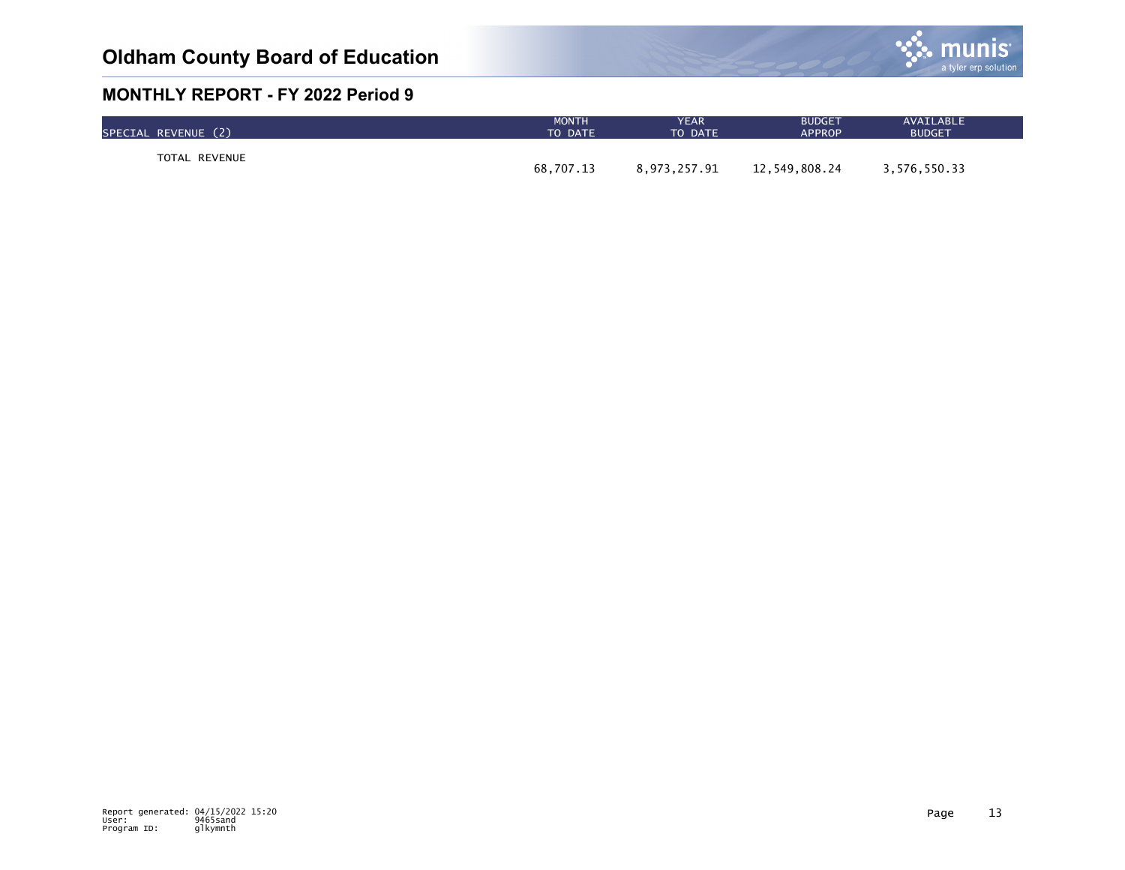

| SPECIAL REVENUE (2) | <b>MONTH</b> | YEAR         | <b>BUDGET</b> | AVAILABLE     |
|---------------------|--------------|--------------|---------------|---------------|
|                     | TO DATE      | TO DATE      | <b>APPROP</b> | <b>BUDGET</b> |
| TOTAL REVENUE       | 68,707.13    | 8.973.257.91 | 12,549,808.24 | 3,576,550.33  |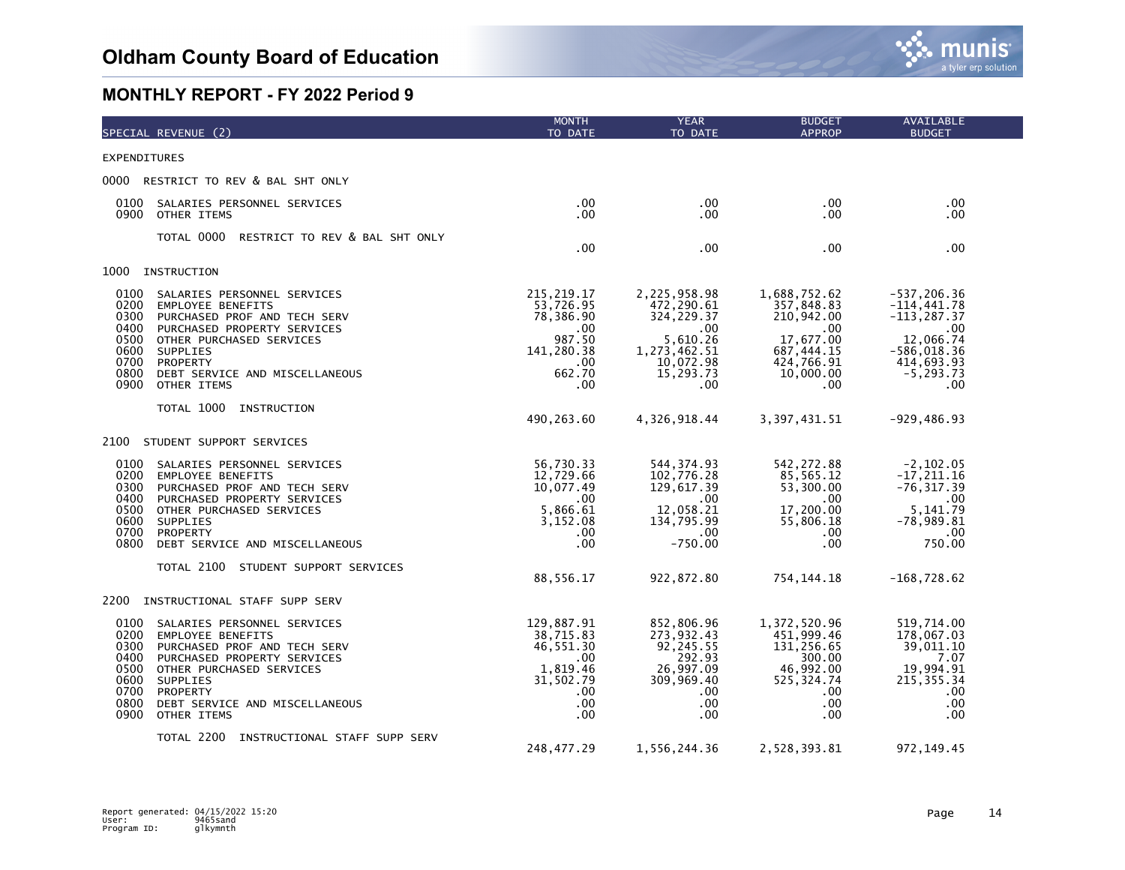

| SPECIAL REVENUE (2)                                                                                                                                                                                                                                                                                 | <b>MONTH</b><br>TO DATE                                                                                | <b>YEAR</b><br>TO DATE                                                                                        | <b>BUDGET</b><br><b>APPROP</b>                                                                                 | AVAILABLE<br><b>BUDGET</b>                                                                                                        |
|-----------------------------------------------------------------------------------------------------------------------------------------------------------------------------------------------------------------------------------------------------------------------------------------------------|--------------------------------------------------------------------------------------------------------|---------------------------------------------------------------------------------------------------------------|----------------------------------------------------------------------------------------------------------------|-----------------------------------------------------------------------------------------------------------------------------------|
| <b>EXPENDITURES</b>                                                                                                                                                                                                                                                                                 |                                                                                                        |                                                                                                               |                                                                                                                |                                                                                                                                   |
| 0000 RESTRICT TO REV & BAL SHT ONLY                                                                                                                                                                                                                                                                 |                                                                                                        |                                                                                                               |                                                                                                                |                                                                                                                                   |
| 0100<br>SALARIES PERSONNEL SERVICES<br>0900<br>OTHER ITEMS                                                                                                                                                                                                                                          | $.00 \,$<br>$.00 \,$                                                                                   | $.00 \,$<br>.00                                                                                               | .00.<br>.00                                                                                                    | .00.<br>.00.                                                                                                                      |
| TOTAL 0000<br>RESTRICT TO REV & BAL SHT ONLY                                                                                                                                                                                                                                                        | .00                                                                                                    | .00                                                                                                           | .00                                                                                                            | .00.                                                                                                                              |
| 1000<br>INSTRUCTION                                                                                                                                                                                                                                                                                 |                                                                                                        |                                                                                                               |                                                                                                                |                                                                                                                                   |
| 0100<br>SALARIES PERSONNEL SERVICES<br>0200<br><b>EMPLOYEE BENEFITS</b><br>0300<br>PURCHASED PROF AND TECH SERV<br>0400<br>PURCHASED PROPERTY SERVICES<br>0500<br>OTHER PURCHASED SERVICES<br>0600<br>SUPPLIES<br>0700<br>PROPERTY<br>0800<br>DEBT SERVICE AND MISCELLANEOUS<br>0900<br>OTHER ITEMS | 215, 219.17<br>53,726.95<br>78,386.90<br>$.00 \,$<br>987.50<br>141,280.38<br>$.00 \,$<br>662.70<br>.00 | 2,225,958.98<br>472,290.61<br>324, 229.37<br>.00<br>5,610.26<br>1,273,462.51<br>10,072.98<br>15,293.73<br>.00 | 1,688,752.62<br>357,848.83<br>210,942.00<br>.00<br>17,677.00<br>687, 444.15<br>424,766.91<br>10,000.00<br>.00. | $-537, 206.36$<br>$-114, 441.78$<br>$-113, 287.37$<br>$.00 \,$<br>12,066.74<br>$-586,018.36$<br>414,693.93<br>$-5, 293.73$<br>.00 |
| TOTAL 1000<br>INSTRUCTION                                                                                                                                                                                                                                                                           | 490,263.60                                                                                             | 4,326,918.44                                                                                                  | 3, 397, 431.51                                                                                                 | $-929, 486.93$                                                                                                                    |
| STUDENT SUPPORT SERVICES<br>2100                                                                                                                                                                                                                                                                    |                                                                                                        |                                                                                                               |                                                                                                                |                                                                                                                                   |
| 0100<br>SALARIES PERSONNEL SERVICES<br>0200<br><b>EMPLOYEE BENEFITS</b><br>0300<br>PURCHASED PROF AND TECH SERV<br>0400<br>PURCHASED PROPERTY SERVICES<br>0500<br>OTHER PURCHASED SERVICES<br>0600<br>SUPPLIES<br>0700<br>PROPERTY<br>0800<br>DEBT SERVICE AND MISCELLANEOUS                        | 56,730.33<br>12,729.66<br>10,077.49<br>.00<br>5,866.61<br>3,152.08<br>$.00 \,$<br>.00                  | 544, 374.93<br>102,776.28<br>129,617.39<br>.00<br>12,058.21<br>134,795.99<br>$.00 \,$<br>$-750.00$            | 542, 272.88<br>85,565.12<br>53,300.00<br>.00.<br>17,200.00<br>55,806.18<br>.00.<br>.00                         | $-2, 102.05$<br>$-17, 211.16$<br>$-76, 317.39$<br>$.00 \,$<br>5,141.79<br>$-78,989.81$<br>$.00 \,$<br>750.00                      |
| TOTAL 2100 STUDENT SUPPORT SERVICES                                                                                                                                                                                                                                                                 | 88,556.17                                                                                              | 922,872.80                                                                                                    | 754, 144. 18                                                                                                   | $-168, 728.62$                                                                                                                    |
| 2200<br>INSTRUCTIONAL STAFF SUPP SERV                                                                                                                                                                                                                                                               |                                                                                                        |                                                                                                               |                                                                                                                |                                                                                                                                   |
| 0100<br>SALARIES PERSONNEL SERVICES<br>0200<br><b>EMPLOYEE BENEFITS</b><br>0300<br>PURCHASED PROF AND TECH SERV<br>0400<br>PURCHASED PROPERTY SERVICES<br>0500<br>OTHER PURCHASED SERVICES<br>0600<br>SUPPLIES<br>0700<br>PROPERTY<br>0800<br>DEBT SERVICE AND MISCELLANEOUS<br>0900<br>OTHER ITEMS | 129,887.91<br>38,715.83<br>46,551.30<br>.00<br>1,819.46<br>31,502.79<br>$.00 \,$<br>.00<br>.00         | 852,806.96<br>273, 932.43<br>92, 245.55<br>292.93<br>26,997.09<br>309,969.40<br>$.00 \,$<br>$.00 \,$<br>.00   | 1,372,520.96<br>451,999.46<br>131,256.65<br>300.00<br>46,992.00<br>525, 324.74<br>$.00 \,$<br>.00<br>.00       | 519,714.00<br>178,067.03<br>39,011.10<br>7.07<br>19,994.91<br>215, 355. 34<br>.00.<br>.00<br>.00                                  |
| TOTAL 2200 INSTRUCTIONAL STAFF SUPP SERV                                                                                                                                                                                                                                                            | 248, 477.29                                                                                            | 1,556,244.36                                                                                                  | 2,528,393.81                                                                                                   | 972, 149.45                                                                                                                       |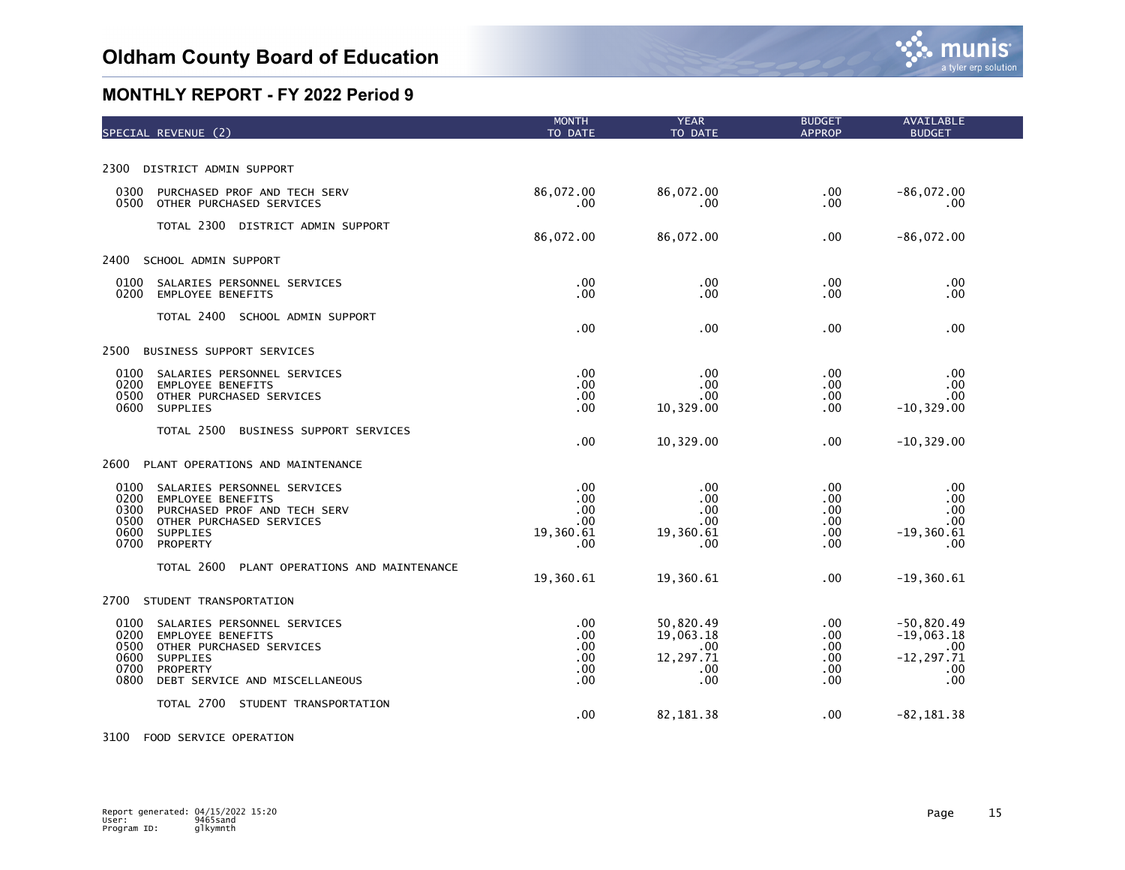| SPECIAL REVENUE (2)                                                                                                                                                                                  | <b>MONTH</b><br>TO DATE                      | <b>YEAR</b><br>TO DATE                                   | <b>BUDGET</b><br><b>APPROP</b>          | AVAILABLE<br><b>BUDGET</b>                                         |
|------------------------------------------------------------------------------------------------------------------------------------------------------------------------------------------------------|----------------------------------------------|----------------------------------------------------------|-----------------------------------------|--------------------------------------------------------------------|
|                                                                                                                                                                                                      |                                              |                                                          |                                         |                                                                    |
| 2300<br>DISTRICT ADMIN SUPPORT                                                                                                                                                                       |                                              |                                                          |                                         |                                                                    |
| 0300<br>PURCHASED PROF AND TECH SERV<br>0500<br>OTHER PURCHASED SERVICES                                                                                                                             | 86,072.00<br>.00                             | 86,072.00<br>.00                                         | .00<br>.00                              | $-86,072.00$<br>.00                                                |
| TOTAL 2300<br>DISTRICT ADMIN SUPPORT                                                                                                                                                                 | 86,072.00                                    | 86,072.00                                                | .00                                     | $-86,072.00$                                                       |
| 2400<br>SCHOOL ADMIN SUPPORT                                                                                                                                                                         |                                              |                                                          |                                         |                                                                    |
| 0100<br>SALARIES PERSONNEL SERVICES<br>0200<br><b>EMPLOYEE BENEFITS</b>                                                                                                                              | .00<br>.00                                   | .00<br>.00                                               | .00<br>.00                              | .00<br>.00                                                         |
| TOTAL 2400 SCHOOL ADMIN SUPPORT                                                                                                                                                                      | .00                                          | .00                                                      | .00                                     | .00                                                                |
| 2500<br>BUSINESS SUPPORT SERVICES                                                                                                                                                                    |                                              |                                                          |                                         |                                                                    |
| 0100<br>SALARIES PERSONNEL SERVICES<br>0200<br><b>EMPLOYEE BENEFITS</b><br>0500<br>OTHER PURCHASED SERVICES<br>0600<br>SUPPLIES                                                                      | .00<br>.00<br>.00<br>.00                     | .00<br>.00<br>.00<br>10,329.00                           | .00<br>.00<br>.00.<br>.00               | .00<br>.00<br>.00<br>$-10, 329.00$                                 |
| TOTAL 2500<br>BUSINESS SUPPORT SERVICES                                                                                                                                                              | .00                                          | 10,329.00                                                | .00                                     | $-10, 329.00$                                                      |
| 2600<br>PLANT OPERATIONS AND MAINTENANCE                                                                                                                                                             |                                              |                                                          |                                         |                                                                    |
| 0100<br>SALARIES PERSONNEL SERVICES<br>0200<br><b>EMPLOYEE BENEFITS</b><br>0300<br>PURCHASED PROF AND TECH SERV<br>0500<br>OTHER PURCHASED SERVICES<br>0600<br>SUPPLIES<br>0700<br>PROPERTY          | .00<br>.00<br>.00<br>.00<br>19,360.61<br>.00 | .00<br>.00<br>.00<br>.00.<br>19,360.61<br>.00            | .00<br>.00<br>.00.<br>.00<br>.00<br>.00 | .00<br>.00<br>.00<br>.00<br>$-19, 360.61$<br>.00                   |
| TOTAL 2600<br>PLANT OPERATIONS AND MAINTENANCE                                                                                                                                                       | 19,360.61                                    | 19,360.61                                                | .00                                     | $-19, 360.61$                                                      |
| 2700<br>STUDENT TRANSPORTATION                                                                                                                                                                       |                                              |                                                          |                                         |                                                                    |
| 0100<br>SALARIES PERSONNEL SERVICES<br>0200<br><b>EMPLOYEE BENEFITS</b><br>0500<br>OTHER PURCHASED SERVICES<br>0600<br>SUPPLIES<br>0700<br><b>PROPERTY</b><br>0800<br>DEBT SERVICE AND MISCELLANEOUS | .00<br>.00<br>.00<br>.00<br>.00<br>.00       | 50,820.49<br>19,063.18<br>.00<br>12,297.71<br>.00<br>.00 | .00<br>.00<br>.00<br>.00<br>.00<br>.00  | $-50,820.49$<br>$-19,063.18$<br>.00<br>$-12, 297.71$<br>.00<br>.00 |
| TOTAL 2700<br>STUDENT TRANSPORTATION                                                                                                                                                                 | .00                                          | 82, 181.38                                               | .00                                     | $-82, 181.38$                                                      |

#### 3100 FOOD SERVICE OPERATION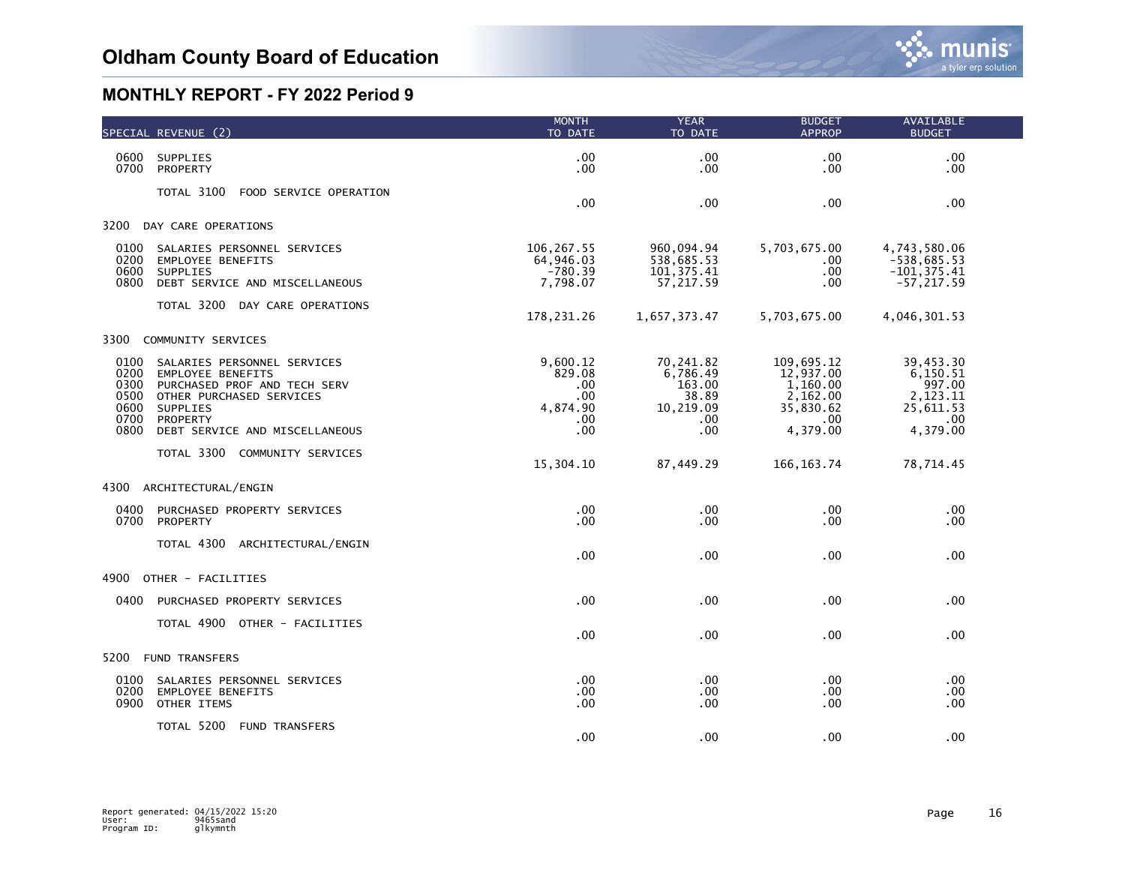|                                                      | SPECIAL REVENUE (2)                                                                                                                                                           | <b>MONTH</b><br>TO DATE                                    | <b>YEAR</b><br>TO DATE                                              | <b>BUDGET</b><br><b>APPROP</b>                                                   | <b>AVAILABLE</b><br><b>BUDGET</b>                                           |  |
|------------------------------------------------------|-------------------------------------------------------------------------------------------------------------------------------------------------------------------------------|------------------------------------------------------------|---------------------------------------------------------------------|----------------------------------------------------------------------------------|-----------------------------------------------------------------------------|--|
| 0600<br>0700                                         | SUPPLIES<br>PROPERTY                                                                                                                                                          | .00<br>.00                                                 | .00<br>.00                                                          | .00<br>.00                                                                       | .00<br>.00                                                                  |  |
|                                                      | TOTAL 3100<br>FOOD SERVICE OPERATION                                                                                                                                          | .00                                                        | .00                                                                 | .00                                                                              | .00                                                                         |  |
| 3200                                                 | DAY CARE OPERATIONS                                                                                                                                                           |                                                            |                                                                     |                                                                                  |                                                                             |  |
| 0100<br>0200<br>0600<br>0800                         | SALARIES PERSONNEL SERVICES<br><b>EMPLOYEE BENEFITS</b><br>SUPPLIES<br>DEBT SERVICE AND MISCELLANEOUS                                                                         | 106,267.55<br>64,946.03<br>$-780.39$<br>7,798.07           | 960,094.94<br>538,685.53<br>101, 375.41<br>57,217.59                | 5,703,675.00<br>.00<br>.00<br>.00                                                | 4,743,580.06<br>$-538,685.53$<br>$-101, 375.41$<br>$-57, 217.59$            |  |
|                                                      | TOTAL 3200 DAY CARE OPERATIONS                                                                                                                                                | 178,231.26                                                 | 1,657,373.47                                                        | 5,703,675.00                                                                     | 4,046,301.53                                                                |  |
| 3300                                                 | COMMUNITY SERVICES                                                                                                                                                            |                                                            |                                                                     |                                                                                  |                                                                             |  |
| 0100<br>0200<br>0300<br>0500<br>0600<br>0700<br>0800 | SALARIES PERSONNEL SERVICES<br><b>EMPLOYEE BENEFITS</b><br>PURCHASED PROF AND TECH SERV<br>OTHER PURCHASED SERVICES<br>SUPPLIES<br>PROPERTY<br>DEBT SERVICE AND MISCELLANEOUS | 9,600.12<br>829.08<br>.00<br>.00<br>4,874.90<br>.00<br>.00 | 70,241.82<br>6,786.49<br>163.00<br>38.89<br>10,219.09<br>.00<br>.00 | 109,695.12<br>12,937.00<br>1,160.00<br>2,162.00<br>35,830.62<br>.00.<br>4,379.00 | 39,453.30<br>6,150.51<br>997.00<br>2,123.11<br>25,611.53<br>.00<br>4,379.00 |  |
|                                                      | TOTAL 3300<br>COMMUNITY SERVICES                                                                                                                                              | 15,304.10                                                  | 87,449.29                                                           | 166, 163. 74                                                                     | 78,714.45                                                                   |  |
| 4300                                                 | ARCHITECTURAL/ENGIN                                                                                                                                                           |                                                            |                                                                     |                                                                                  |                                                                             |  |
| 0400<br>0700                                         | PURCHASED PROPERTY SERVICES<br>PROPERTY                                                                                                                                       | .00<br>.00                                                 | $.00 \,$<br>.00                                                     | .00<br>.00                                                                       | .00<br>.00                                                                  |  |
|                                                      | TOTAL 4300<br>ARCHITECTURAL/ENGIN                                                                                                                                             | .00                                                        | .00                                                                 | .00                                                                              | .00                                                                         |  |
| 4900                                                 | OTHER - FACILITIES                                                                                                                                                            |                                                            |                                                                     |                                                                                  |                                                                             |  |
| 0400                                                 | PURCHASED PROPERTY SERVICES                                                                                                                                                   | .00                                                        | .00                                                                 | .00                                                                              | .00                                                                         |  |
|                                                      | TOTAL 4900 OTHER - FACILITIES                                                                                                                                                 | .00                                                        | $.00 \,$                                                            | .00                                                                              | .00                                                                         |  |
| 5200                                                 | <b>FUND TRANSFERS</b>                                                                                                                                                         |                                                            |                                                                     |                                                                                  |                                                                             |  |
| 0100<br>0200<br>0900                                 | SALARIES PERSONNEL SERVICES<br><b>EMPLOYEE BENEFITS</b><br>OTHER ITEMS                                                                                                        | .00<br>.00<br>.00                                          | .00<br>$.00 \,$<br>.00                                              | .00<br>.00<br>.00                                                                | .00<br>.00<br>.00                                                           |  |
|                                                      | TOTAL 5200<br><b>FUND TRANSFERS</b>                                                                                                                                           | .00                                                        | .00                                                                 | .00                                                                              | .00                                                                         |  |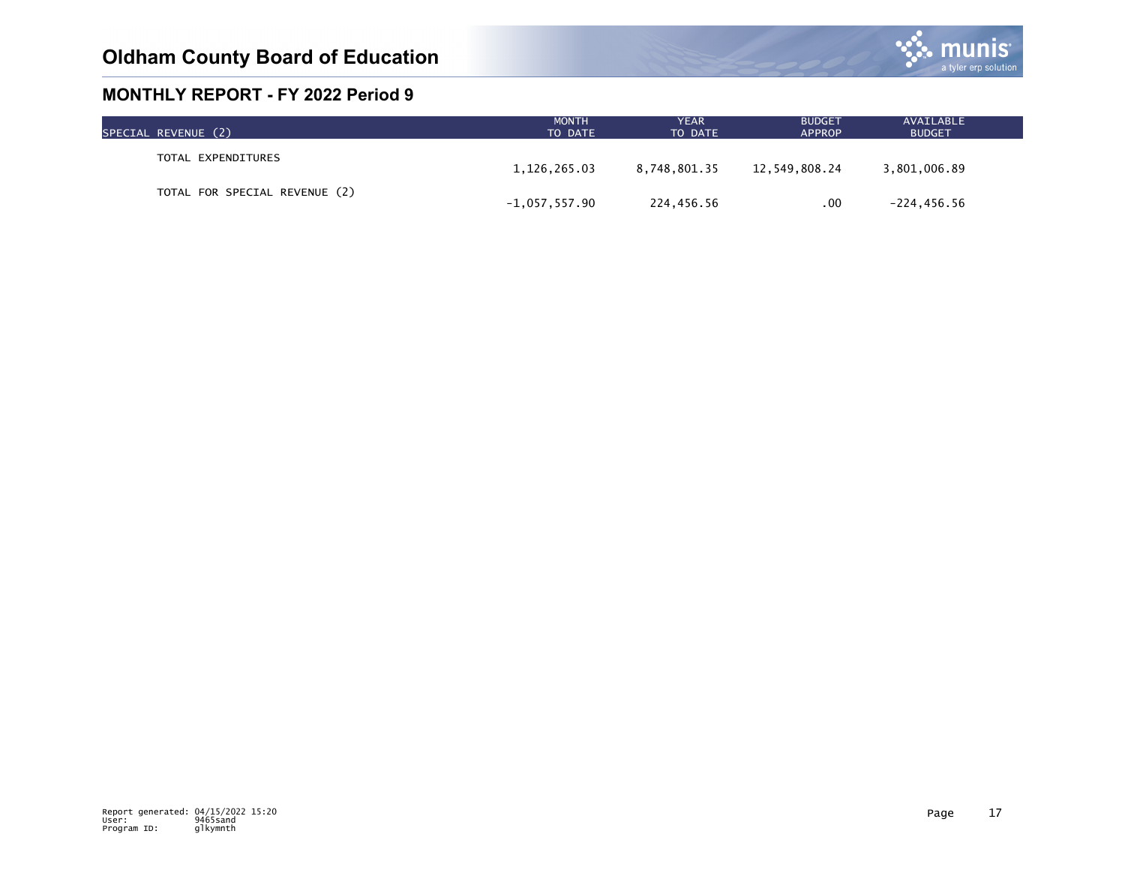

| SPECIAL REVENUE (2)           | <b>MONTH</b><br>TO DATE | YEAR<br>TO DATE | <b>BUDGET</b><br><b>APPROP</b> | AVAILABLE<br><b>BUDGET</b> |  |
|-------------------------------|-------------------------|-----------------|--------------------------------|----------------------------|--|
| TOTAL EXPENDITURES            | 1,126,265.03            | 8.748.801.35    | 12,549,808.24                  | 3,801,006.89               |  |
| TOTAL FOR SPECIAL REVENUE (2) |                         |                 |                                |                            |  |
|                               | $-1,057,557.90$         | 224,456.56      | .00                            | $-224, 456.56$             |  |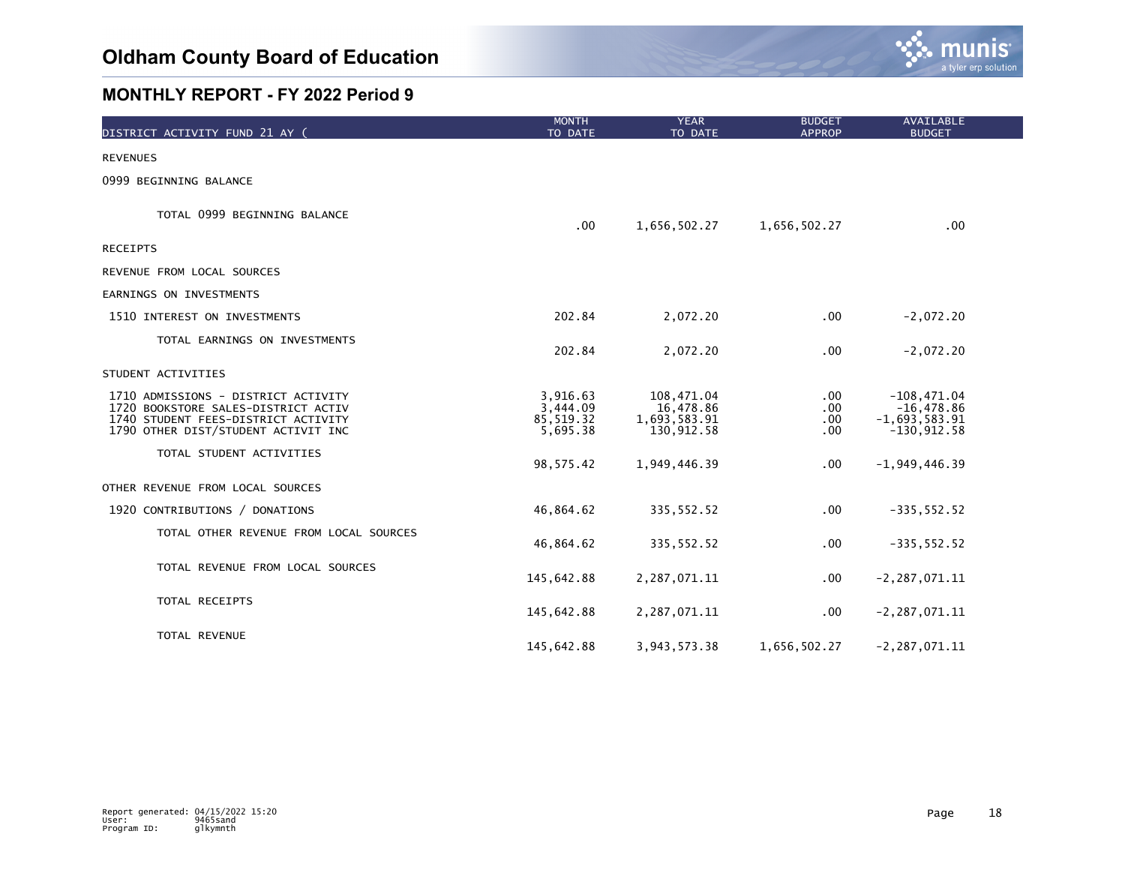

| DISTRICT ACTIVITY FUND 21 AY (                                                                                                                           | <b>MONTH</b><br>TO DATE                        | <b>YEAR</b><br>TO DATE                                | <b>BUDGET</b><br><b>APPROP</b>  | <b>AVAILABLE</b><br><b>BUDGET</b>                                 |  |
|----------------------------------------------------------------------------------------------------------------------------------------------------------|------------------------------------------------|-------------------------------------------------------|---------------------------------|-------------------------------------------------------------------|--|
| <b>REVENUES</b>                                                                                                                                          |                                                |                                                       |                                 |                                                                   |  |
| 0999 BEGINNING BALANCE                                                                                                                                   |                                                |                                                       |                                 |                                                                   |  |
| TOTAL 0999 BEGINNING BALANCE                                                                                                                             | .00                                            | 1,656,502.27                                          | 1,656,502.27                    | .00                                                               |  |
| <b>RECEIPTS</b>                                                                                                                                          |                                                |                                                       |                                 |                                                                   |  |
| REVENUE FROM LOCAL SOURCES                                                                                                                               |                                                |                                                       |                                 |                                                                   |  |
| EARNINGS ON INVESTMENTS                                                                                                                                  |                                                |                                                       |                                 |                                                                   |  |
| 1510 INTEREST ON INVESTMENTS                                                                                                                             | 202.84                                         | 2,072.20                                              | .00 <sub>1</sub>                | $-2,072.20$                                                       |  |
| TOTAL EARNINGS ON INVESTMENTS                                                                                                                            | 202.84                                         | 2,072.20                                              | .00                             | $-2,072.20$                                                       |  |
| STUDENT ACTIVITIES                                                                                                                                       |                                                |                                                       |                                 |                                                                   |  |
| 1710 ADMISSIONS - DISTRICT ACTIVITY<br>1720 BOOKSTORE SALES-DISTRICT ACTIV<br>1740 STUDENT FEES-DISTRICT ACTIVITY<br>1790 OTHER DIST/STUDENT ACTIVIT INC | 3,916.63<br>3,444.09<br>85, 519.32<br>5,695.38 | 108,471.04<br>16,478.86<br>1,693,583.91<br>130,912.58 | $.00 \,$<br>.00.<br>.00.<br>.00 | $-108,471.04$<br>$-16,478.86$<br>$-1,693,583.91$<br>$-130,912.58$ |  |
| TOTAL STUDENT ACTIVITIES                                                                                                                                 | 98, 575.42                                     | 1,949,446.39                                          | .00                             | $-1,949,446.39$                                                   |  |
| OTHER REVENUE FROM LOCAL SOURCES                                                                                                                         |                                                |                                                       |                                 |                                                                   |  |
| 1920 CONTRIBUTIONS / DONATIONS                                                                                                                           | 46,864.62                                      | 335, 552.52                                           | .00                             | $-335, 552.52$                                                    |  |
| TOTAL OTHER REVENUE FROM LOCAL SOURCES                                                                                                                   | 46,864.62                                      | 335, 552.52                                           | .00                             | $-335, 552.52$                                                    |  |
| TOTAL REVENUE FROM LOCAL SOURCES                                                                                                                         | 145,642.88                                     | 2,287,071.11                                          | .00                             | $-2, 287, 071.11$                                                 |  |
| TOTAL RECEIPTS                                                                                                                                           | 145,642.88                                     | 2,287,071.11                                          | $.00 \,$                        | $-2, 287, 071.11$                                                 |  |
| TOTAL REVENUE                                                                                                                                            | 145,642.88                                     | 3,943,573.38                                          | 1,656,502.27                    | $-2, 287, 071.11$                                                 |  |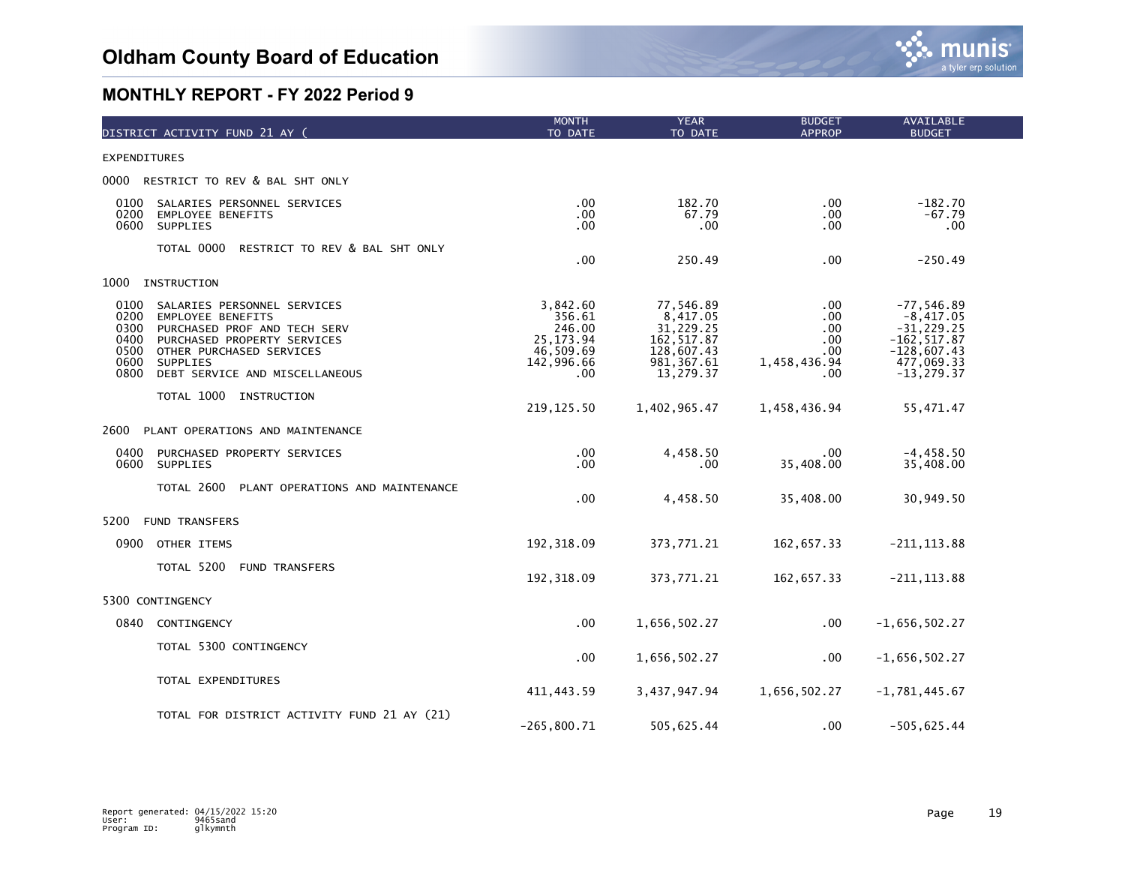

| DISTRICT ACTIVITY FUND 21 AY (                                                                                                                                                                                                                           | <b>MONTH</b><br>TO DATE                                                       | <b>YEAR</b><br>TO DATE                                                                      | <b>BUDGET</b><br><b>APPROP</b>                         | <b>AVAILABLE</b><br><b>BUDGET</b>                                                                              |  |
|----------------------------------------------------------------------------------------------------------------------------------------------------------------------------------------------------------------------------------------------------------|-------------------------------------------------------------------------------|---------------------------------------------------------------------------------------------|--------------------------------------------------------|----------------------------------------------------------------------------------------------------------------|--|
| <b>EXPENDITURES</b>                                                                                                                                                                                                                                      |                                                                               |                                                                                             |                                                        |                                                                                                                |  |
| 0000 RESTRICT TO REV & BAL SHT ONLY                                                                                                                                                                                                                      |                                                                               |                                                                                             |                                                        |                                                                                                                |  |
| 0100<br>SALARIES PERSONNEL SERVICES<br>0200<br><b>EMPLOYEE BENEFITS</b><br>SUPPLIES<br>0600                                                                                                                                                              | .00<br>.00<br>.00                                                             | 182.70<br>67.79<br>.00                                                                      | .00.<br>.00<br>.00                                     | $-182.70$<br>$-67.79$<br>.00                                                                                   |  |
| TOTAL 0000<br>RESTRICT TO REV & BAL SHT ONLY                                                                                                                                                                                                             | .00                                                                           | 250.49                                                                                      | .00                                                    | $-250.49$                                                                                                      |  |
| 1000<br>INSTRUCTION                                                                                                                                                                                                                                      |                                                                               |                                                                                             |                                                        |                                                                                                                |  |
| 0100<br>SALARIES PERSONNEL SERVICES<br>0200<br><b>EMPLOYEE BENEFITS</b><br>0300<br>PURCHASED PROF AND TECH SERV<br>0400<br>PURCHASED PROPERTY SERVICES<br>0500<br>OTHER PURCHASED SERVICES<br>0600<br>SUPPLIES<br>DEBT SERVICE AND MISCELLANEOUS<br>0800 | 3,842.60<br>356.61<br>246.00<br>25, 173. 94<br>46,509.69<br>142,996.66<br>.00 | 77,546.89<br>8,417.05<br>31,229.25<br>162, 517.87<br>128,607.43<br>981, 367.61<br>13,279.37 | .00<br>.00<br>.00<br>.00<br>.00<br>1,458,436.94<br>.00 | $-77,546.89$<br>$-8,417.05$<br>$-31, 229.25$<br>$-162, 517.87$<br>$-128,607.43$<br>477,069.33<br>$-13, 279.37$ |  |
| TOTAL 1000 INSTRUCTION                                                                                                                                                                                                                                   | 219, 125.50                                                                   | 1,402,965.47                                                                                | 1,458,436.94                                           | 55,471.47                                                                                                      |  |
| 2600<br>PLANT OPERATIONS AND MAINTENANCE                                                                                                                                                                                                                 |                                                                               |                                                                                             |                                                        |                                                                                                                |  |
| 0400<br>PURCHASED PROPERTY SERVICES<br>0600<br>SUPPLIES                                                                                                                                                                                                  | .00<br>.00                                                                    | 4,458.50<br>.00                                                                             | .00<br>35,408.00                                       | $-4, 458.50$<br>35,408.00                                                                                      |  |
| TOTAL 2600<br>PLANT OPERATIONS AND MAINTENANCE                                                                                                                                                                                                           | .00                                                                           | 4,458.50                                                                                    | 35,408.00                                              | 30,949.50                                                                                                      |  |
| 5200<br><b>FUND TRANSFERS</b>                                                                                                                                                                                                                            |                                                                               |                                                                                             |                                                        |                                                                                                                |  |
| OTHER ITEMS<br>0900                                                                                                                                                                                                                                      | 192, 318.09                                                                   | 373,771.21                                                                                  | 162,657.33                                             | $-211, 113.88$                                                                                                 |  |
| TOTAL 5200<br><b>FUND TRANSFERS</b>                                                                                                                                                                                                                      | 192, 318.09                                                                   | 373,771.21                                                                                  | 162,657.33                                             | $-211, 113.88$                                                                                                 |  |
| 5300 CONTINGENCY                                                                                                                                                                                                                                         |                                                                               |                                                                                             |                                                        |                                                                                                                |  |
| 0840<br>CONTINGENCY                                                                                                                                                                                                                                      | .00                                                                           | 1,656,502.27                                                                                | .00                                                    | $-1,656,502.27$                                                                                                |  |
| TOTAL 5300 CONTINGENCY                                                                                                                                                                                                                                   | .00                                                                           | 1,656,502.27                                                                                | .00                                                    | $-1,656,502.27$                                                                                                |  |
| TOTAL EXPENDITURES                                                                                                                                                                                                                                       | 411, 443.59                                                                   | 3,437,947.94                                                                                | 1,656,502.27                                           | $-1,781,445.67$                                                                                                |  |
| TOTAL FOR DISTRICT ACTIVITY FUND 21 AY (21)                                                                                                                                                                                                              | $-265, 800.71$                                                                | 505,625.44                                                                                  | .00                                                    | $-505,625.44$                                                                                                  |  |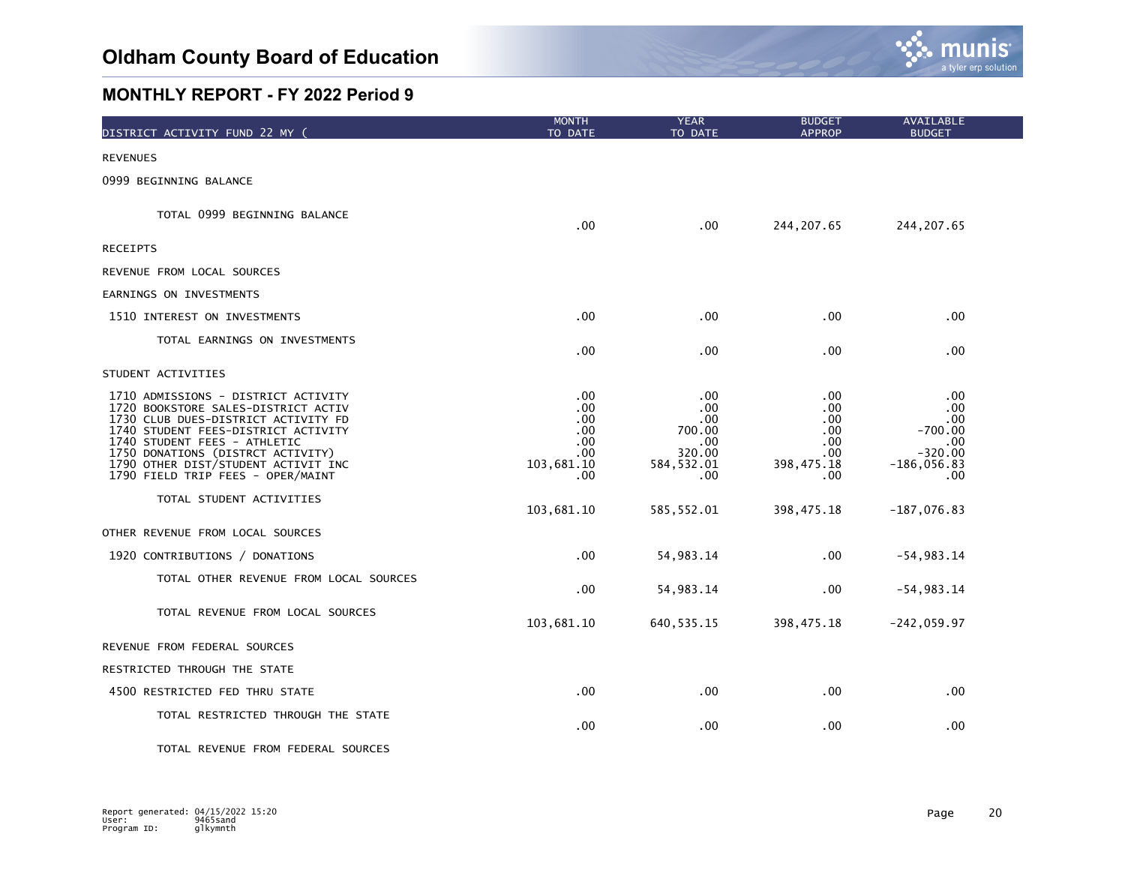

| DISTRICT ACTIVITY FUND 22 MY (                                                                                                                                                                                                                                                                            | <b>MONTH</b><br>TO DATE                                                   | <b>YEAR</b><br>TO DATE                                                        | <b>BUDGET</b><br><b>APPROP</b>                               | <b>AVAILABLE</b><br><b>BUDGET</b>                                                |  |
|-----------------------------------------------------------------------------------------------------------------------------------------------------------------------------------------------------------------------------------------------------------------------------------------------------------|---------------------------------------------------------------------------|-------------------------------------------------------------------------------|--------------------------------------------------------------|----------------------------------------------------------------------------------|--|
| <b>REVENUES</b>                                                                                                                                                                                                                                                                                           |                                                                           |                                                                               |                                                              |                                                                                  |  |
| 0999 BEGINNING BALANCE                                                                                                                                                                                                                                                                                    |                                                                           |                                                                               |                                                              |                                                                                  |  |
| TOTAL 0999 BEGINNING BALANCE                                                                                                                                                                                                                                                                              | .00.                                                                      | .00                                                                           | 244, 207.65                                                  | 244, 207.65                                                                      |  |
| <b>RECEIPTS</b>                                                                                                                                                                                                                                                                                           |                                                                           |                                                                               |                                                              |                                                                                  |  |
| REVENUE FROM LOCAL SOURCES                                                                                                                                                                                                                                                                                |                                                                           |                                                                               |                                                              |                                                                                  |  |
| EARNINGS ON INVESTMENTS                                                                                                                                                                                                                                                                                   |                                                                           |                                                                               |                                                              |                                                                                  |  |
| 1510 INTEREST ON INVESTMENTS                                                                                                                                                                                                                                                                              | .00.                                                                      | $.00 \,$                                                                      | .00                                                          | .00.                                                                             |  |
| TOTAL EARNINGS ON INVESTMENTS                                                                                                                                                                                                                                                                             | .00.                                                                      | $.00 \,$                                                                      | .00                                                          | .00                                                                              |  |
| STUDENT ACTIVITIES                                                                                                                                                                                                                                                                                        |                                                                           |                                                                               |                                                              |                                                                                  |  |
| 1710 ADMISSIONS - DISTRICT ACTIVITY<br>1720 BOOKSTORE SALES-DISTRICT ACTIV<br>1730 CLUB DUES-DISTRICT ACTIVITY FD<br>1740 STUDENT FEES-DISTRICT ACTIVITY<br>1740 STUDENT FEES - ATHLETIC<br>1750 DONATIONS (DISTRCT ACTIVITY)<br>1790 OTHER DIST/STUDENT ACTIVIT INC<br>1790 FIELD TRIP FEES - OPER/MAINT | .00.<br>.00.<br>.00.<br>.00.<br>$.00 \,$<br>$.00 \,$<br>103,681.10<br>.00 | $.00 \,$<br>$.00 \,$<br>.00.<br>700.00<br>.00<br>320.00<br>584, 532.01<br>.00 | .00<br>.00<br>.00<br>.00.<br>.00<br>.00<br>398,475.18<br>.00 | .00<br>.00.<br>.00<br>$-700.00$<br>.00<br>$-320.00$<br>$-186,056.83$<br>$.00 \,$ |  |
| TOTAL STUDENT ACTIVITIES                                                                                                                                                                                                                                                                                  | 103,681.10                                                                | 585, 552.01                                                                   | 398, 475.18                                                  | $-187,076.83$                                                                    |  |
| OTHER REVENUE FROM LOCAL SOURCES                                                                                                                                                                                                                                                                          |                                                                           |                                                                               |                                                              |                                                                                  |  |
| 1920 CONTRIBUTIONS / DONATIONS                                                                                                                                                                                                                                                                            | .00                                                                       | 54, 983. 14                                                                   | .00                                                          | $-54,983.14$                                                                     |  |
| TOTAL OTHER REVENUE FROM LOCAL SOURCES                                                                                                                                                                                                                                                                    | .00                                                                       | 54, 983. 14                                                                   | .00                                                          | $-54,983.14$                                                                     |  |
| TOTAL REVENUE FROM LOCAL SOURCES                                                                                                                                                                                                                                                                          | 103,681.10                                                                | 640, 535.15                                                                   | 398, 475.18                                                  | $-242,059.97$                                                                    |  |
| REVENUE FROM FEDERAL SOURCES                                                                                                                                                                                                                                                                              |                                                                           |                                                                               |                                                              |                                                                                  |  |
| RESTRICTED THROUGH THE STATE                                                                                                                                                                                                                                                                              |                                                                           |                                                                               |                                                              |                                                                                  |  |
| 4500 RESTRICTED FED THRU STATE                                                                                                                                                                                                                                                                            | .00.                                                                      | $.00 \,$                                                                      | $.00 \,$                                                     | .00.                                                                             |  |
| TOTAL RESTRICTED THROUGH THE STATE                                                                                                                                                                                                                                                                        | .00                                                                       | $.00 \,$                                                                      | .00                                                          | .00                                                                              |  |
| TOTAL REVENUE FROM FEDERAL SOURCES                                                                                                                                                                                                                                                                        |                                                                           |                                                                               |                                                              |                                                                                  |  |

Report generated: 04/15/2022 15:20 Page 20 User: 9465sand Program ID: glkymnth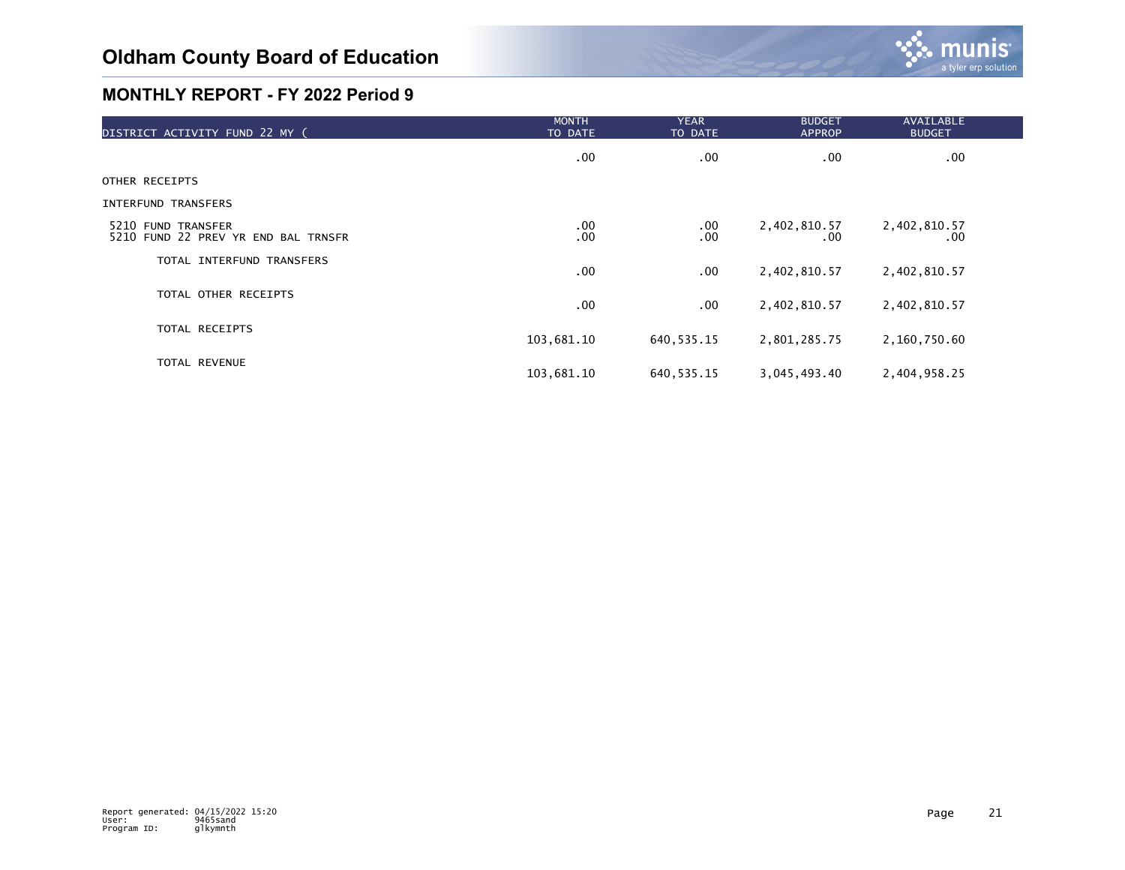| DISTRICT ACTIVITY FUND 22 MY (                            | <b>MONTH</b><br>TO DATE | <b>YEAR</b><br>TO DATE | <b>BUDGET</b><br><b>APPROP</b> | <b>AVAILABLE</b><br><b>BUDGET</b> |  |
|-----------------------------------------------------------|-------------------------|------------------------|--------------------------------|-----------------------------------|--|
|                                                           | $.00 \,$                | .00                    | .00                            | $.00 \,$                          |  |
| OTHER RECEIPTS                                            |                         |                        |                                |                                   |  |
| <b>INTERFUND TRANSFERS</b>                                |                         |                        |                                |                                   |  |
| 5210 FUND TRANSFER<br>5210 FUND 22 PREV YR END BAL TRNSFR | $.00 \,$<br>.00         | $.00 \,$<br>.00        | 2,402,810.57<br>.00            | 2,402,810.57<br>$.00 \,$          |  |
| TOTAL INTERFUND TRANSFERS                                 | $.00 \,$                | $.00 \,$               | 2,402,810.57                   | 2,402,810.57                      |  |
| TOTAL OTHER RECEIPTS                                      | $.00 \,$                | $.00 \,$               | 2,402,810.57                   | 2,402,810.57                      |  |
| TOTAL RECEIPTS                                            | 103,681.10              | 640, 535. 15           | 2,801,285.75                   | 2,160,750.60                      |  |
| TOTAL REVENUE                                             | 103,681.10              | 640, 535.15            | 3,045,493.40                   | 2,404,958.25                      |  |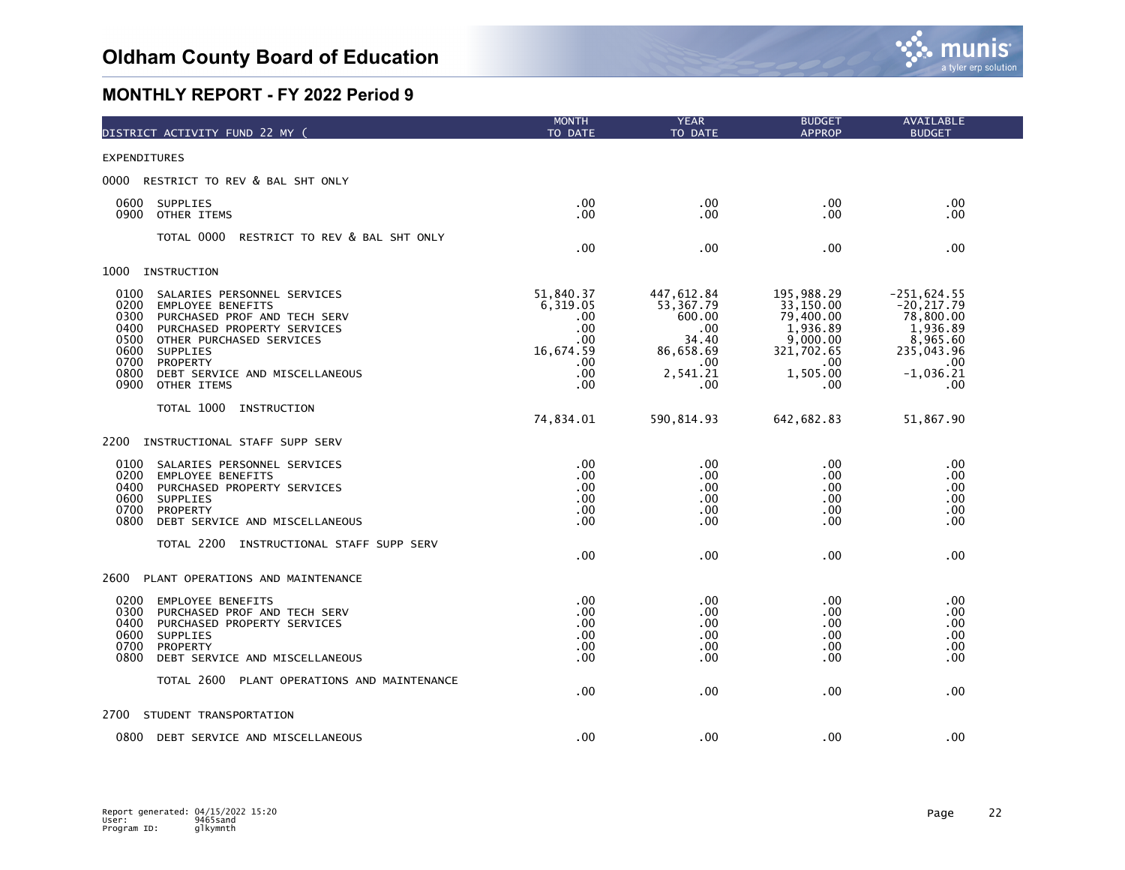

| DISTRICT ACTIVITY FUND 22 MY (                                                                                                                                                                                                                                                                      | <b>MONTH</b><br>TO DATE                                                         | <b>YEAR</b><br>TO DATE                                                                         | <b>BUDGET</b><br><b>APPROP</b>                                                                       | AVAILABLE<br><b>BUDGET</b>                                                                                     |  |
|-----------------------------------------------------------------------------------------------------------------------------------------------------------------------------------------------------------------------------------------------------------------------------------------------------|---------------------------------------------------------------------------------|------------------------------------------------------------------------------------------------|------------------------------------------------------------------------------------------------------|----------------------------------------------------------------------------------------------------------------|--|
| <b>EXPENDITURES</b>                                                                                                                                                                                                                                                                                 |                                                                                 |                                                                                                |                                                                                                      |                                                                                                                |  |
| 0000<br>RESTRICT TO REV & BAL SHT ONLY                                                                                                                                                                                                                                                              |                                                                                 |                                                                                                |                                                                                                      |                                                                                                                |  |
| 0600<br>SUPPLIES<br>0900<br>OTHER ITEMS                                                                                                                                                                                                                                                             | .00<br>.00                                                                      | .00<br>.00                                                                                     | .00<br>.00                                                                                           | $.00 \times$<br>.00                                                                                            |  |
| TOTAL 0000<br>RESTRICT TO REV & BAL SHT ONLY                                                                                                                                                                                                                                                        | .00                                                                             | .00                                                                                            | .00                                                                                                  | .00                                                                                                            |  |
| 1000<br>INSTRUCTION                                                                                                                                                                                                                                                                                 |                                                                                 |                                                                                                |                                                                                                      |                                                                                                                |  |
| 0100<br>SALARIES PERSONNEL SERVICES<br>0200<br><b>EMPLOYEE BENEFITS</b><br>0300<br>PURCHASED PROF AND TECH SERV<br>0400<br>PURCHASED PROPERTY SERVICES<br>0500<br>OTHER PURCHASED SERVICES<br>0600<br>SUPPLIES<br>0700<br>PROPERTY<br>0800<br>DEBT SERVICE AND MISCELLANEOUS<br>0900<br>OTHER ITEMS | 51,840.37<br>6,319.05<br>.00.<br>.00<br>. 00<br>16,674.59<br>.00.<br>.00<br>.00 | 447,612.84<br>53,367.79<br>600.00<br>$.00 \,$<br>34.40<br>86,658.69<br>.00.<br>2,541.21<br>.00 | 195,988.29<br>33,150.00<br>79,400.00<br>1,936.89<br>9,000.00<br>321,702.65<br>.00<br>1,505.00<br>.00 | $-251,624.55$<br>$-20, 217.79$<br>78,800.00<br>1,936.89<br>8,965.60<br>235,043.96<br>.00<br>$-1,036.21$<br>.00 |  |
| TOTAL 1000<br>INSTRUCTION                                                                                                                                                                                                                                                                           | 74,834.01                                                                       | 590, 814.93                                                                                    | 642, 682.83                                                                                          | 51,867.90                                                                                                      |  |
| 2200<br>INSTRUCTIONAL STAFF SUPP SERV                                                                                                                                                                                                                                                               |                                                                                 |                                                                                                |                                                                                                      |                                                                                                                |  |
| 0100<br>SALARIES PERSONNEL SERVICES<br>0200<br><b>EMPLOYEE BENEFITS</b><br>0400<br>PURCHASED PROPERTY SERVICES<br>0600<br><b>SUPPLIES</b><br>0700<br>PROPERTY<br>0800<br>DEBT SERVICE AND MISCELLANEOUS<br>TOTAL 2200<br>INSTRUCTIONAL STAFF SUPP SERV                                              | .00<br>.00<br>.00<br>.00<br>.00<br>.00                                          | $.00 \times$<br>.00<br>.00<br>.00<br>.00<br>$.00 \times$                                       | .00<br>.00<br>.00<br>.00<br>.00<br>.00                                                               | .00<br>.00.<br>.00<br>.00<br>.00<br>$.00 \times$                                                               |  |
|                                                                                                                                                                                                                                                                                                     | .00                                                                             | .00                                                                                            | .00                                                                                                  | .00                                                                                                            |  |
| 2600<br>PLANT OPERATIONS AND MAINTENANCE                                                                                                                                                                                                                                                            |                                                                                 |                                                                                                |                                                                                                      |                                                                                                                |  |
| 0200<br><b>EMPLOYEE BENEFITS</b><br>0300<br>PURCHASED PROF AND TECH SERV<br>0400<br>PURCHASED PROPERTY SERVICES<br>0600<br>SUPPLIES<br>0700<br><b>PROPERTY</b><br>0800<br>DEBT SERVICE AND MISCELLANEOUS                                                                                            | .00<br>.00<br>.00<br>.00<br>.00<br>.00                                          | .00<br>.00<br>.00<br>.00<br>$.00 \times$<br>.00                                                | .00<br>.00<br>.00<br>.00<br>.00<br>.00                                                               | .00.<br>.00<br>.00<br>.00<br>.00.<br>.00                                                                       |  |
| TOTAL 2600<br>PLANT OPERATIONS AND MAINTENANCE                                                                                                                                                                                                                                                      | .00                                                                             | .00                                                                                            | .00                                                                                                  | .00                                                                                                            |  |
| 2700<br>STUDENT TRANSPORTATION                                                                                                                                                                                                                                                                      |                                                                                 |                                                                                                |                                                                                                      |                                                                                                                |  |
| 0800<br>DEBT SERVICE AND MISCELLANEOUS                                                                                                                                                                                                                                                              | .00                                                                             | .00                                                                                            | .00                                                                                                  | .00                                                                                                            |  |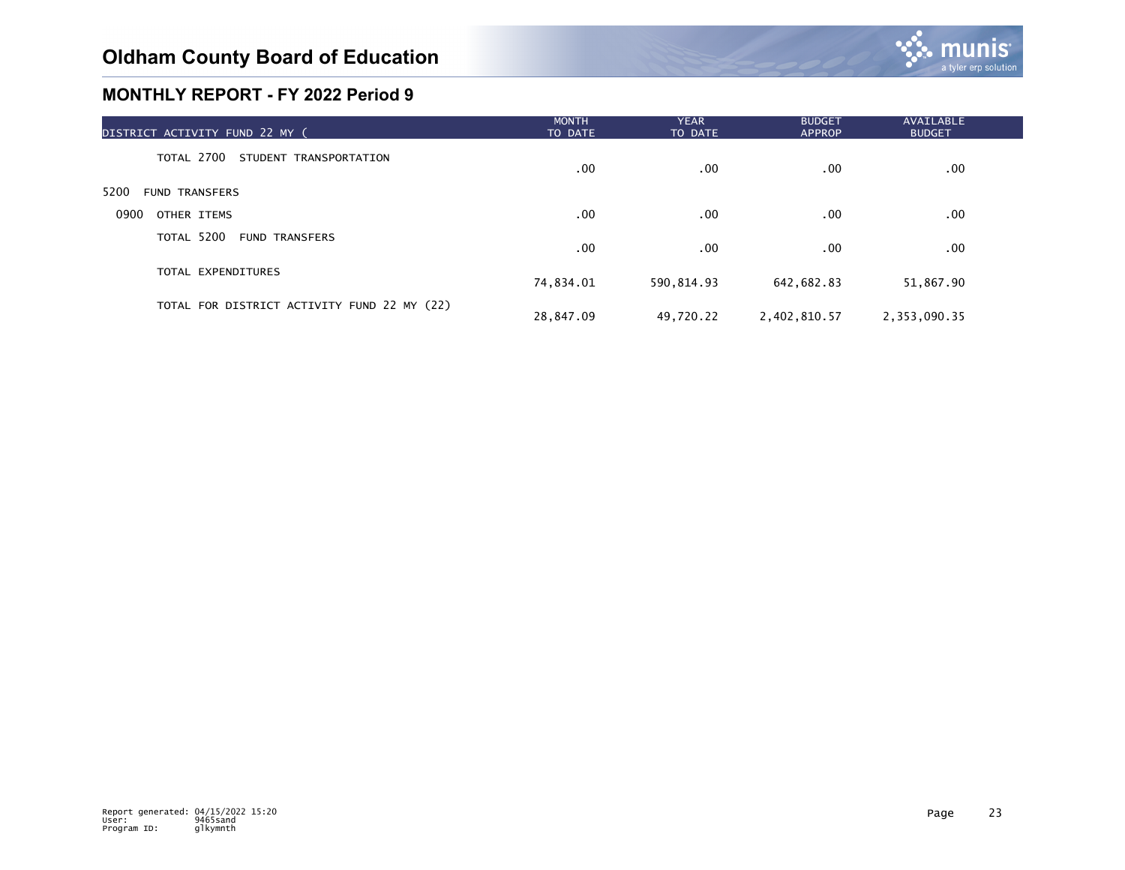| DISTRICT ACTIVITY FUND 22 MY (              | <b>MONTH</b><br>TO DATE | <b>YEAR</b><br>TO DATE | <b>BUDGET</b><br><b>APPROP</b> | AVAILABLE<br><b>BUDGET</b> |  |
|---------------------------------------------|-------------------------|------------------------|--------------------------------|----------------------------|--|
| TOTAL 2700 STUDENT TRANSPORTATION           | $.00 \,$                | .00                    | $.00 \,$                       | $.00 \,$                   |  |
| 5200<br><b>FUND TRANSFERS</b>               |                         |                        |                                |                            |  |
| 0900<br>OTHER ITEMS                         | .00.                    | .00                    | $.00 \,$                       | $.00 \,$                   |  |
| TOTAL 5200<br><b>FUND TRANSFERS</b>         | $.00 \,$                | .00                    | $.00 \,$                       | $.00 \,$                   |  |
| TOTAL EXPENDITURES                          | 74,834.01               | 590,814.93             | 642,682.83                     | 51,867.90                  |  |
| TOTAL FOR DISTRICT ACTIVITY FUND 22 MY (22) | 28,847.09               | 49,720.22              | 2,402,810.57                   | 2,353,090.35               |  |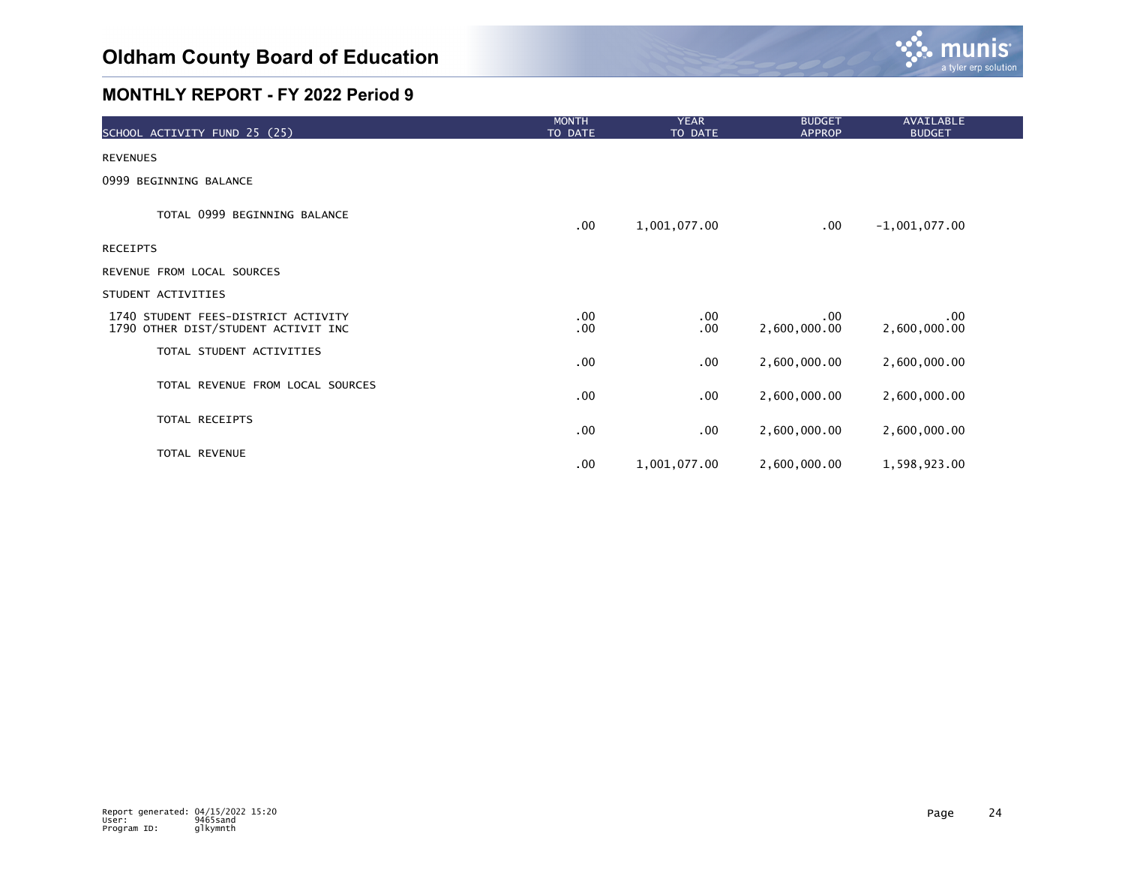

| SCHOOL ACTIVITY FUND 25 (25)                                               | <b>MONTH</b><br>TO DATE | <b>YEAR</b><br>TO DATE | <b>BUDGET</b><br><b>APPROP</b> | <b>AVAILABLE</b><br><b>BUDGET</b> |
|----------------------------------------------------------------------------|-------------------------|------------------------|--------------------------------|-----------------------------------|
| <b>REVENUES</b>                                                            |                         |                        |                                |                                   |
| 0999 BEGINNING BALANCE                                                     |                         |                        |                                |                                   |
| TOTAL 0999 BEGINNING BALANCE                                               | $.00 \,$                | 1,001,077.00           | $.00 \,$                       | $-1,001,077.00$                   |
| <b>RECEIPTS</b>                                                            |                         |                        |                                |                                   |
| REVENUE FROM LOCAL SOURCES                                                 |                         |                        |                                |                                   |
| STUDENT ACTIVITIES                                                         |                         |                        |                                |                                   |
| 1740 STUDENT FEES-DISTRICT ACTIVITY<br>1790 OTHER DIST/STUDENT ACTIVIT INC | $.00 \,$<br>.00         | .00<br>$.00 \,$        | $.00 \,$<br>2,600,000.00       | .00<br>2,600,000.00               |
| TOTAL STUDENT ACTIVITIES                                                   | .00                     | $.00 \,$               | 2,600,000.00                   | 2,600,000.00                      |
| TOTAL REVENUE FROM LOCAL SOURCES                                           | .00                     | .00                    | 2,600,000.00                   | 2,600,000.00                      |
| TOTAL RECEIPTS                                                             | $.00 \,$                | $.00 \,$               | 2,600,000.00                   | 2,600,000.00                      |
| TOTAL REVENUE                                                              | $.00 \,$                | 1,001,077.00           | 2,600,000.00                   | 1,598,923.00                      |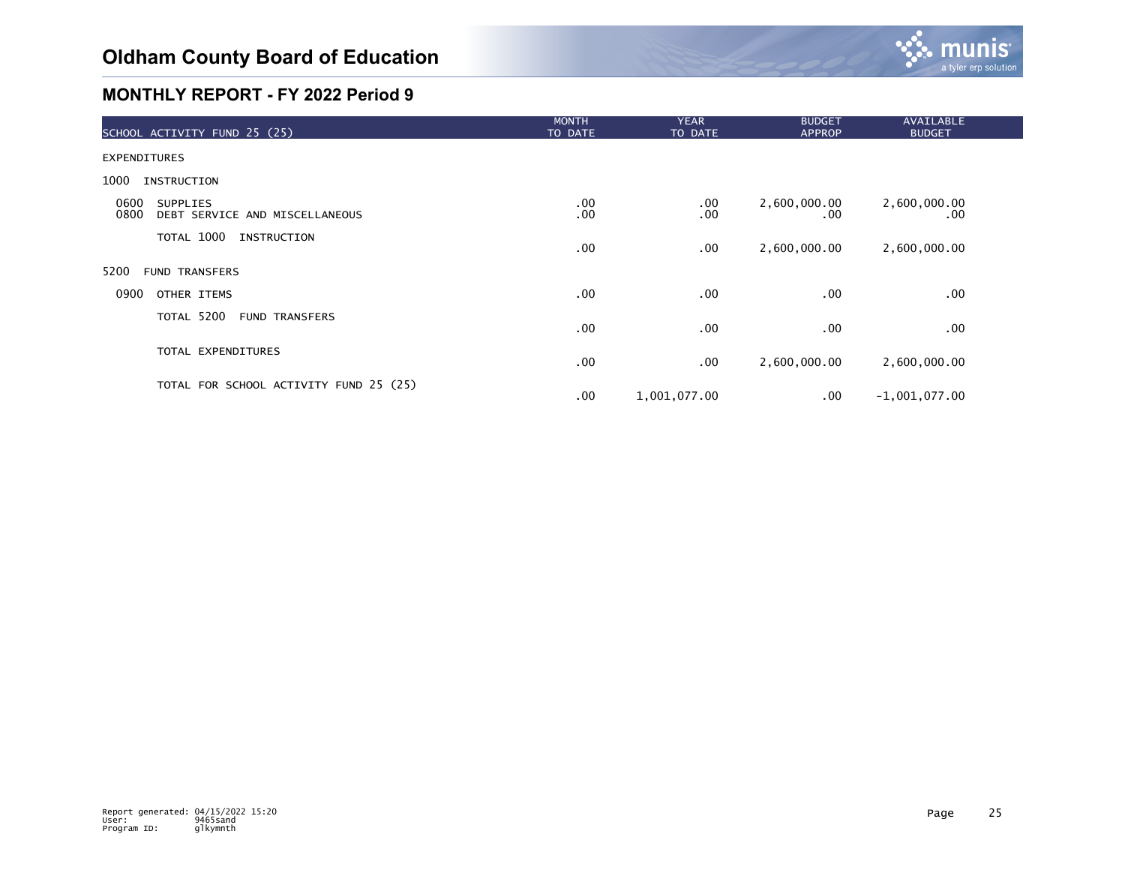

| SCHOOL ACTIVITY FUND 25 (25)                                      | <b>MONTH</b><br>TO DATE | <b>YEAR</b><br>TO DATE | <b>BUDGET</b><br>APPROP | <b>AVAILABLE</b><br><b>BUDGET</b> |  |
|-------------------------------------------------------------------|-------------------------|------------------------|-------------------------|-----------------------------------|--|
| <b>EXPENDITURES</b>                                               |                         |                        |                         |                                   |  |
| 1000<br>INSTRUCTION                                               |                         |                        |                         |                                   |  |
| 0600<br><b>SUPPLIES</b><br>0800<br>DEBT SERVICE AND MISCELLANEOUS | .00<br>.00              | $.00 \,$<br>.00        | 2,600,000.00<br>.00     | 2,600,000.00<br>.00.              |  |
| TOTAL 1000<br>INSTRUCTION                                         | $.00 \,$                | .00                    | 2,600,000.00            | 2,600,000.00                      |  |
| 5200<br><b>FUND TRANSFERS</b>                                     |                         |                        |                         |                                   |  |
| 0900<br>OTHER ITEMS                                               | $.00 \,$                | .00                    | .00                     | .00                               |  |
| TOTAL 5200<br><b>FUND TRANSFERS</b>                               | $.00 \,$                | .00                    | .00                     | .00                               |  |
| TOTAL EXPENDITURES                                                | $.00 \,$                | .00                    | 2,600,000.00            | 2,600,000.00                      |  |
| TOTAL FOR SCHOOL ACTIVITY FUND 25 (25)                            | $.00 \,$                | 1,001,077.00           | $.00 \,$                | $-1,001,077.00$                   |  |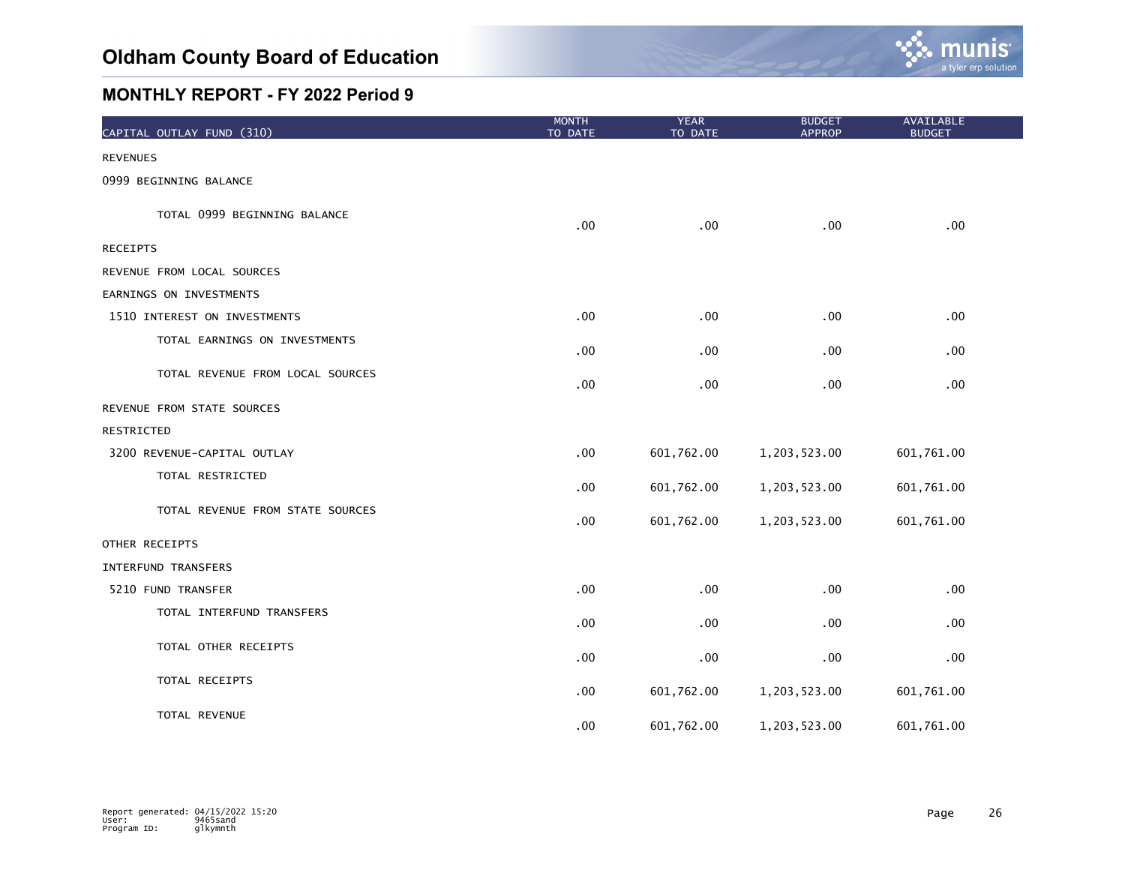

| CAPITAL OUTLAY FUND (310)        | <b>MONTH</b><br>TO DATE | <b>YEAR</b><br>TO DATE | <b>BUDGET</b><br><b>APPROP</b> | <b>AVAILABLE</b><br><b>BUDGET</b> |
|----------------------------------|-------------------------|------------------------|--------------------------------|-----------------------------------|
| <b>REVENUES</b>                  |                         |                        |                                |                                   |
| 0999 BEGINNING BALANCE           |                         |                        |                                |                                   |
| TOTAL 0999 BEGINNING BALANCE     | .00                     | .00                    | .00                            | .00                               |
| <b>RECEIPTS</b>                  |                         |                        |                                |                                   |
| REVENUE FROM LOCAL SOURCES       |                         |                        |                                |                                   |
| EARNINGS ON INVESTMENTS          |                         |                        |                                |                                   |
| 1510 INTEREST ON INVESTMENTS     | .00                     | .00                    | .00                            | .00                               |
| TOTAL EARNINGS ON INVESTMENTS    | .00                     | .00                    | .00                            | .00                               |
| TOTAL REVENUE FROM LOCAL SOURCES | .00                     | .00                    | .00                            | .00                               |
| REVENUE FROM STATE SOURCES       |                         |                        |                                |                                   |
| RESTRICTED                       |                         |                        |                                |                                   |
| 3200 REVENUE-CAPITAL OUTLAY      | .00                     | 601,762.00             | 1,203,523.00                   | 601,761.00                        |
| TOTAL RESTRICTED                 | .00                     | 601,762.00             | 1,203,523.00                   | 601,761.00                        |
| TOTAL REVENUE FROM STATE SOURCES | .00                     | 601,762.00             | 1,203,523.00                   | 601,761.00                        |
| OTHER RECEIPTS                   |                         |                        |                                |                                   |
| <b>INTERFUND TRANSFERS</b>       |                         |                        |                                |                                   |
| 5210 FUND TRANSFER               | .00                     | .00                    | .00                            | .00                               |
| TOTAL INTERFUND TRANSFERS        | .00                     | .00                    | .00                            | .00                               |
| TOTAL OTHER RECEIPTS             | .00                     | .00                    | .00                            | .00                               |
| TOTAL RECEIPTS                   | .00                     | 601,762.00             | 1,203,523.00                   | 601,761.00                        |
| TOTAL REVENUE                    | .00                     | 601,762.00             | 1,203,523.00                   | 601,761.00                        |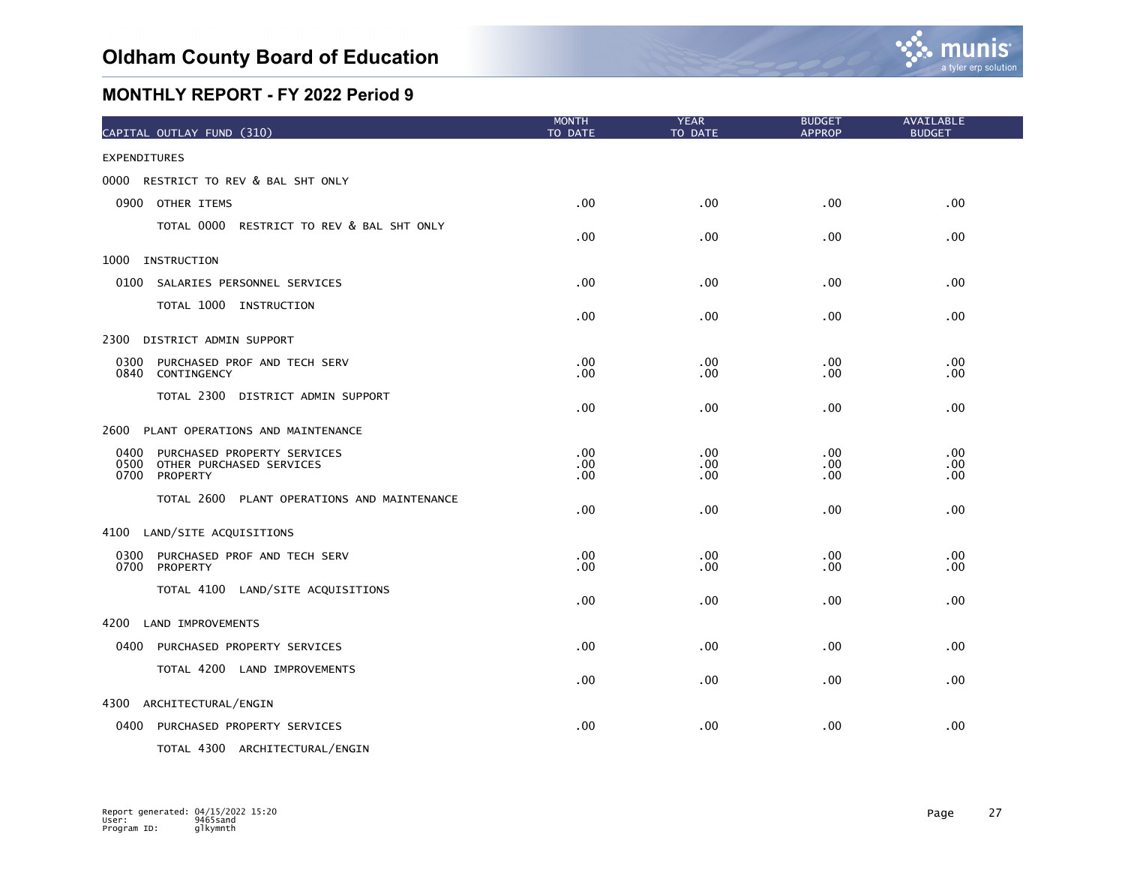

| CAPITAL OUTLAY FUND (310)                                                                   | <b>MONTH</b><br>TO DATE     | <b>YEAR</b><br>TO DATE | <b>BUDGET</b><br><b>APPROP</b> | AVAILABLE<br><b>BUDGET</b> |
|---------------------------------------------------------------------------------------------|-----------------------------|------------------------|--------------------------------|----------------------------|
| <b>EXPENDITURES</b>                                                                         |                             |                        |                                |                            |
| 0000 RESTRICT TO REV & BAL SHT ONLY                                                         |                             |                        |                                |                            |
| 0900 OTHER ITEMS                                                                            | .00                         | .00                    | .00                            | .00 <sub>1</sub>           |
| TOTAL 0000 RESTRICT TO REV & BAL SHT ONLY                                                   | .00                         | .00                    | .00                            | .00 <sub>1</sub>           |
| 1000 INSTRUCTION                                                                            |                             |                        |                                |                            |
| 0100 SALARIES PERSONNEL SERVICES                                                            | .00                         | .00                    | .00                            | .00.                       |
| TOTAL 1000 INSTRUCTION                                                                      | .00                         | .00                    | .00                            | .00                        |
| 2300 DISTRICT ADMIN SUPPORT                                                                 |                             |                        |                                |                            |
| 0300<br>PURCHASED PROF AND TECH SERV<br>0840<br>CONTINGENCY                                 | .00<br>.00                  | .00<br>.00             | .00.<br>.00                    | .00.<br>.00                |
| TOTAL 2300 DISTRICT ADMIN SUPPORT                                                           | .00                         | .00                    | .00                            | .00                        |
| 2600 PLANT OPERATIONS AND MAINTENANCE                                                       |                             |                        |                                |                            |
| 0400<br>PURCHASED PROPERTY SERVICES<br>0500<br>OTHER PURCHASED SERVICES<br>0700<br>PROPERTY | .00<br>$.00 \,$<br>$.00 \,$ | .00<br>.00<br>.00.     | .00<br>.00.<br>.00             | .00<br>.00.<br>.00         |
| TOTAL 2600 PLANT OPERATIONS AND MAINTENANCE                                                 | $.00 \,$                    | .00                    | .00                            | .00                        |
| 4100 LAND/SITE ACQUISITIONS                                                                 |                             |                        |                                |                            |
| 0300<br>PURCHASED PROF AND TECH SERV<br>0700<br>PROPERTY                                    | $.00 \,$<br>.00             | .00<br>.00             | .00.<br>.00.                   | .00.<br>.00                |
| TOTAL 4100 LAND/SITE ACQUISITIONS                                                           | .00                         | .00                    | .00.                           | .00.                       |
| 4200<br>LAND IMPROVEMENTS                                                                   |                             |                        |                                |                            |
| 0400 PURCHASED PROPERTY SERVICES                                                            | .00                         | .00                    | .00                            | .00 <sub>1</sub>           |
| TOTAL 4200 LAND IMPROVEMENTS                                                                | .00                         | .00                    | .00                            | .00                        |
| 4300 ARCHITECTURAL/ENGIN                                                                    |                             |                        |                                |                            |
| 0400 PURCHASED PROPERTY SERVICES                                                            | .00                         | .00                    | .00                            | .00                        |
| TOTAL 4300 ARCHITECTURAL/ENGIN                                                              |                             |                        |                                |                            |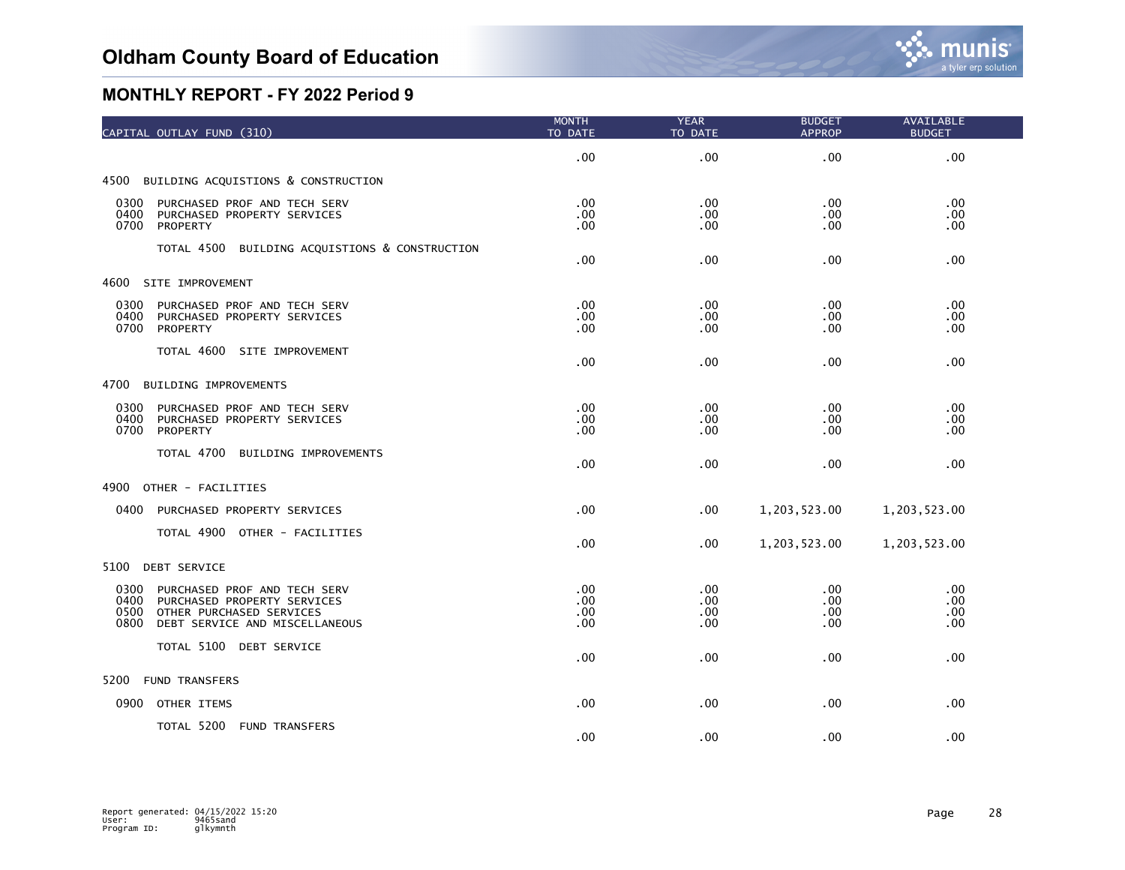| CAPITAL OUTLAY FUND (310)                                                                                                                                 | <b>MONTH</b><br>TO DATE                | <b>YEAR</b><br>TO DATE   | <b>BUDGET</b><br><b>APPROP</b> | <b>AVAILABLE</b><br><b>BUDGET</b> |
|-----------------------------------------------------------------------------------------------------------------------------------------------------------|----------------------------------------|--------------------------|--------------------------------|-----------------------------------|
|                                                                                                                                                           | .00                                    | .00                      | .00                            | .00                               |
| 4500 BUILDING ACQUISTIONS & CONSTRUCTION                                                                                                                  |                                        |                          |                                |                                   |
| 0300<br>PURCHASED PROF AND TECH SERV<br>0400<br>PURCHASED PROPERTY SERVICES<br>0700<br>PROPERTY                                                           | .00.<br>$.00 \,$<br>.00.               | .00<br>.00<br>.00        | .00<br>.00<br>.00              | .00.<br>.00<br>.00                |
| TOTAL 4500 BUILDING ACQUISTIONS & CONSTRUCTION                                                                                                            | $.00 \,$                               | .00                      | .00                            | .00                               |
| 4600 SITE IMPROVEMENT                                                                                                                                     |                                        |                          |                                |                                   |
| 0300<br>PURCHASED PROF AND TECH SERV<br>0400<br>PURCHASED PROPERTY SERVICES<br>0700<br>PROPERTY                                                           | .00.<br>.00<br>.00.                    | .00<br>.00<br>.00        | .00<br>.00<br>.00.             | .00<br>$.00 \times$<br>.00        |
| TOTAL 4600 SITE IMPROVEMENT                                                                                                                               | .00.                                   | .00                      | .00                            | .00                               |
| 4700<br>BUILDING IMPROVEMENTS                                                                                                                             |                                        |                          |                                |                                   |
| 0300<br>PURCHASED PROF AND TECH SERV<br>0400<br>PURCHASED PROPERTY SERVICES<br>0700<br>PROPERTY                                                           | .00.<br>$.00 \,$<br>$.00 \,$           | .00<br>.00<br>.00        | .00<br>$.00 \,$<br>.00         | .00.<br>.00.<br>.00               |
| TOTAL 4700 BUILDING IMPROVEMENTS                                                                                                                          | .00                                    | .00                      | .00                            | .00                               |
| 4900<br>OTHER - FACILITIES                                                                                                                                |                                        |                          |                                |                                   |
| 0400 PURCHASED PROPERTY SERVICES                                                                                                                          | .00                                    | $.00 \,$                 | 1,203,523.00                   | 1,203,523.00                      |
| TOTAL 4900 OTHER - FACILITIES                                                                                                                             | $.00 \times$                           | $.00 \,$                 | 1,203,523.00                   | 1,203,523.00                      |
| 5100<br>DEBT SERVICE                                                                                                                                      |                                        |                          |                                |                                   |
| 0300<br>PURCHASED PROF AND TECH SERV<br>0400<br>PURCHASED PROPERTY SERVICES<br>0500<br>OTHER PURCHASED SERVICES<br>0800<br>DEBT SERVICE AND MISCELLANEOUS | $.00 \times$<br>.00<br>.00<br>$.00 \,$ | .00<br>.00<br>.00<br>.00 | .00<br>.00<br>.00<br>.00       | .00<br>.00<br>$.00 \times$<br>.00 |
| TOTAL 5100 DEBT SERVICE                                                                                                                                   | .00                                    | .00                      | .00                            | .00                               |
| 5200<br><b>FUND TRANSFERS</b>                                                                                                                             |                                        |                          |                                |                                   |
| 0900 OTHER ITEMS                                                                                                                                          | .00                                    | .00                      | .00                            | .00                               |
| TOTAL 5200 FUND TRANSFERS                                                                                                                                 | .00                                    | .00                      | .00                            | .00                               |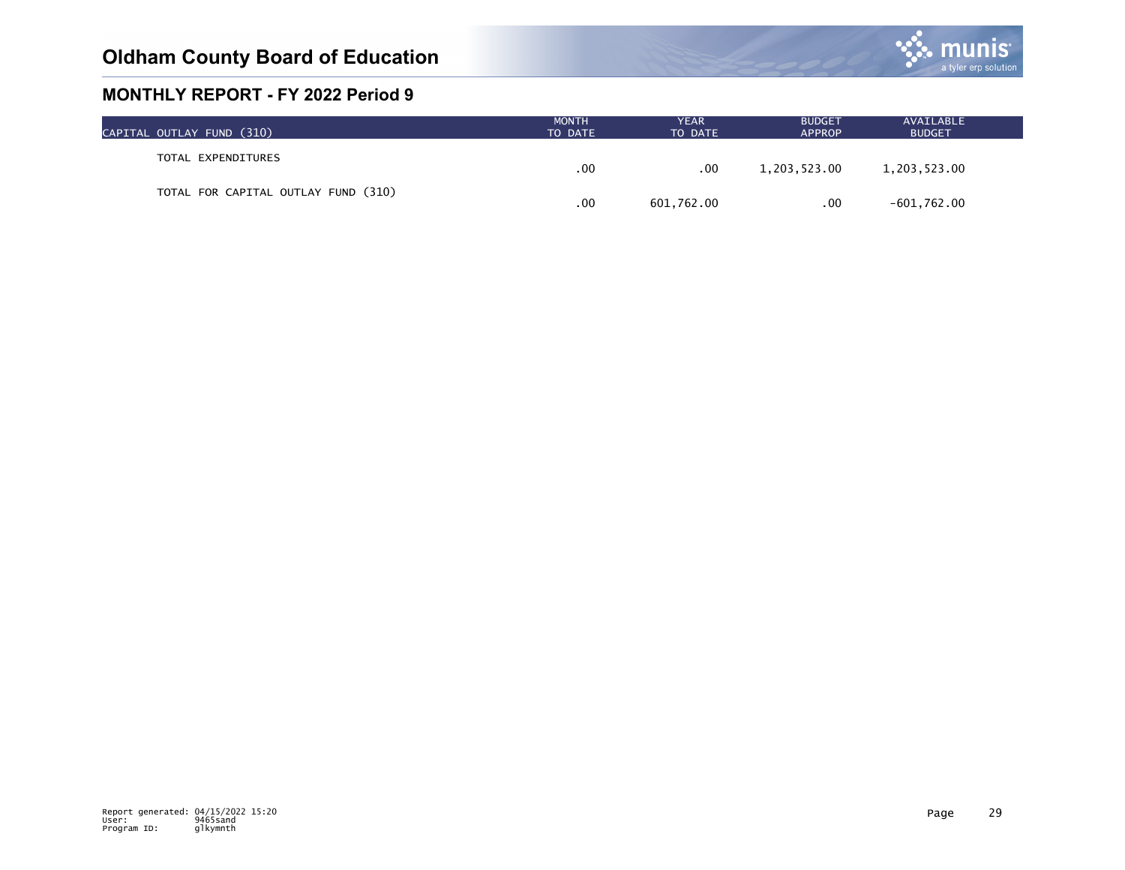

| CAPITAL OUTLAY FUND (310)           | <b>MONTH</b><br>TO DATE | <b>YEAR</b><br>TO DATE | <b>BUDGET</b><br><b>APPROP</b> | AVAILABLE<br><b>BUDGET</b> |  |
|-------------------------------------|-------------------------|------------------------|--------------------------------|----------------------------|--|
| TOTAL EXPENDITURES                  | .00                     | $.00 \,$               | 1,203,523.00                   | 1,203,523.00               |  |
| TOTAL FOR CAPITAL OUTLAY FUND (310) |                         |                        |                                |                            |  |
|                                     | .00                     | 601,762.00             | .00                            | $-601,762.00$              |  |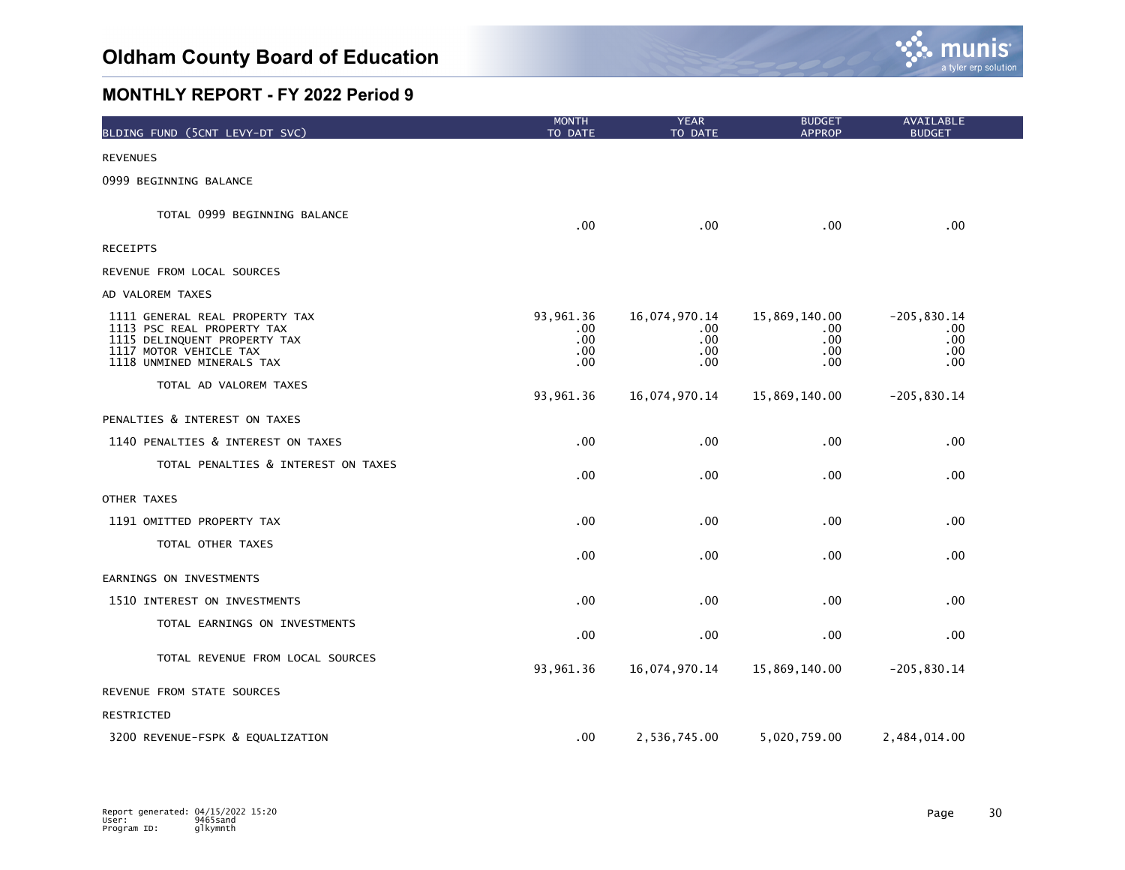

| BLDING FUND (5CNT LEVY-DT SVC)                                                                                                                      | <b>MONTH</b><br>TO DATE                     | <b>YEAR</b><br>TO DATE                      | <b>BUDGET</b><br><b>APPROP</b>             | AVAILABLE<br><b>BUDGET</b>                  |  |
|-----------------------------------------------------------------------------------------------------------------------------------------------------|---------------------------------------------|---------------------------------------------|--------------------------------------------|---------------------------------------------|--|
| <b>REVENUES</b>                                                                                                                                     |                                             |                                             |                                            |                                             |  |
| 0999 BEGINNING BALANCE                                                                                                                              |                                             |                                             |                                            |                                             |  |
| TOTAL 0999 BEGINNING BALANCE                                                                                                                        | $.00 \,$                                    | .00                                         | $.00 \,$                                   | .00.                                        |  |
| <b>RECEIPTS</b>                                                                                                                                     |                                             |                                             |                                            |                                             |  |
| REVENUE FROM LOCAL SOURCES                                                                                                                          |                                             |                                             |                                            |                                             |  |
| AD VALOREM TAXES                                                                                                                                    |                                             |                                             |                                            |                                             |  |
| 1111 GENERAL REAL PROPERTY TAX<br>1113 PSC REAL PROPERTY TAX<br>1115 DELINQUENT PROPERTY TAX<br>1117 MOTOR VEHICLE TAX<br>1118 UNMINED MINERALS TAX | 93,961.36<br>.00<br>.00.<br>$.00 \,$<br>.00 | 16,074,970.14<br>.00<br>.00.<br>.00.<br>.00 | 15,869,140.00<br>.00<br>.00.<br>.00<br>.00 | $-205, 830.14$<br>.00<br>.00<br>.00<br>.00. |  |
| TOTAL AD VALOREM TAXES                                                                                                                              | 93,961.36                                   | 16,074,970.14                               | 15,869,140.00                              | $-205, 830.14$                              |  |
| PENALTIES & INTEREST ON TAXES                                                                                                                       |                                             |                                             |                                            |                                             |  |
| 1140 PENALTIES & INTEREST ON TAXES                                                                                                                  | .00.                                        | .00                                         | .00                                        | .00 <sub>1</sub>                            |  |
| TOTAL PENALTIES & INTEREST ON TAXES                                                                                                                 | .00                                         | .00                                         | .00                                        | .00                                         |  |
| OTHER TAXES                                                                                                                                         |                                             |                                             |                                            |                                             |  |
| 1191 OMITTED PROPERTY TAX                                                                                                                           | .00                                         | .00                                         | .00                                        | .00 <sub>1</sub>                            |  |
| TOTAL OTHER TAXES                                                                                                                                   | .00                                         | .00                                         | .00                                        | .00                                         |  |
| EARNINGS ON INVESTMENTS                                                                                                                             |                                             |                                             |                                            |                                             |  |
| 1510 INTEREST ON INVESTMENTS                                                                                                                        | .00                                         | .00                                         | .00                                        | .00.                                        |  |
| TOTAL EARNINGS ON INVESTMENTS                                                                                                                       | .00                                         | .00                                         | .00                                        | .00                                         |  |
| TOTAL REVENUE FROM LOCAL SOURCES                                                                                                                    | 93,961.36                                   | 16,074,970.14                               | 15,869,140.00                              | $-205, 830.14$                              |  |
| REVENUE FROM STATE SOURCES                                                                                                                          |                                             |                                             |                                            |                                             |  |
| RESTRICTED                                                                                                                                          |                                             |                                             |                                            |                                             |  |
| 3200 REVENUE-FSPK & EQUALIZATION                                                                                                                    | $.00 \,$                                    | 2,536,745.00                                | 5,020,759.00                               | 2,484,014.00                                |  |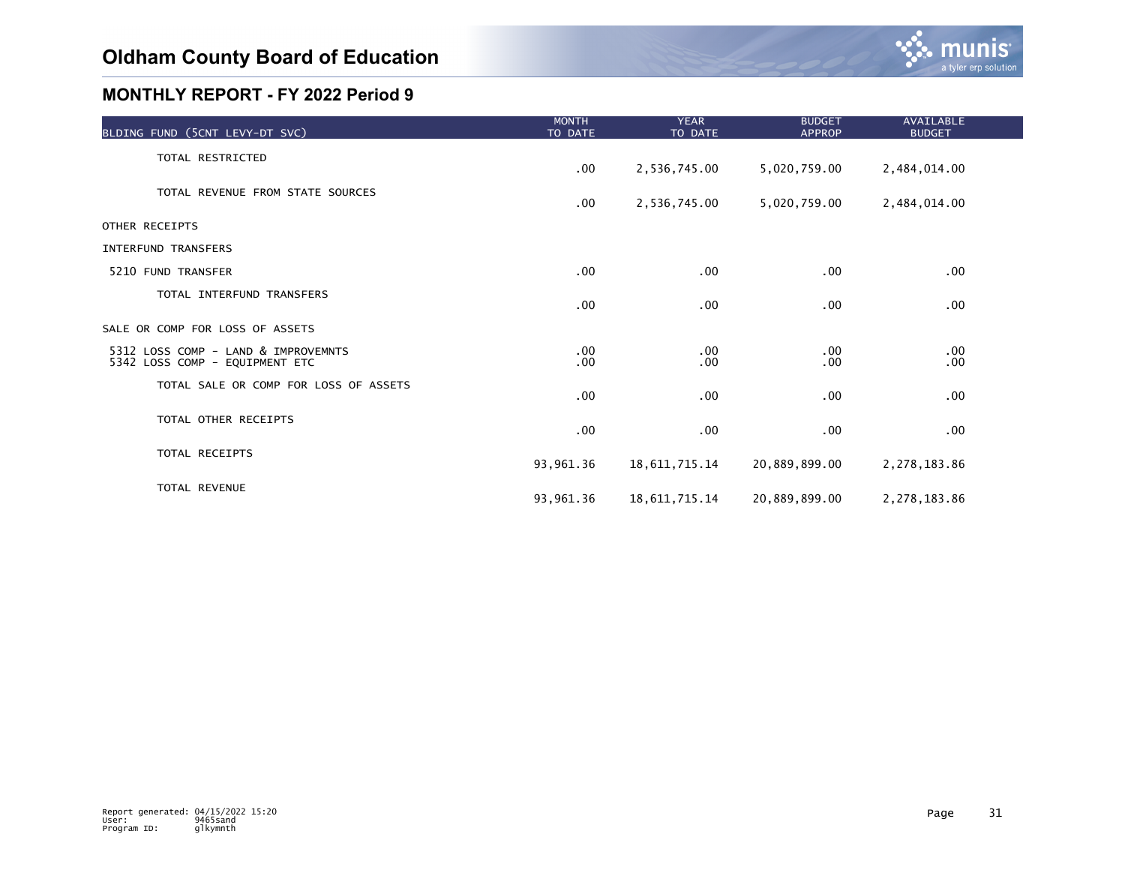

| BLDING FUND (5CNT LEVY-DT SVC)                                        | <b>MONTH</b><br>TO DATE | <b>YEAR</b><br>TO DATE | <b>BUDGET</b><br><b>APPROP</b> | <b>AVAILABLE</b><br><b>BUDGET</b> |  |
|-----------------------------------------------------------------------|-------------------------|------------------------|--------------------------------|-----------------------------------|--|
| TOTAL RESTRICTED                                                      | $.00 \,$                | 2,536,745.00           | 5,020,759.00                   | 2,484,014.00                      |  |
| TOTAL REVENUE FROM STATE SOURCES                                      | $.00 \,$                | 2,536,745.00           | 5,020,759.00                   | 2,484,014.00                      |  |
| OTHER RECEIPTS                                                        |                         |                        |                                |                                   |  |
| <b>INTERFUND TRANSFERS</b>                                            |                         |                        |                                |                                   |  |
| 5210 FUND TRANSFER                                                    | $.00 \,$                | $.00 \,$               | .00                            | .00                               |  |
| TOTAL INTERFUND TRANSFERS                                             | $.00 \,$                | $.00 \,$               | .00                            | $.00 \times$                      |  |
| SALE OR COMP FOR LOSS OF ASSETS                                       |                         |                        |                                |                                   |  |
| 5312 LOSS COMP - LAND & IMPROVEMNTS<br>5342 LOSS COMP - EQUIPMENT ETC | $.00 \,$<br>$.00 \,$    | $.00 \,$<br>$.00 \,$   | $.00 \,$<br>.00                | .00<br>$.00 \times$               |  |
| TOTAL SALE OR COMP FOR LOSS OF ASSETS                                 | .00                     | $.00 \,$               | .00                            | $.00 \times$                      |  |
| TOTAL OTHER RECEIPTS                                                  | $.00 \,$                | $.00 \,$               | .00                            | $.00 \times$                      |  |
| TOTAL RECEIPTS                                                        | 93,961.36               | 18, 611, 715. 14       | 20,889,899.00                  | 2,278,183.86                      |  |
| <b>TOTAL REVENUE</b>                                                  | 93,961.36               | 18, 611, 715. 14       | 20,889,899.00                  | 2,278,183.86                      |  |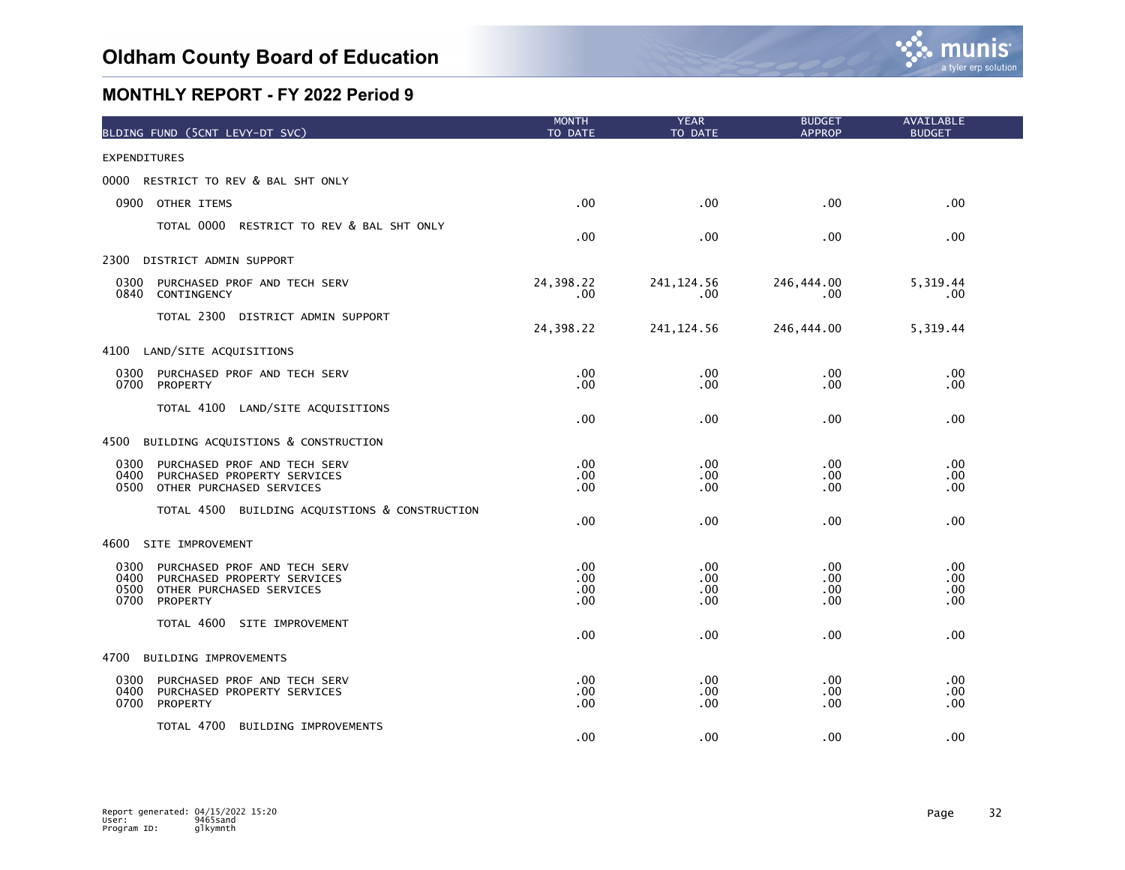

| BLDING FUND (5CNT LEVY-DT SVC)                                                                                                      | <b>MONTH</b><br>TO DATE   | <b>YEAR</b><br>TO DATE   | <b>BUDGET</b><br><b>APPROP</b> | AVAILABLE<br><b>BUDGET</b> |
|-------------------------------------------------------------------------------------------------------------------------------------|---------------------------|--------------------------|--------------------------------|----------------------------|
| <b>EXPENDITURES</b>                                                                                                                 |                           |                          |                                |                            |
| RESTRICT TO REV & BAL SHT ONLY<br>0000                                                                                              |                           |                          |                                |                            |
| 0900 OTHER ITEMS                                                                                                                    | .00                       | .00                      | .00                            | .00                        |
| TOTAL 0000 RESTRICT TO REV & BAL SHT ONLY                                                                                           | .00                       | .00                      | .00                            | .00.                       |
| 2300 DISTRICT ADMIN SUPPORT                                                                                                         |                           |                          |                                |                            |
| 0300<br>PURCHASED PROF AND TECH SERV<br>0840<br>CONTINGENCY                                                                         | 24,398.22<br>$.00 \times$ | 241, 124.56<br>.00       | 246,444.00<br>.00              | 5,319.44<br>.00            |
| TOTAL 2300 DISTRICT ADMIN SUPPORT                                                                                                   | 24,398.22                 | 241, 124.56              | 246,444.00                     | 5,319.44                   |
| 4100 LAND/SITE ACQUISITIONS                                                                                                         |                           |                          |                                |                            |
| PURCHASED PROF AND TECH SERV<br>0300<br>0700<br>PROPERTY                                                                            | $.00 \,$<br>.00           | .00<br>.00               | .00.<br>.00                    | .00.<br>$.00 \times$       |
| TOTAL 4100 LAND/SITE ACQUISITIONS                                                                                                   | .00                       | .00                      | .00                            | .00                        |
| BUILDING ACQUISTIONS & CONSTRUCTION<br>4500                                                                                         |                           |                          |                                |                            |
| 0300<br>PURCHASED PROF AND TECH SERV<br>0400<br>PURCHASED PROPERTY SERVICES<br>OTHER PURCHASED SERVICES<br>0500                     | .00<br>.00<br>.00         | .00<br>.00<br>.00        | .00<br>.00<br>.00              | .00<br>.00.<br>.00.        |
| TOTAL 4500 BUILDING ACQUISTIONS & CONSTRUCTION                                                                                      | .00                       | .00                      | .00.                           | .00                        |
| 4600<br>SITE IMPROVEMENT                                                                                                            |                           |                          |                                |                            |
| 0300<br>PURCHASED PROF AND TECH SERV<br>0400<br>PURCHASED PROPERTY SERVICES<br>0500<br>OTHER PURCHASED SERVICES<br>0700<br>PROPERTY | .00<br>.00<br>.00.<br>.00 | .00<br>.00<br>.00<br>.00 | .00<br>.00.<br>.00<br>.00      | .00.<br>.00<br>.00<br>.00. |
| TOTAL 4600 SITE IMPROVEMENT                                                                                                         | .00                       | .00                      | .00                            | .00                        |
| 4700<br>BUILDING IMPROVEMENTS                                                                                                       |                           |                          |                                |                            |
| 0300<br>PURCHASED PROF AND TECH SERV<br>0400<br>PURCHASED PROPERTY SERVICES<br>0700<br>PROPERTY                                     | .00<br>$.00 \,$<br>.00    | $.00 \,$<br>.00<br>.00   | $.00 \,$<br>.00<br>.00         | .00<br>.00.<br>.00         |
| TOTAL 4700 BUILDING IMPROVEMENTS                                                                                                    | .00                       | .00                      | .00                            | .00                        |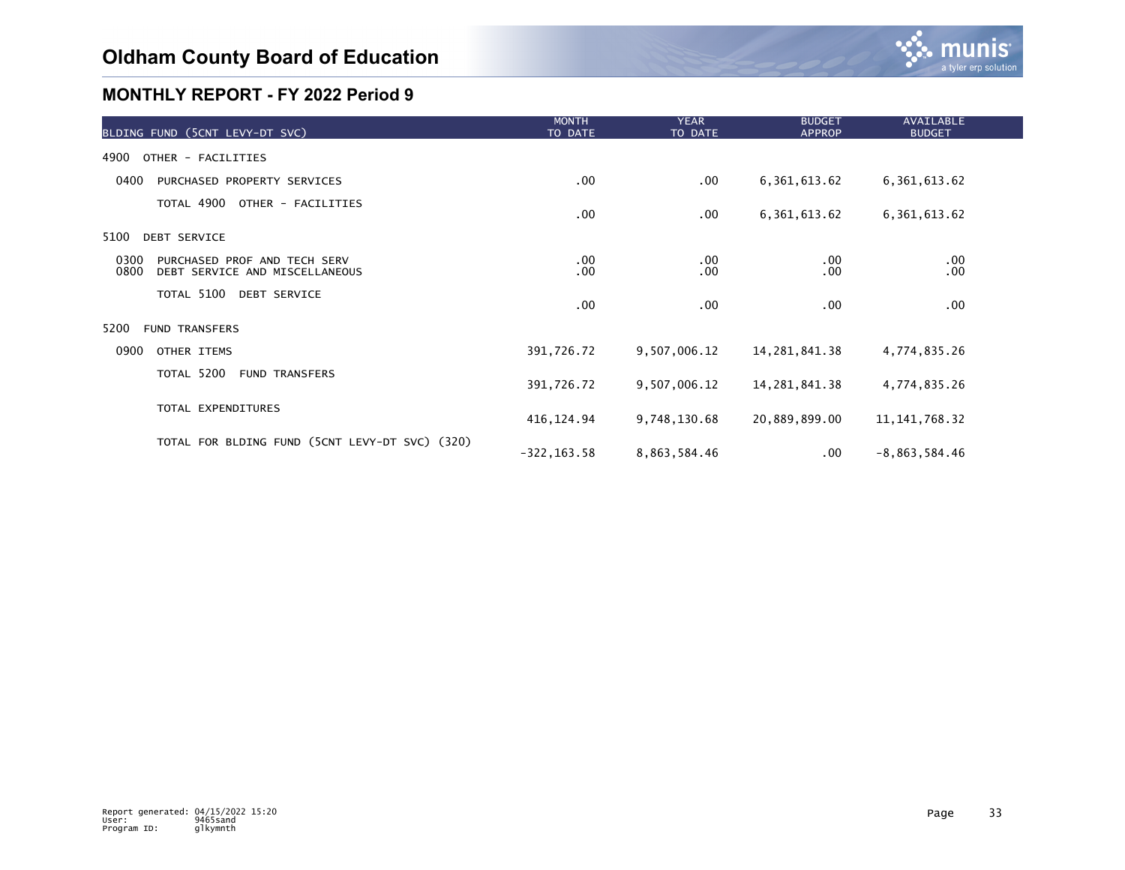

| BLDING FUND (5CNT LEVY-DT SVC)                                                 | <b>MONTH</b><br>TO DATE | <b>YEAR</b><br>TO DATE | <b>BUDGET</b><br><b>APPROP</b> | AVAILABLE<br><b>BUDGET</b> |  |
|--------------------------------------------------------------------------------|-------------------------|------------------------|--------------------------------|----------------------------|--|
| 4900<br>OTHER - FACILITIES                                                     |                         |                        |                                |                            |  |
| 0400<br>PURCHASED PROPERTY SERVICES                                            | $.00 \,$                | .00                    | 6, 361, 613.62                 | 6, 361, 613.62             |  |
| TOTAL 4900<br>OTHER - FACILITIES                                               | $.00 \,$                | .00                    | 6, 361, 613.62                 | 6, 361, 613.62             |  |
| 5100<br><b>DEBT SERVICE</b>                                                    |                         |                        |                                |                            |  |
| 0300<br>PURCHASED PROF AND TECH SERV<br>0800<br>DEBT SERVICE AND MISCELLANEOUS | $.00 \,$<br>$.00 \,$    | .00<br>.00             | $.00 \,$<br>.00                | .00<br>.00                 |  |
| TOTAL 5100 DEBT SERVICE                                                        | $.00 \,$                | .00                    | $.00 \,$                       | .00                        |  |
| 5200<br><b>FUND TRANSFERS</b>                                                  |                         |                        |                                |                            |  |
| 0900<br>OTHER ITEMS                                                            | 391,726.72              | 9,507,006.12           | 14, 281, 841. 38               | 4,774,835.26               |  |
| TOTAL 5200<br><b>FUND TRANSFERS</b>                                            | 391,726.72              | 9,507,006.12           | 14, 281, 841, 38               | 4,774,835.26               |  |
| TOTAL EXPENDITURES                                                             | 416, 124.94             | 9,748,130.68           | 20,889,899.00                  | 11, 141, 768. 32           |  |
| TOTAL FOR BLDING FUND (5CNT LEVY-DT SVC) (320)                                 | $-322, 163.58$          | 8,863,584.46           | $.00 \,$                       | $-8,863,584.46$            |  |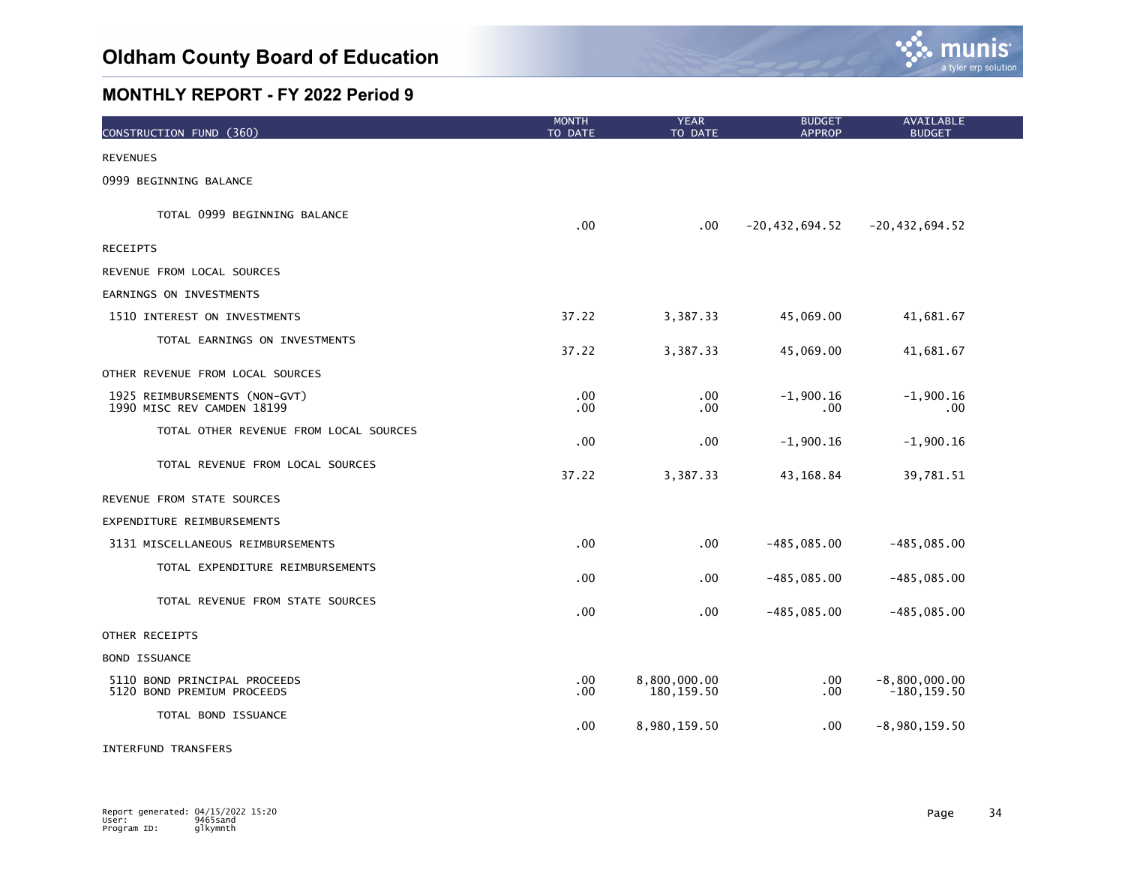

| CONSTRUCTION FUND (360)                                     | <b>MONTH</b><br>TO DATE | <b>YEAR</b><br>TO DATE      | <b>BUDGET</b><br><b>APPROP</b> | <b>AVAILABLE</b><br><b>BUDGET</b> |
|-------------------------------------------------------------|-------------------------|-----------------------------|--------------------------------|-----------------------------------|
| <b>REVENUES</b>                                             |                         |                             |                                |                                   |
| 0999 BEGINNING BALANCE                                      |                         |                             |                                |                                   |
| TOTAL 0999 BEGINNING BALANCE                                | .00                     | .00                         | $-20, 432, 694.52$             | $-20, 432, 694.52$                |
| <b>RECEIPTS</b>                                             |                         |                             |                                |                                   |
| REVENUE FROM LOCAL SOURCES                                  |                         |                             |                                |                                   |
| EARNINGS ON INVESTMENTS                                     |                         |                             |                                |                                   |
| 1510 INTEREST ON INVESTMENTS                                | 37.22                   | 3,387.33                    | 45,069.00                      | 41,681.67                         |
| TOTAL EARNINGS ON INVESTMENTS                               | 37.22                   | 3,387.33                    | 45,069.00                      | 41,681.67                         |
| OTHER REVENUE FROM LOCAL SOURCES                            |                         |                             |                                |                                   |
| 1925 REIMBURSEMENTS (NON-GVT)<br>1990 MISC REV CAMDEN 18199 | $.00 \,$<br>$.00 \,$    | .00<br>.00                  | $-1,900.16$<br>.00             | $-1,900.16$<br>$.00 \,$           |
| TOTAL OTHER REVENUE FROM LOCAL SOURCES                      | .00                     | .00                         | $-1,900.16$                    | $-1,900.16$                       |
| TOTAL REVENUE FROM LOCAL SOURCES                            | 37.22                   | 3,387.33                    | 43,168.84                      | 39,781.51                         |
| REVENUE FROM STATE SOURCES                                  |                         |                             |                                |                                   |
| EXPENDITURE REIMBURSEMENTS                                  |                         |                             |                                |                                   |
| 3131 MISCELLANEOUS REIMBURSEMENTS                           | .00                     | .00                         | $-485,085.00$                  | $-485,085.00$                     |
| TOTAL EXPENDITURE REIMBURSEMENTS                            | .00                     | .00                         | $-485,085.00$                  | $-485,085.00$                     |
| TOTAL REVENUE FROM STATE SOURCES                            | .00                     | .00                         | $-485,085.00$                  | $-485,085.00$                     |
| OTHER RECEIPTS                                              |                         |                             |                                |                                   |
| <b>BOND ISSUANCE</b>                                        |                         |                             |                                |                                   |
| 5110 BOND PRINCIPAL PROCEEDS<br>5120 BOND PREMIUM PROCEEDS  | .00.<br>$.00 \,$        | 8,800,000.00<br>180, 159.50 | .00<br>.00.                    | $-8,800,000.00$<br>$-180, 159.50$ |
| TOTAL BOND ISSUANCE                                         | $.00 \,$                | 8,980,159.50                | .00                            | $-8,980,159.50$                   |

INTERFUND TRANSFERS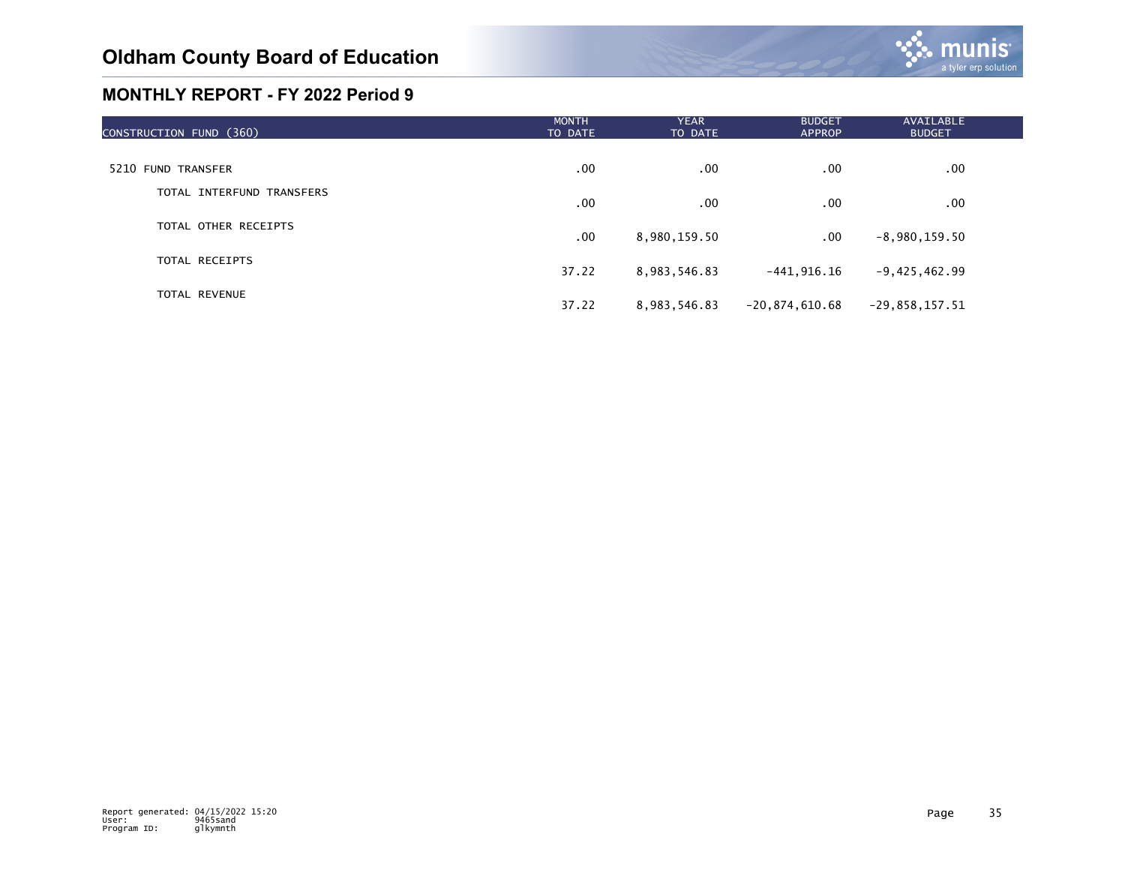

| CONSTRUCTION FUND (360)   | <b>MONTH</b><br>TO DATE | <b>YEAR</b><br>TO DATE | <b>BUDGET</b><br><b>APPROP</b> | AVAILABLE<br><b>BUDGET</b> |  |
|---------------------------|-------------------------|------------------------|--------------------------------|----------------------------|--|
|                           |                         |                        |                                |                            |  |
| 5210 FUND TRANSFER        | .00                     | .00                    | .00                            | .00                        |  |
| TOTAL INTERFUND TRANSFERS | .00                     | .00                    | .00                            | $.00 \,$                   |  |
| TOTAL OTHER RECEIPTS      | .00                     | 8,980,159.50           | .00                            | $-8,980,159.50$            |  |
| TOTAL RECEIPTS            | 37.22                   | 8,983,546.83           | $-441, 916.16$                 | $-9,425,462.99$            |  |
| <b>TOTAL REVENUE</b>      | 37.22                   | 8,983,546.83           | $-20,874,610.68$               | $-29,858,157.51$           |  |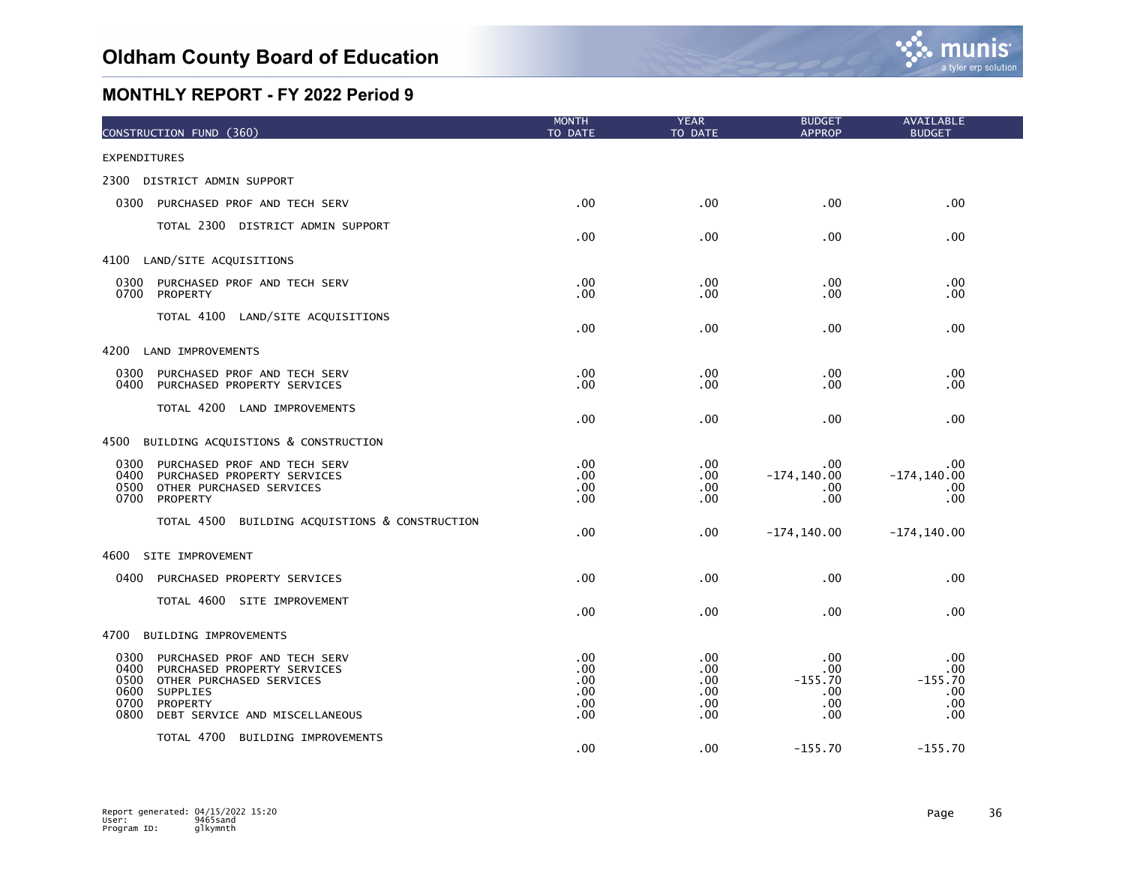| CONSTRUCTION FUND (360)                                                                                                                                                                           | <b>MONTH</b><br>TO DATE                 | <b>YEAR</b><br>TO DATE                 | <b>BUDGET</b><br><b>APPROP</b>               | AVAILABLE<br><b>BUDGET</b>                   |
|---------------------------------------------------------------------------------------------------------------------------------------------------------------------------------------------------|-----------------------------------------|----------------------------------------|----------------------------------------------|----------------------------------------------|
| <b>EXPENDITURES</b>                                                                                                                                                                               |                                         |                                        |                                              |                                              |
| 2300 DISTRICT ADMIN SUPPORT                                                                                                                                                                       |                                         |                                        |                                              |                                              |
| 0300<br>PURCHASED PROF AND TECH SERV                                                                                                                                                              | .00                                     | .00                                    | .00                                          | .00                                          |
| TOTAL 2300 DISTRICT ADMIN SUPPORT                                                                                                                                                                 | .00                                     | .00                                    | .00                                          | .00                                          |
| LAND/SITE ACQUISITIONS<br>4100                                                                                                                                                                    |                                         |                                        |                                              |                                              |
| 0300<br>PURCHASED PROF AND TECH SERV<br>0700<br>PROPERTY                                                                                                                                          | .00<br>.00.                             | .00<br>.00                             | .00<br>.00                                   | .00<br>.00                                   |
| TOTAL 4100 LAND/SITE ACQUISITIONS                                                                                                                                                                 | .00                                     | .00                                    | .00                                          | .00                                          |
| 4200<br>LAND IMPROVEMENTS                                                                                                                                                                         |                                         |                                        |                                              |                                              |
| 0300<br>PURCHASED PROF AND TECH SERV<br>0400<br>PURCHASED PROPERTY SERVICES                                                                                                                       | .00<br>.00                              | .00<br>.00                             | .00<br>.00                                   | .00<br>.00                                   |
| TOTAL 4200 LAND IMPROVEMENTS                                                                                                                                                                      | .00                                     | .00                                    | .00                                          | .00                                          |
| BUILDING ACQUISTIONS & CONSTRUCTION<br>4500                                                                                                                                                       |                                         |                                        |                                              |                                              |
| 0300<br>PURCHASED PROF AND TECH SERV<br>0400<br>PURCHASED PROPERTY SERVICES<br>0500<br>OTHER PURCHASED SERVICES<br>0700<br>PROPERTY                                                               | .00<br>.00<br>.00<br>.00.               | .00<br>.00<br>.00.<br>.00              | .00<br>$-174, 140.00$<br>.00<br>.00          | .00<br>$-174, 140.00$<br>.00<br>.00          |
| TOTAL 4500 BUILDING ACQUISTIONS & CONSTRUCTION                                                                                                                                                    | .00                                     | .00                                    | $-174, 140.00$                               | $-174, 140.00$                               |
| SITE IMPROVEMENT<br>4600                                                                                                                                                                          |                                         |                                        |                                              |                                              |
| 0400<br>PURCHASED PROPERTY SERVICES                                                                                                                                                               | .00                                     | .00                                    | .00                                          | .00                                          |
| TOTAL 4600 SITE IMPROVEMENT                                                                                                                                                                       | .00                                     | .00                                    | .00                                          | .00                                          |
| 4700<br>BUILDING IMPROVEMENTS                                                                                                                                                                     |                                         |                                        |                                              |                                              |
| 0300<br>PURCHASED PROF AND TECH SERV<br>0400<br>PURCHASED PROPERTY SERVICES<br>0500<br>OTHER PURCHASED SERVICES<br>0600<br>SUPPLIES<br>0700<br>PROPERTY<br>0800<br>DEBT SERVICE AND MISCELLANEOUS | .00.<br>.00<br>.00<br>.00<br>.00<br>.00 | .00<br>.00<br>.00<br>.00<br>.00<br>.00 | .00<br>.00<br>$-155.70$<br>.00<br>.00<br>.00 | .00<br>.00<br>$-155.70$<br>.00<br>.00<br>.00 |
| TOTAL 4700 BUILDING IMPROVEMENTS                                                                                                                                                                  | .00                                     | .00                                    | $-155.70$                                    | $-155.70$                                    |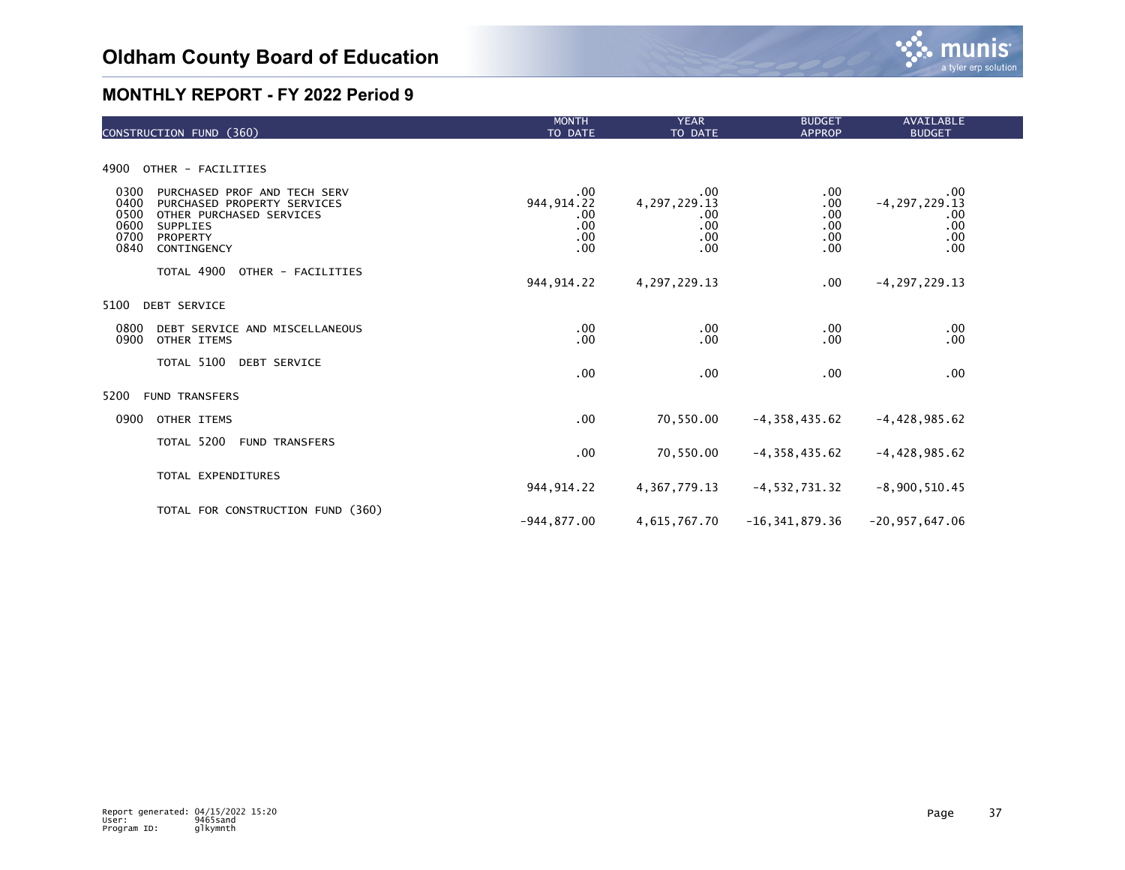

| CONSTRUCTION FUND (360)                                                                                                                                                        | <b>MONTH</b><br>TO DATE                              | <b>YEAR</b><br>TO DATE                                  | <b>BUDGET</b><br><b>APPROP</b>                   | <b>AVAILABLE</b><br><b>BUDGET</b>                    |  |
|--------------------------------------------------------------------------------------------------------------------------------------------------------------------------------|------------------------------------------------------|---------------------------------------------------------|--------------------------------------------------|------------------------------------------------------|--|
|                                                                                                                                                                                |                                                      |                                                         |                                                  |                                                      |  |
| OTHER - FACILITIES<br>4900                                                                                                                                                     |                                                      |                                                         |                                                  |                                                      |  |
| 0300<br>PURCHASED PROF AND TECH SERV<br>0400<br>PURCHASED PROPERTY SERVICES<br>0500<br>OTHER PURCHASED SERVICES<br>0600<br>SUPPLIES<br>0700<br>PROPERTY<br>0840<br>CONTINGENCY | $.00 \,$<br>944, 914. 22<br>.00<br>.00<br>.00<br>.00 | .00<br>4, 297, 229. 13<br>.00<br>.00<br>$.00 \,$<br>.00 | $.00 \,$<br>.00<br>.00<br>.00<br>$.00 \,$<br>.00 | .00<br>$-4, 297, 229.13$<br>.00<br>.00<br>.00<br>.00 |  |
| TOTAL 4900<br>OTHER - FACILITIES                                                                                                                                               | 944, 914. 22                                         | 4, 297, 229. 13                                         | $.00 \,$                                         | $-4, 297, 229.13$                                    |  |
| 5100<br><b>DEBT SERVICE</b>                                                                                                                                                    |                                                      |                                                         |                                                  |                                                      |  |
| 0800<br>DEBT SERVICE AND MISCELLANEOUS<br>0900<br>OTHER ITEMS                                                                                                                  | $.00 \,$<br>.00                                      | .00<br>.00                                              | $.00 \,$<br>.00                                  | .00<br>.00                                           |  |
| TOTAL 5100 DEBT SERVICE                                                                                                                                                        | .00                                                  | .00                                                     | .00                                              | .00                                                  |  |
| 5200<br><b>FUND TRANSFERS</b>                                                                                                                                                  |                                                      |                                                         |                                                  |                                                      |  |
| 0900<br>OTHER ITEMS                                                                                                                                                            | .00                                                  | 70,550.00                                               | $-4, 358, 435.62$                                | $-4,428,985.62$                                      |  |
| TOTAL 5200 FUND TRANSFERS                                                                                                                                                      | $.00 \,$                                             | 70,550.00                                               | $-4, 358, 435.62$                                | $-4,428,985.62$                                      |  |
| TOTAL EXPENDITURES                                                                                                                                                             | 944, 914. 22                                         | 4, 367, 779. 13                                         | $-4, 532, 731.32$                                | $-8,900,510.45$                                      |  |
| TOTAL FOR CONSTRUCTION FUND (360)                                                                                                                                              | $-944, 877.00$                                       | 4,615,767.70                                            | $-16, 341, 879.36$                               | $-20, 957, 647.06$                                   |  |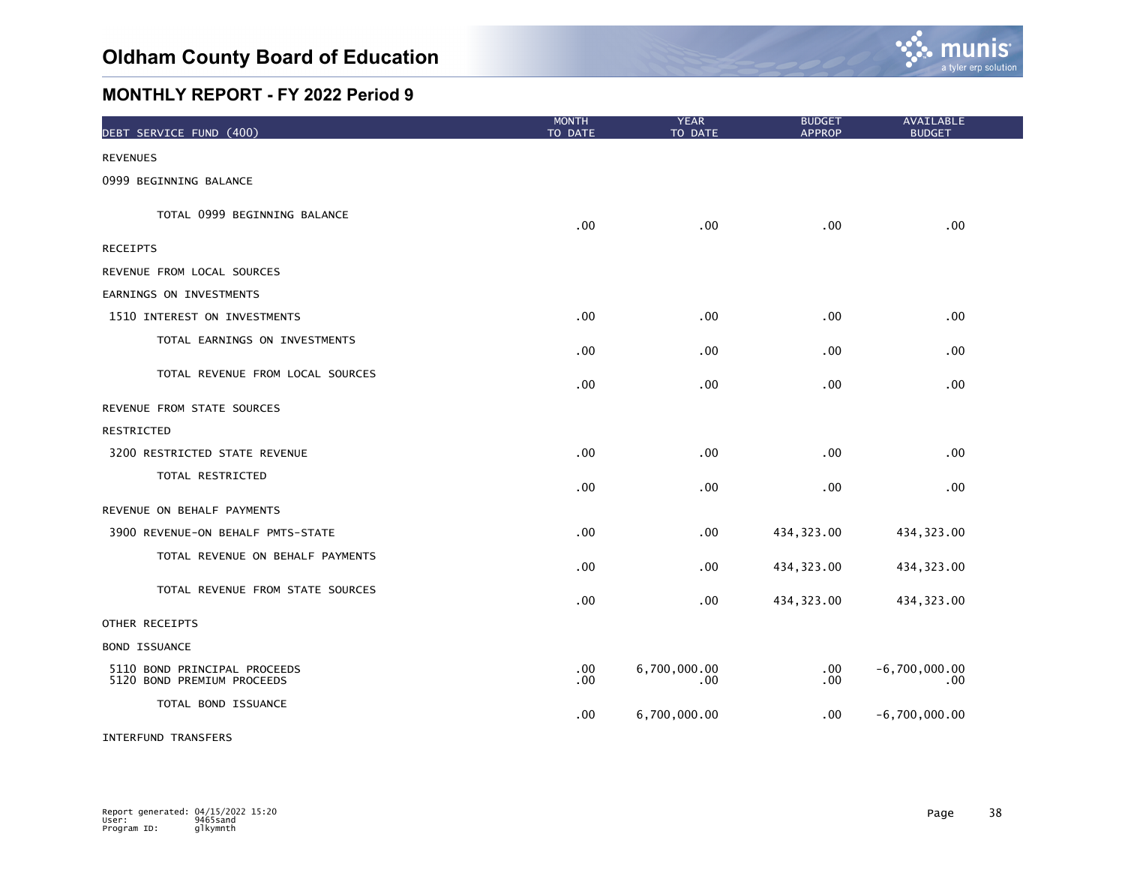

| DEBT SERVICE FUND (400)                                    | <b>MONTH</b><br>TO DATE | <b>YEAR</b><br>TO DATE   | <b>BUDGET</b><br><b>APPROP</b> | AVAILABLE<br><b>BUDGET</b> |  |
|------------------------------------------------------------|-------------------------|--------------------------|--------------------------------|----------------------------|--|
| <b>REVENUES</b>                                            |                         |                          |                                |                            |  |
| 0999 BEGINNING BALANCE                                     |                         |                          |                                |                            |  |
| TOTAL 0999 BEGINNING BALANCE                               | .00                     | .00                      | .00                            | .00                        |  |
| <b>RECEIPTS</b>                                            |                         |                          |                                |                            |  |
| REVENUE FROM LOCAL SOURCES                                 |                         |                          |                                |                            |  |
| EARNINGS ON INVESTMENTS                                    |                         |                          |                                |                            |  |
| 1510 INTEREST ON INVESTMENTS                               | .00                     | .00                      | .00                            | .00                        |  |
| TOTAL EARNINGS ON INVESTMENTS                              | .00                     | .00                      | .00                            | .00                        |  |
| TOTAL REVENUE FROM LOCAL SOURCES                           | .00                     | $.00 \,$                 | .00                            | .00                        |  |
| REVENUE FROM STATE SOURCES                                 |                         |                          |                                |                            |  |
| RESTRICTED                                                 |                         |                          |                                |                            |  |
| 3200 RESTRICTED STATE REVENUE                              | $.00 \,$                | $.00 \,$                 | .00                            | .00.                       |  |
| TOTAL RESTRICTED                                           | .00                     | .00                      | .00                            | .00                        |  |
| REVENUE ON BEHALF PAYMENTS                                 |                         |                          |                                |                            |  |
| 3900 REVENUE-ON BEHALF PMTS-STATE                          | .00                     | $.00 \,$                 | 434, 323.00                    | 434, 323.00                |  |
| TOTAL REVENUE ON BEHALF PAYMENTS                           | .00                     | .00                      | 434, 323.00                    | 434, 323.00                |  |
| TOTAL REVENUE FROM STATE SOURCES                           | .00                     | .00                      | 434, 323.00                    | 434, 323.00                |  |
| OTHER RECEIPTS                                             |                         |                          |                                |                            |  |
| <b>BOND ISSUANCE</b>                                       |                         |                          |                                |                            |  |
| 5110 BOND PRINCIPAL PROCEEDS<br>5120 BOND PREMIUM PROCEEDS | .00<br>.00              | 6,700,000.00<br>$.00 \,$ | .00<br>.00                     | $-6,700,000.00$<br>.00     |  |
| TOTAL BOND ISSUANCE                                        | .00                     | 6,700,000.00             | .00.                           | $-6,700,000.00$            |  |

#### INTERFUND TRANSFERS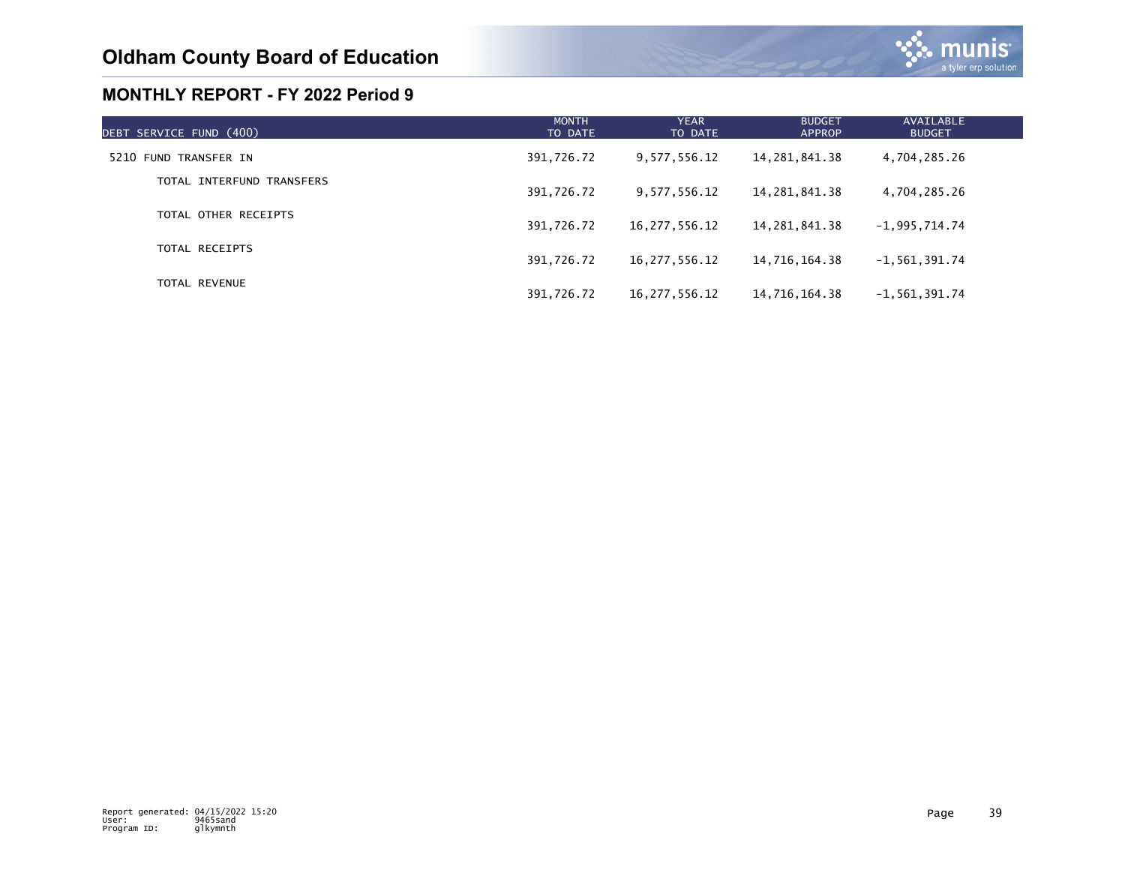

| DEBT SERVICE FUND (400)   | <b>MONTH</b><br>TO DATE | <b>YEAR</b><br>TO DATE | <b>BUDGET</b><br><b>APPROP</b> | AVAILABLE<br><b>BUDGET</b> |  |
|---------------------------|-------------------------|------------------------|--------------------------------|----------------------------|--|
| 5210 FUND TRANSFER IN     | 391,726.72              | 9,577,556.12           | 14, 281, 841, 38               | 4,704,285.26               |  |
| TOTAL INTERFUND TRANSFERS | 391,726.72              | 9,577,556.12           | 14,281,841.38                  | 4,704,285.26               |  |
| TOTAL OTHER RECEIPTS      | 391,726.72              | 16,277,556.12          | 14,281,841.38                  | $-1,995,714.74$            |  |
| TOTAL RECEIPTS            | 391,726.72              | 16,277,556.12          | 14,716,164.38                  | $-1, 561, 391.74$          |  |
| TOTAL REVENUE             | 391,726.72              | 16, 277, 556. 12       | 14,716,164.38                  | $-1, 561, 391.74$          |  |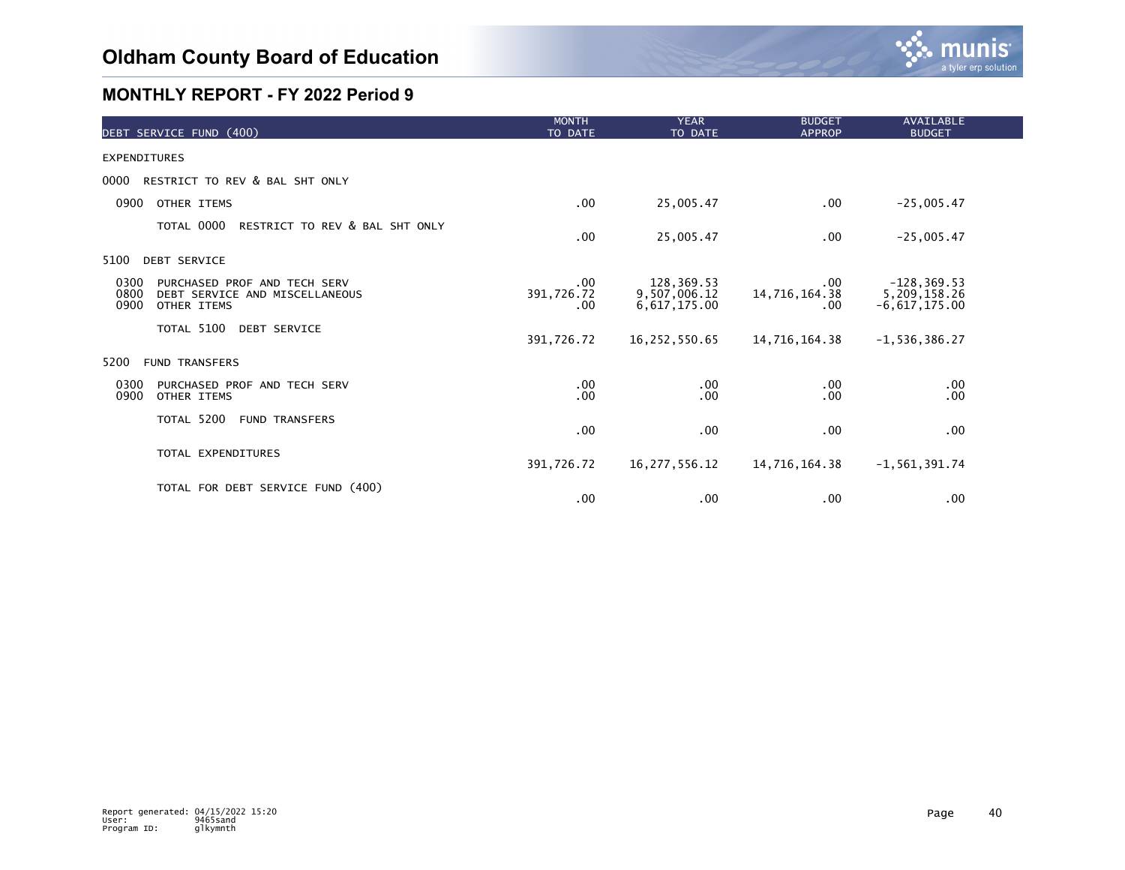

| DEBT SERVICE FUND (400)                                                                               | <b>MONTH</b><br>TO DATE       | <b>YEAR</b><br>TO DATE                     | <b>BUDGET</b><br><b>APPROP</b> | <b>AVAILABLE</b><br><b>BUDGET</b>                 |  |
|-------------------------------------------------------------------------------------------------------|-------------------------------|--------------------------------------------|--------------------------------|---------------------------------------------------|--|
| <b>EXPENDITURES</b>                                                                                   |                               |                                            |                                |                                                   |  |
| RESTRICT TO REV & BAL SHT ONLY<br>0000                                                                |                               |                                            |                                |                                                   |  |
| 0900<br>OTHER ITEMS                                                                                   | $.00 \,$                      | 25,005.47                                  | $.00 \,$                       | $-25,005.47$                                      |  |
| TOTAL 0000<br>RESTRICT TO REV & BAL SHT ONLY                                                          | $.00 \,$                      | 25,005.47                                  | .00.                           | $-25,005.47$                                      |  |
| <b>DEBT SERVICE</b><br>5100                                                                           |                               |                                            |                                |                                                   |  |
| 0300<br>PURCHASED PROF AND TECH SERV<br>0800<br>DEBT SERVICE AND MISCELLANEOUS<br>0900<br>OTHER ITEMS | $.00 \,$<br>391,726.72<br>.00 | 128,369.53<br>9,507,006.12<br>6,617,175.00 | .00<br>14,716,164.38<br>.00    | $-128, 369.53$<br>5,209,158.26<br>$-6,617,175.00$ |  |
| TOTAL 5100<br><b>DEBT SERVICE</b>                                                                     | 391,726.72                    | 16,252,550.65                              | 14,716,164.38                  | $-1, 536, 386.27$                                 |  |
| 5200<br><b>FUND TRANSFERS</b>                                                                         |                               |                                            |                                |                                                   |  |
| 0300<br>PURCHASED PROF AND TECH SERV<br>0900<br>OTHER ITEMS                                           | .00<br>.00                    | .00<br>.00                                 | .00.<br>.00                    | $.00 \,$<br>.00                                   |  |
| TOTAL 5200<br><b>FUND TRANSFERS</b>                                                                   | $.00 \,$                      | .00                                        | .00                            | $.00 \,$                                          |  |
| TOTAL EXPENDITURES                                                                                    | 391,726.72                    | 16, 277, 556. 12                           | 14,716,164.38                  | $-1, 561, 391.74$                                 |  |
| TOTAL FOR DEBT SERVICE FUND (400)                                                                     | $.00 \,$                      | .00                                        | .00                            | .00                                               |  |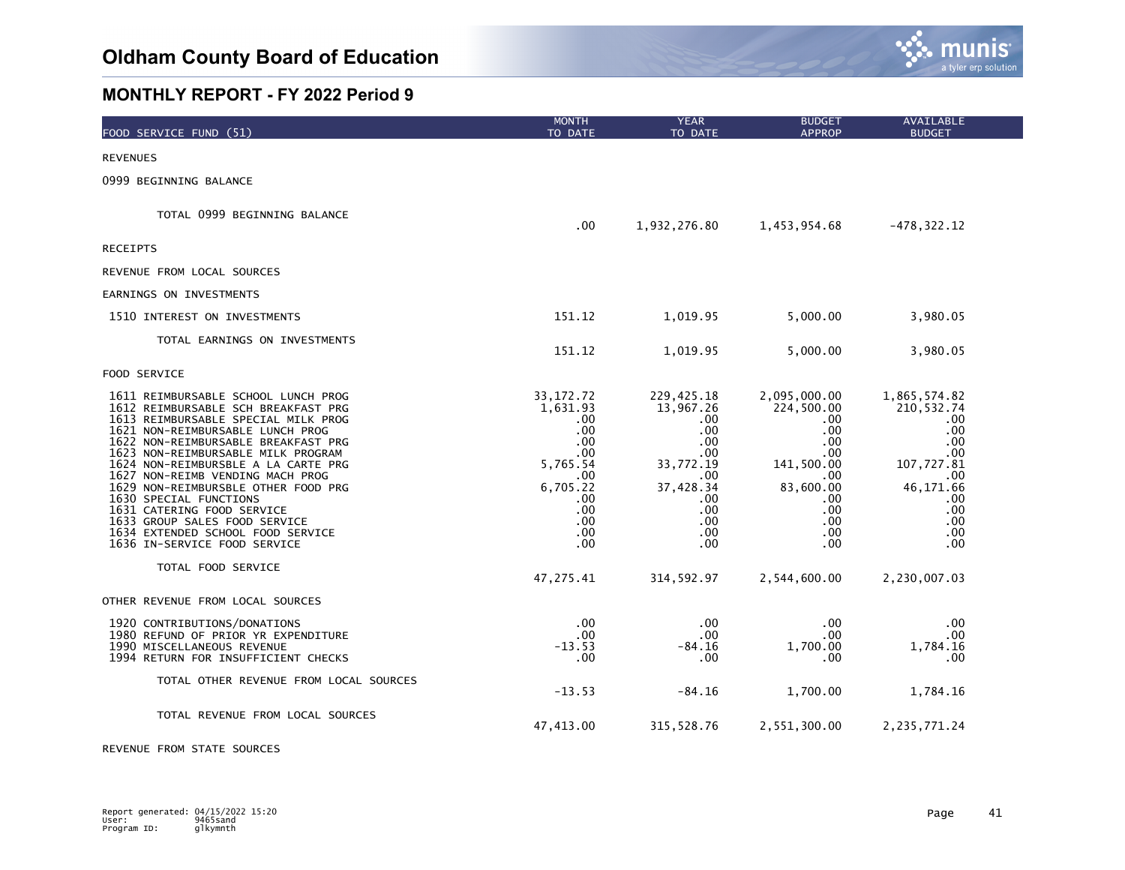

| FOOD SERVICE FUND (51)                                                                                                                                                                                                                                                                                                                                                                                                                                                                                                                   | <b>MONTH</b><br>TO DATE                                                                                                         | <b>YEAR</b><br>TO DATE                                                                                                            | <b>BUDGET</b><br><b>APPROP</b>                                                                                                | AVAILABLE<br><b>BUDGET</b>                                                                                                  |
|------------------------------------------------------------------------------------------------------------------------------------------------------------------------------------------------------------------------------------------------------------------------------------------------------------------------------------------------------------------------------------------------------------------------------------------------------------------------------------------------------------------------------------------|---------------------------------------------------------------------------------------------------------------------------------|-----------------------------------------------------------------------------------------------------------------------------------|-------------------------------------------------------------------------------------------------------------------------------|-----------------------------------------------------------------------------------------------------------------------------|
| <b>REVENUES</b>                                                                                                                                                                                                                                                                                                                                                                                                                                                                                                                          |                                                                                                                                 |                                                                                                                                   |                                                                                                                               |                                                                                                                             |
| 0999 BEGINNING BALANCE                                                                                                                                                                                                                                                                                                                                                                                                                                                                                                                   |                                                                                                                                 |                                                                                                                                   |                                                                                                                               |                                                                                                                             |
| TOTAL 0999 BEGINNING BALANCE                                                                                                                                                                                                                                                                                                                                                                                                                                                                                                             | .00                                                                                                                             | 1,932,276.80                                                                                                                      | 1,453,954.68                                                                                                                  | $-478, 322.12$                                                                                                              |
| <b>RECEIPTS</b>                                                                                                                                                                                                                                                                                                                                                                                                                                                                                                                          |                                                                                                                                 |                                                                                                                                   |                                                                                                                               |                                                                                                                             |
| REVENUE FROM LOCAL SOURCES                                                                                                                                                                                                                                                                                                                                                                                                                                                                                                               |                                                                                                                                 |                                                                                                                                   |                                                                                                                               |                                                                                                                             |
| EARNINGS ON INVESTMENTS                                                                                                                                                                                                                                                                                                                                                                                                                                                                                                                  |                                                                                                                                 |                                                                                                                                   |                                                                                                                               |                                                                                                                             |
| 1510 INTEREST ON INVESTMENTS                                                                                                                                                                                                                                                                                                                                                                                                                                                                                                             | 151.12                                                                                                                          | 1,019.95                                                                                                                          | 5,000.00                                                                                                                      | 3,980.05                                                                                                                    |
| TOTAL EARNINGS ON INVESTMENTS                                                                                                                                                                                                                                                                                                                                                                                                                                                                                                            | 151.12                                                                                                                          | 1,019.95                                                                                                                          | 5,000.00                                                                                                                      | 3,980.05                                                                                                                    |
| FOOD SERVICE                                                                                                                                                                                                                                                                                                                                                                                                                                                                                                                             |                                                                                                                                 |                                                                                                                                   |                                                                                                                               |                                                                                                                             |
| 1611 REIMBURSABLE SCHOOL LUNCH PROG<br>1612 REIMBURSABLE SCH BREAKFAST PRG<br>1613 REIMBURSABLE SPECIAL MILK PROG<br>1621 NON-REIMBURSABLE LUNCH PROG<br>1622 NON-REIMBURSABLE BREAKFAST PRG<br>1623 NON-REIMBURSABLE MILK PROGRAM<br>1624 NON-REIMBURSBLE A LA CARTE PRG<br>1627 NON-REIMB VENDING MACH PROG<br>1629 NON-REIMBURSBLE OTHER FOOD PRG<br>1630 SPECIAL FUNCTIONS<br>1631 CATERING FOOD SERVICE<br>1633 GROUP SALES FOOD SERVICE<br>1634 EXTENDED SCHOOL FOOD SERVICE<br>1636 IN-SERVICE FOOD SERVICE<br>TOTAL FOOD SERVICE | 33, 172. 72<br>1,631.93<br>.00<br>.00<br>$.00 \,$<br>.00<br>5,765.54<br>.00<br>6,705.22<br>.00<br>.00<br>.00<br>$.00 \,$<br>.00 | 229,425.18<br>13,967.26<br>.00<br>$.00 \,$<br>.00<br>.00<br>33,772.19<br>.00<br>37,428.34<br>.00<br>.00<br>$.00 \,$<br>.00<br>.00 | 2,095,000.00<br>224,500.00<br>.00<br>.00.<br>.00<br>.00<br>141,500.00<br>.00<br>83,600.00<br>.00<br>.00<br>.00<br>.00<br>.00. | 1,865,574.82<br>210,532.74<br>.00<br>.00<br>.00<br>.00<br>107,727.81<br>.00<br>46,171.66<br>.00<br>.00<br>.00<br>.00<br>.00 |
|                                                                                                                                                                                                                                                                                                                                                                                                                                                                                                                                          | 47,275.41                                                                                                                       | 314,592.97                                                                                                                        | 2,544,600.00                                                                                                                  | 2,230,007.03                                                                                                                |
| OTHER REVENUE FROM LOCAL SOURCES<br>1920 CONTRIBUTIONS/DONATIONS<br>1980 REFUND OF PRIOR YR EXPENDITURE<br>1990 MISCELLANEOUS REVENUE<br>1994 RETURN FOR INSUFFICIENT CHECKS<br>TOTAL OTHER REVENUE FROM LOCAL SOURCES                                                                                                                                                                                                                                                                                                                   | $.00 \,$<br>.00<br>$-13.53$<br>.00                                                                                              | $.00 \,$<br>$.00 \,$<br>-84.16<br>.00                                                                                             | .00<br>.00<br>1,700.00<br>.00                                                                                                 | .00<br>.00<br>1,784.16<br>.00                                                                                               |
| TOTAL REVENUE FROM LOCAL SOURCES                                                                                                                                                                                                                                                                                                                                                                                                                                                                                                         | $-13.53$<br>47,413.00                                                                                                           | $-84.16$<br>315, 528.76                                                                                                           | 1,700.00<br>2,551,300.00                                                                                                      | 1,784.16<br>2, 235, 771.24                                                                                                  |

REVENUE FROM STATE SOURCES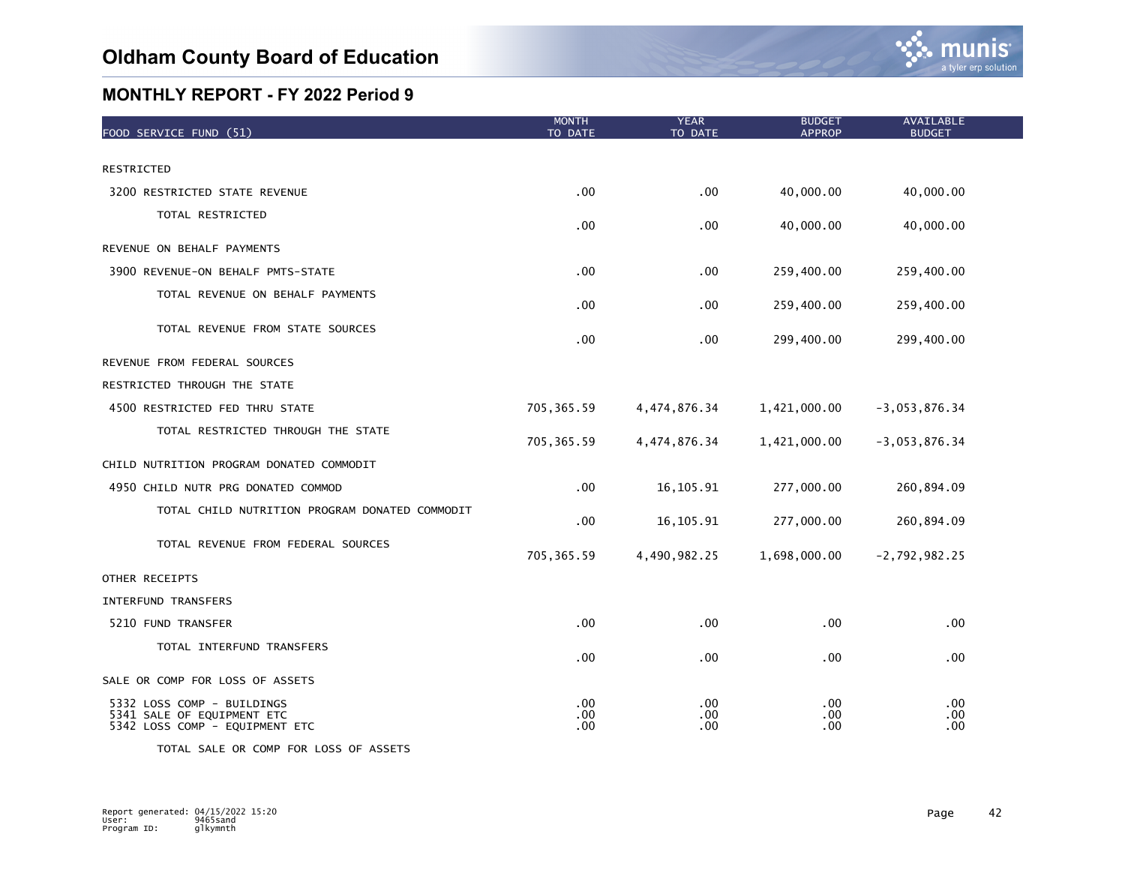

| FOOD SERVICE FUND (51)                                                                     | <b>MONTH</b><br>TO DATE | <b>YEAR</b><br>TO DATE | <b>BUDGET</b><br><b>APPROP</b> | <b>AVAILABLE</b><br><b>BUDGET</b> |
|--------------------------------------------------------------------------------------------|-------------------------|------------------------|--------------------------------|-----------------------------------|
|                                                                                            |                         |                        |                                |                                   |
| RESTRICTED                                                                                 |                         |                        |                                |                                   |
| 3200 RESTRICTED STATE REVENUE                                                              | .00                     | .00                    | 40,000.00                      | 40,000.00                         |
| TOTAL RESTRICTED                                                                           | .00                     | .00                    | 40,000.00                      | 40,000.00                         |
| REVENUE ON BEHALF PAYMENTS                                                                 |                         |                        |                                |                                   |
| 3900 REVENUE-ON BEHALF PMTS-STATE                                                          | .00                     | .00                    | 259,400.00                     | 259,400.00                        |
| TOTAL REVENUE ON BEHALF PAYMENTS                                                           | $.00 \,$                | .00                    | 259,400.00                     | 259,400.00                        |
| TOTAL REVENUE FROM STATE SOURCES                                                           | $.00 \,$                | .00                    | 299,400.00                     | 299,400.00                        |
| REVENUE FROM FEDERAL SOURCES                                                               |                         |                        |                                |                                   |
| RESTRICTED THROUGH THE STATE                                                               |                         |                        |                                |                                   |
| 4500 RESTRICTED FED THRU STATE                                                             | 705, 365.59             | 4,474,876.34           | 1,421,000.00                   | $-3,053,876.34$                   |
| TOTAL RESTRICTED THROUGH THE STATE                                                         | 705, 365.59             | 4,474,876.34           | 1,421,000.00                   | $-3,053,876.34$                   |
| CHILD NUTRITION PROGRAM DONATED COMMODIT                                                   |                         |                        |                                |                                   |
| 4950 CHILD NUTR PRG DONATED COMMOD                                                         | .00                     | 16, 105.91             | 277,000.00                     | 260,894.09                        |
| TOTAL CHILD NUTRITION PROGRAM DONATED COMMODIT                                             | .00                     | 16, 105.91             | 277,000.00                     | 260,894.09                        |
| TOTAL REVENUE FROM FEDERAL SOURCES                                                         | 705, 365.59             | 4,490,982.25           | 1,698,000.00                   | $-2,792,982.25$                   |
| OTHER RECEIPTS                                                                             |                         |                        |                                |                                   |
| INTERFUND TRANSFERS                                                                        |                         |                        |                                |                                   |
| 5210 FUND TRANSFER                                                                         | .00                     | .00                    | .00                            | .00                               |
| TOTAL INTERFUND TRANSFERS                                                                  | .00                     | .00                    | .00.                           | .00                               |
| SALE OR COMP FOR LOSS OF ASSETS                                                            |                         |                        |                                |                                   |
| 5332 LOSS COMP - BUILDINGS<br>5341 SALE OF EQUIPMENT ETC<br>5342 LOSS COMP - EQUIPMENT ETC | .00<br>.00<br>.00       | $.00 \,$<br>.00<br>.00 | .00.<br>.00.<br>.00.           | .00<br>.00<br>.00                 |

TOTAL SALE OR COMP FOR LOSS OF ASSETS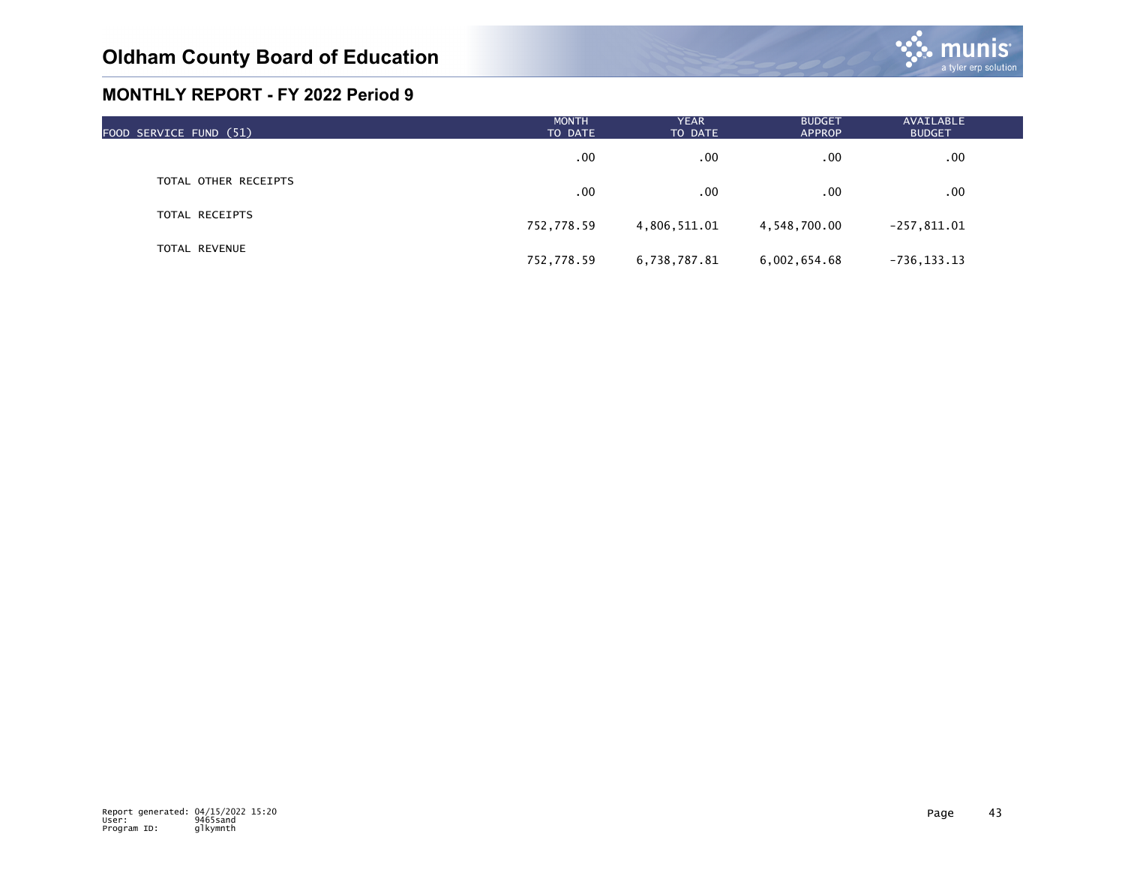

| FOOD SERVICE FUND (51) | <b>MONTH</b><br>TO DATE | <b>YEAR</b><br>TO DATE | <b>BUDGET</b><br><b>APPROP</b> | AVAILABLE<br><b>BUDGET</b> |  |
|------------------------|-------------------------|------------------------|--------------------------------|----------------------------|--|
|                        | .00                     | .00                    | $.00 \,$                       | $.00 \,$                   |  |
| TOTAL OTHER RECEIPTS   | .00                     | .00                    | $.00 \,$                       | .00                        |  |
| TOTAL RECEIPTS         | 752,778.59              | 4,806,511.01           | 4,548,700.00                   | $-257,811.01$              |  |
| <b>TOTAL REVENUE</b>   | 752,778.59              | 6,738,787.81           | 6,002,654.68                   | $-736, 133.13$             |  |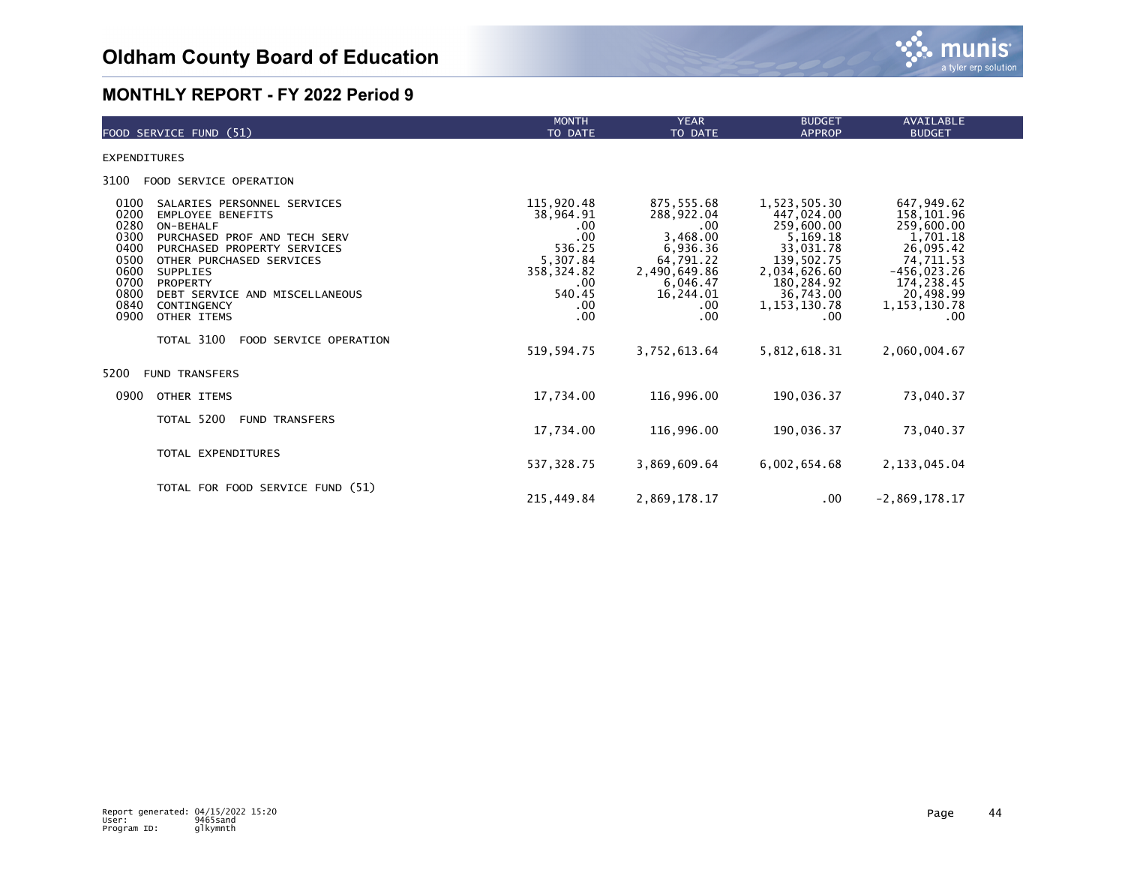

| FOOD SERVICE FUND (51)                                                                                                                                                                                                                                                                                                                                                                         | <b>MONTH</b><br>TO DATE                                                                                                        | <b>YEAR</b><br>TO DATE                                                                                                                      | <b>BUDGET</b><br><b>APPROP</b>                                                                                                                                        | <b>AVAILABLE</b><br><b>BUDGET</b>                                                                                                                                  |
|------------------------------------------------------------------------------------------------------------------------------------------------------------------------------------------------------------------------------------------------------------------------------------------------------------------------------------------------------------------------------------------------|--------------------------------------------------------------------------------------------------------------------------------|---------------------------------------------------------------------------------------------------------------------------------------------|-----------------------------------------------------------------------------------------------------------------------------------------------------------------------|--------------------------------------------------------------------------------------------------------------------------------------------------------------------|
| <b>EXPENDITURES</b>                                                                                                                                                                                                                                                                                                                                                                            |                                                                                                                                |                                                                                                                                             |                                                                                                                                                                       |                                                                                                                                                                    |
| 3100<br>FOOD SERVICE OPERATION                                                                                                                                                                                                                                                                                                                                                                 |                                                                                                                                |                                                                                                                                             |                                                                                                                                                                       |                                                                                                                                                                    |
| 0100<br>SALARIES PERSONNEL SERVICES<br>0200<br><b>EMPLOYEE BENEFITS</b><br>0280<br>ON-BEHALF<br>0300<br>PURCHASED PROF AND TECH SERV<br>0400<br>PURCHASED PROPERTY SERVICES<br>0500<br>OTHER PURCHASED SERVICES<br>0600<br><b>SUPPLIES</b><br>0700<br>PROPERTY<br>0800<br>DEBT SERVICE AND MISCELLANEOUS<br>0840<br>CONTINGENCY<br>0900<br>OTHER ITEMS<br>TOTAL 3100<br>FOOD SERVICE OPERATION | 115,920.48<br>38,964.91<br>.00<br>$.00$<br>536.25<br>5,307.84<br>358, 324.82<br>.00<br>540.45<br>$.00 \,$<br>.00<br>519,594.75 | 875,555.68<br>288,922.04<br>.00<br>3,468.00<br>6,936.36<br>64,791.22<br>2,490,649.86<br>6,046.47<br>16,244.01<br>.00<br>.00<br>3,752,613.64 | 1,523,505.30<br>447,024.00<br>259,600.00<br>5,169.18<br>33,031.78<br>139,502.75<br>2,034,626.60<br>180,284.92<br>36,743.00<br>1, 153, 130.78<br>.00<br>5, 812, 618.31 | 647,949.62<br>158,101.96<br>259,600.00<br>1,701.18<br>26,095.42<br>74,711.53<br>$-456,023.26$<br>174,238.45<br>20,498.99<br>1, 153, 130. 78<br>.00<br>2,060,004.67 |
| 5200<br><b>FUND TRANSFERS</b>                                                                                                                                                                                                                                                                                                                                                                  |                                                                                                                                |                                                                                                                                             |                                                                                                                                                                       |                                                                                                                                                                    |
| 0900<br>OTHER ITEMS                                                                                                                                                                                                                                                                                                                                                                            | 17,734.00                                                                                                                      | 116,996.00                                                                                                                                  | 190,036.37                                                                                                                                                            | 73,040.37                                                                                                                                                          |
| TOTAL 5200<br><b>FUND TRANSFERS</b>                                                                                                                                                                                                                                                                                                                                                            | 17,734.00                                                                                                                      | 116,996.00                                                                                                                                  | 190,036.37                                                                                                                                                            | 73,040.37                                                                                                                                                          |
| TOTAL EXPENDITURES                                                                                                                                                                                                                                                                                                                                                                             | 537,328.75                                                                                                                     | 3,869,609.64                                                                                                                                | 6,002,654.68                                                                                                                                                          | 2, 133, 045.04                                                                                                                                                     |
| TOTAL FOR FOOD SERVICE FUND (51)                                                                                                                                                                                                                                                                                                                                                               | 215.449.84                                                                                                                     | 2,869,178.17                                                                                                                                | .00                                                                                                                                                                   | $-2.869.178.17$                                                                                                                                                    |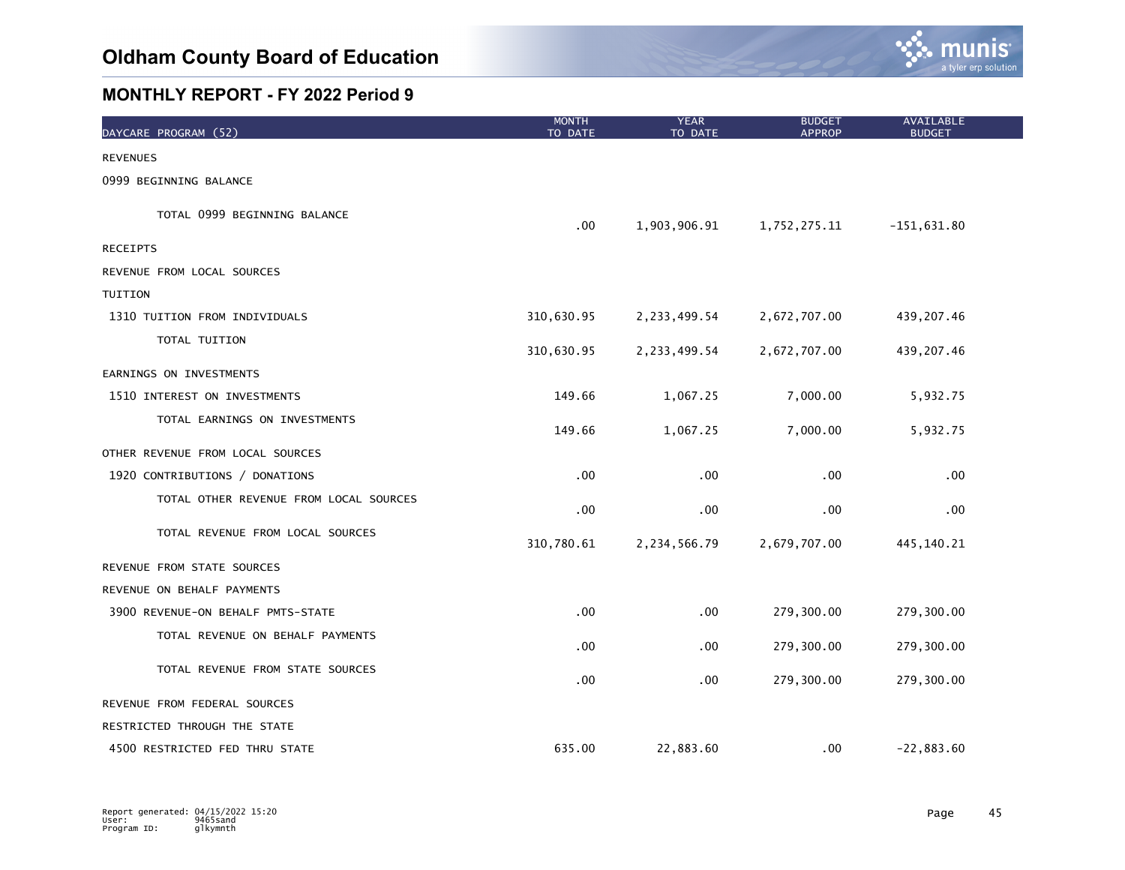

| DAYCARE PROGRAM (52)                   | <b>MONTH</b><br>TO DATE | <b>YEAR</b><br>TO DATE | <b>BUDGET</b><br><b>APPROP</b> | AVAILABLE<br><b>BUDGET</b> |  |
|----------------------------------------|-------------------------|------------------------|--------------------------------|----------------------------|--|
| <b>REVENUES</b>                        |                         |                        |                                |                            |  |
| 0999 BEGINNING BALANCE                 |                         |                        |                                |                            |  |
| TOTAL 0999 BEGINNING BALANCE           | $.00 \,$                | 1,903,906.91           | 1,752,275.11                   | $-151,631.80$              |  |
| <b>RECEIPTS</b>                        |                         |                        |                                |                            |  |
| REVENUE FROM LOCAL SOURCES             |                         |                        |                                |                            |  |
| TUITION                                |                         |                        |                                |                            |  |
| 1310 TUITION FROM INDIVIDUALS          | 310,630.95              | 2, 233, 499.54         | 2,672,707.00                   | 439,207.46                 |  |
| TOTAL TUITION                          | 310,630.95              | 2, 233, 499.54         | 2,672,707.00                   | 439, 207.46                |  |
| EARNINGS ON INVESTMENTS                |                         |                        |                                |                            |  |
| 1510 INTEREST ON INVESTMENTS           | 149.66                  | 1,067.25               | 7,000.00                       | 5,932.75                   |  |
| TOTAL EARNINGS ON INVESTMENTS          | 149.66                  | 1,067.25               | 7,000.00                       | 5,932.75                   |  |
| OTHER REVENUE FROM LOCAL SOURCES       |                         |                        |                                |                            |  |
| 1920 CONTRIBUTIONS / DONATIONS         | .00                     | .00                    | .00                            | .00                        |  |
| TOTAL OTHER REVENUE FROM LOCAL SOURCES | .00                     | .00                    | .00                            | .00                        |  |
| TOTAL REVENUE FROM LOCAL SOURCES       | 310,780.61              | 2,234,566.79           | 2,679,707.00                   | 445, 140. 21               |  |
| REVENUE FROM STATE SOURCES             |                         |                        |                                |                            |  |
| REVENUE ON BEHALF PAYMENTS             |                         |                        |                                |                            |  |
| 3900 REVENUE-ON BEHALF PMTS-STATE      | .00                     | .00                    | 279,300.00                     | 279,300.00                 |  |
| TOTAL REVENUE ON BEHALF PAYMENTS       | .00                     | .00                    | 279,300.00                     | 279,300.00                 |  |
| TOTAL REVENUE FROM STATE SOURCES       | .00                     | .00                    | 279,300.00                     | 279,300.00                 |  |
| REVENUE FROM FEDERAL SOURCES           |                         |                        |                                |                            |  |
| RESTRICTED THROUGH THE STATE           |                         |                        |                                |                            |  |
| 4500 RESTRICTED FED THRU STATE         | 635.00                  | 22,883.60              | .00.                           | $-22,883.60$               |  |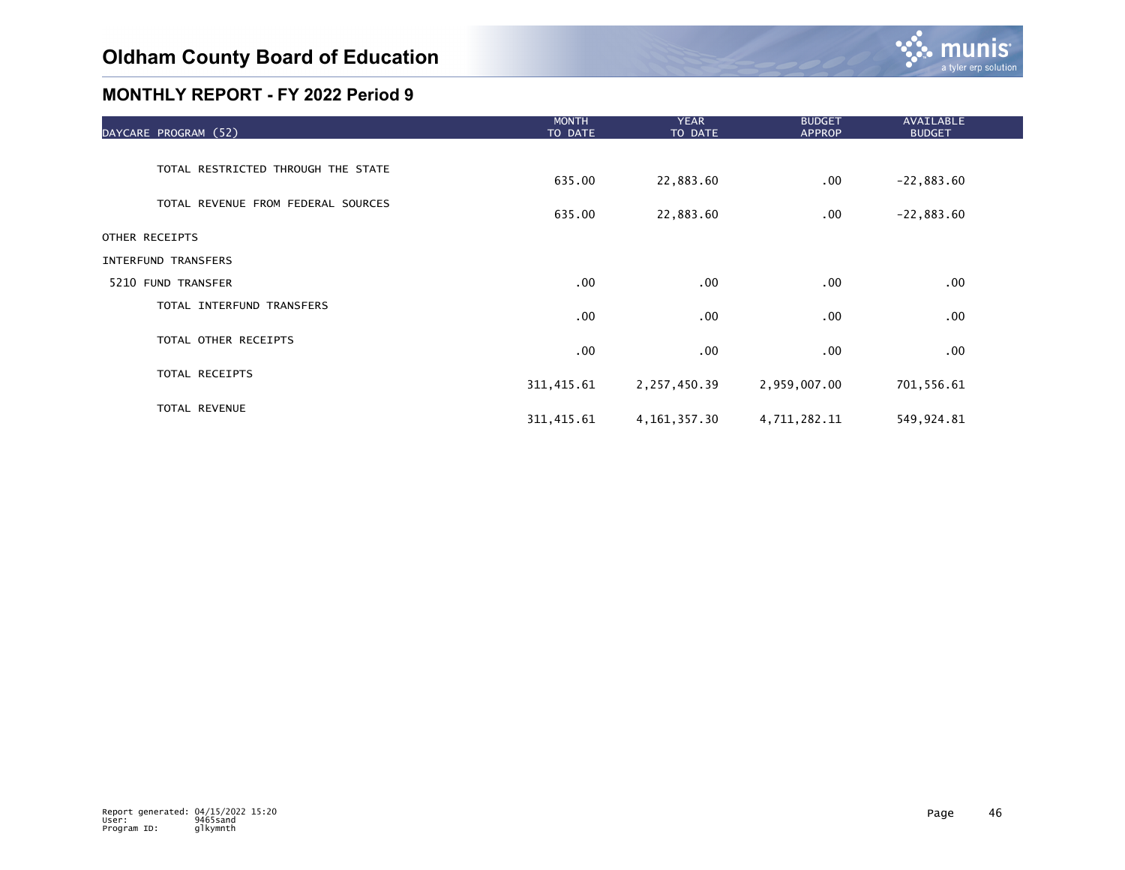

| DAYCARE PROGRAM (52)               | <b>MONTH</b><br>TO DATE | <b>YEAR</b><br>TO DATE | <b>BUDGET</b><br><b>APPROP</b> | AVAILABLE<br><b>BUDGET</b> |  |
|------------------------------------|-------------------------|------------------------|--------------------------------|----------------------------|--|
|                                    |                         |                        |                                |                            |  |
| TOTAL RESTRICTED THROUGH THE STATE | 635.00                  | 22,883.60              | $.00 \,$                       | $-22,883.60$               |  |
| TOTAL REVENUE FROM FEDERAL SOURCES | 635.00                  | 22,883.60              | .00.                           | $-22,883.60$               |  |
| OTHER RECEIPTS                     |                         |                        |                                |                            |  |
| INTERFUND TRANSFERS                |                         |                        |                                |                            |  |
| 5210 FUND TRANSFER                 | .00                     | $.00 \,$               | .00                            | .00                        |  |
| TOTAL INTERFUND TRANSFERS          | .00                     | .00                    | .00                            | $.00 \,$                   |  |
| TOTAL OTHER RECEIPTS               | .00                     | .00                    | .00                            | $.00 \,$                   |  |
| TOTAL RECEIPTS                     | 311, 415.61             | 2,257,450.39           | 2,959,007.00                   | 701,556.61                 |  |
| TOTAL REVENUE                      | 311, 415.61             | 4, 161, 357.30         | 4,711,282.11                   | 549,924.81                 |  |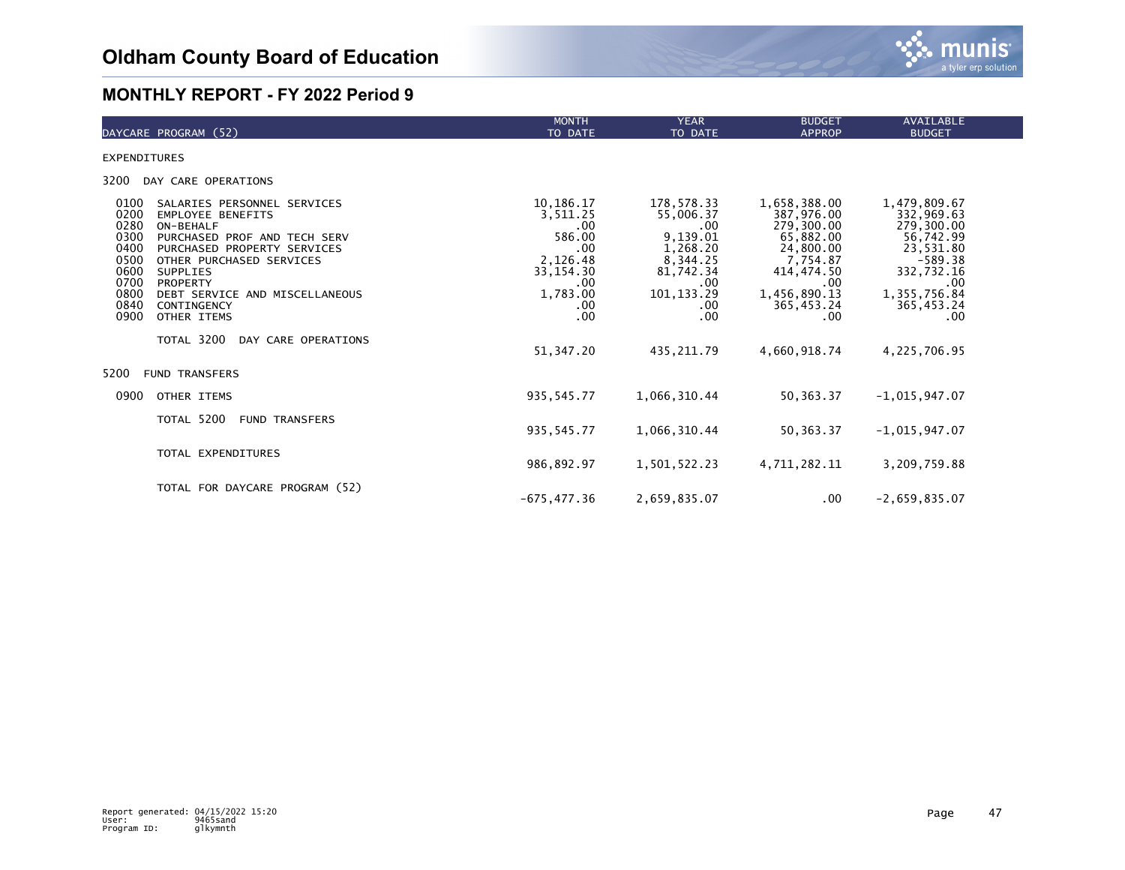

| DAYCARE PROGRAM (52)                                                                                                                                                                                                                                                                                                                                                                        | <b>MONTH</b><br>TO DATE                                                                                                    | <b>YEAR</b><br>TO DATE                                                                                                                      | <b>BUDGET</b><br><b>APPROP</b>                                                                                                                           | AVAILABLE<br><b>BUDGET</b>                                                                                                                                |  |
|---------------------------------------------------------------------------------------------------------------------------------------------------------------------------------------------------------------------------------------------------------------------------------------------------------------------------------------------------------------------------------------------|----------------------------------------------------------------------------------------------------------------------------|---------------------------------------------------------------------------------------------------------------------------------------------|----------------------------------------------------------------------------------------------------------------------------------------------------------|-----------------------------------------------------------------------------------------------------------------------------------------------------------|--|
| <b>EXPENDITURES</b>                                                                                                                                                                                                                                                                                                                                                                         |                                                                                                                            |                                                                                                                                             |                                                                                                                                                          |                                                                                                                                                           |  |
| 3200<br>DAY CARE OPERATIONS                                                                                                                                                                                                                                                                                                                                                                 |                                                                                                                            |                                                                                                                                             |                                                                                                                                                          |                                                                                                                                                           |  |
| 0100<br>SALARIES PERSONNEL SERVICES<br>0200<br><b>EMPLOYEE BENEFITS</b><br>0280<br>ON-BEHALF<br>0300<br>PURCHASED PROF AND TECH SERV<br>0400<br>PURCHASED PROPERTY SERVICES<br>0500<br>OTHER PURCHASED SERVICES<br>0600<br><b>SUPPLIES</b><br>0700<br>PROPERTY<br>0800<br>DEBT SERVICE AND MISCELLANEOUS<br>0840<br>CONTINGENCY<br>0900<br>OTHER ITEMS<br>TOTAL 3200<br>DAY CARE OPERATIONS | 10,186.17<br>3,511.25<br>.00.<br>586.00<br>.00.<br>2,126.48<br>33, 154. 30<br>.00<br>1,783.00<br>.00<br>.00.<br>51, 347.20 | 178,578.33<br>55,006.37<br>$.00 \,$<br>9,139.01<br>1,268.20<br>8,344.25<br>81,742.34<br>.00<br>101, 133.29<br>.00<br>$.00 \,$<br>435.211.79 | 1,658,388.00<br>387,976.00<br>279,300.00<br>65,882.00<br>24,800.00<br>7,754.87<br>414,474.50<br>.00<br>1,456,890.13<br>365,453.24<br>.00<br>4,660,918.74 | 1,479,809.67<br>332,969.63<br>279,300.00<br>56,742.99<br>23,531.80<br>$-589.38$<br>332,732.16<br>.00<br>1,355,756.84<br>365,453.24<br>.00<br>4,225,706.95 |  |
| 5200<br><b>FUND TRANSFERS</b>                                                                                                                                                                                                                                                                                                                                                               |                                                                                                                            |                                                                                                                                             |                                                                                                                                                          |                                                                                                                                                           |  |
| 0900<br>OTHER ITEMS                                                                                                                                                                                                                                                                                                                                                                         | 935, 545.77                                                                                                                | 1,066,310.44                                                                                                                                | 50, 363. 37                                                                                                                                              | $-1,015,947.07$                                                                                                                                           |  |
| TOTAL 5200<br><b>FUND TRANSFERS</b>                                                                                                                                                                                                                                                                                                                                                         | 935, 545.77                                                                                                                | 1,066,310.44                                                                                                                                | 50,363.37                                                                                                                                                | $-1,015,947.07$                                                                                                                                           |  |
| TOTAL EXPENDITURES                                                                                                                                                                                                                                                                                                                                                                          | 986,892.97                                                                                                                 | 1,501,522.23                                                                                                                                | 4,711,282.11                                                                                                                                             | 3,209,759.88                                                                                                                                              |  |
| TOTAL FOR DAYCARE PROGRAM (52)                                                                                                                                                                                                                                                                                                                                                              | $-675.477.36$                                                                                                              | 2,659,835.07                                                                                                                                | $.00 \,$                                                                                                                                                 | $-2,659,835.07$                                                                                                                                           |  |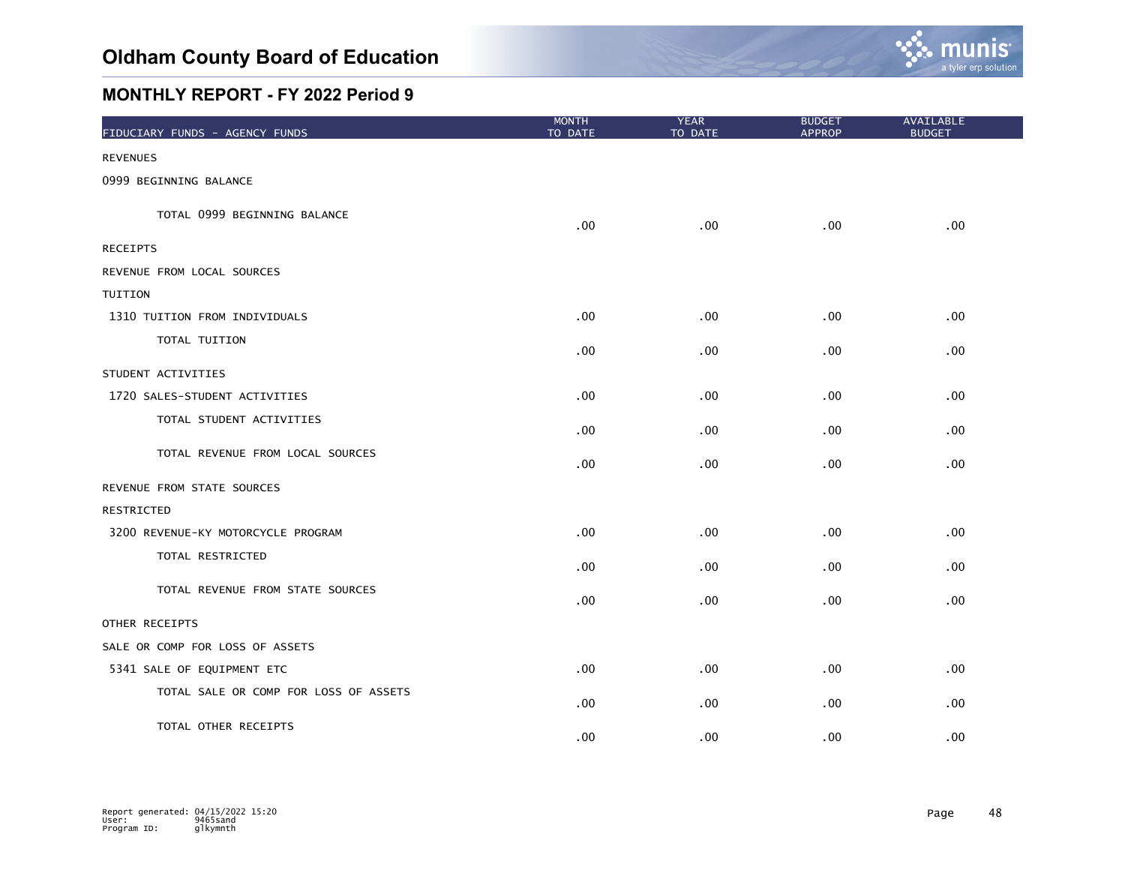

| FIDUCIARY FUNDS - AGENCY FUNDS        | <b>MONTH</b><br>TO DATE | <b>YEAR</b><br>TO DATE | <b>BUDGET</b><br><b>APPROP</b> | <b>AVAILABLE</b><br><b>BUDGET</b> |
|---------------------------------------|-------------------------|------------------------|--------------------------------|-----------------------------------|
| <b>REVENUES</b>                       |                         |                        |                                |                                   |
| 0999 BEGINNING BALANCE                |                         |                        |                                |                                   |
| TOTAL 0999 BEGINNING BALANCE          | .00                     | .00                    | .00                            | .00                               |
| <b>RECEIPTS</b>                       |                         |                        |                                |                                   |
| REVENUE FROM LOCAL SOURCES            |                         |                        |                                |                                   |
| TUITION                               |                         |                        |                                |                                   |
| 1310 TUITION FROM INDIVIDUALS         | .00                     | .00                    | $.00 \,$                       | .00 <sub>1</sub>                  |
| TOTAL TUITION                         | .00                     | .00                    | .00                            | $.00 \,$                          |
| STUDENT ACTIVITIES                    |                         |                        |                                |                                   |
| 1720 SALES-STUDENT ACTIVITIES         | $.00 \,$                | .00                    | .00                            | .00                               |
| TOTAL STUDENT ACTIVITIES              | .00                     | .00                    | .00                            | .00                               |
| TOTAL REVENUE FROM LOCAL SOURCES      | .00                     | .00                    | .00                            | .00                               |
| REVENUE FROM STATE SOURCES            |                         |                        |                                |                                   |
| <b>RESTRICTED</b>                     |                         |                        |                                |                                   |
| 3200 REVENUE-KY MOTORCYCLE PROGRAM    | .00                     | .00                    | .00                            | .00                               |
| TOTAL RESTRICTED                      | .00                     | .00                    | .00                            | .00                               |
| TOTAL REVENUE FROM STATE SOURCES      | .00                     | .00                    | .00                            | .00                               |
| OTHER RECEIPTS                        |                         |                        |                                |                                   |
| SALE OR COMP FOR LOSS OF ASSETS       |                         |                        |                                |                                   |
| 5341 SALE OF EQUIPMENT ETC            | .00                     | .00                    | .00                            | .00                               |
| TOTAL SALE OR COMP FOR LOSS OF ASSETS | .00                     | .00                    | .00                            | .00                               |
| TOTAL OTHER RECEIPTS                  | .00                     | .00                    | .00                            | .00                               |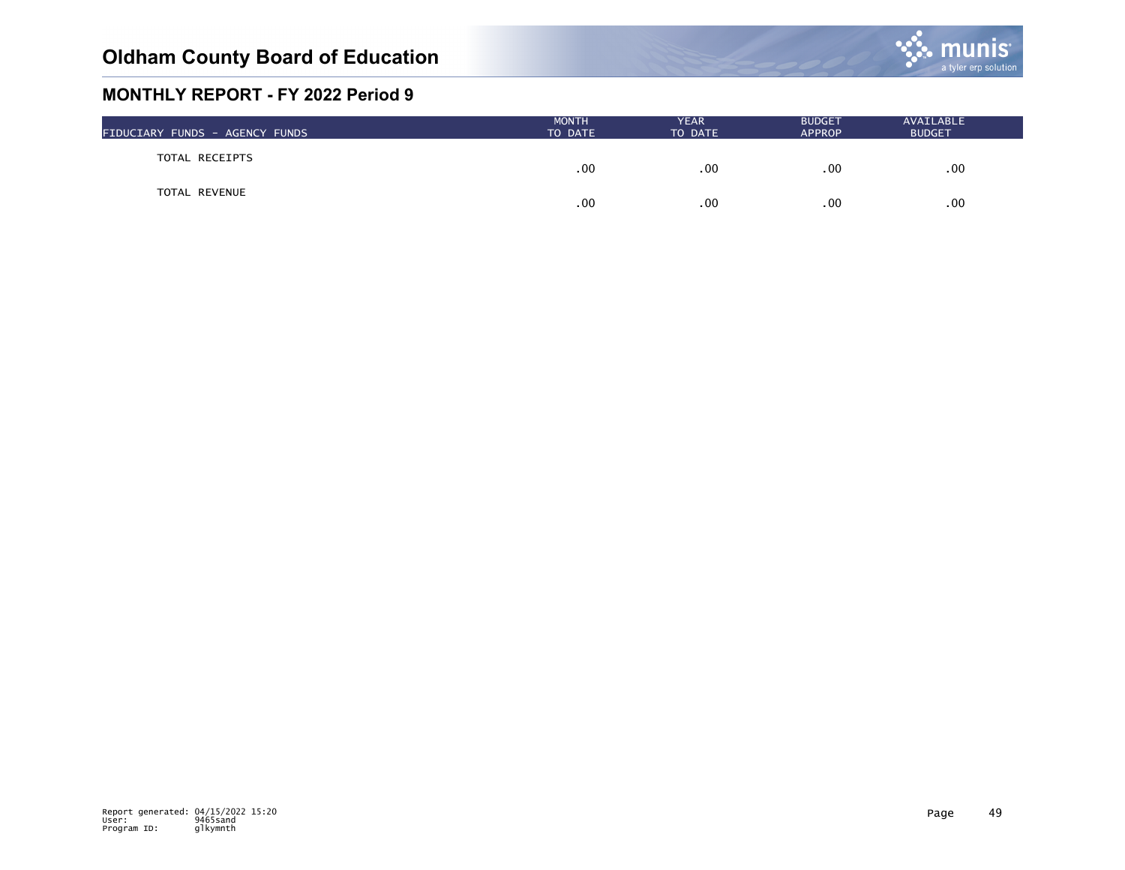

| FIDUCIARY FUNDS - AGENCY FUNDS | <b>MONTH</b><br>TO DATE | <b>YEAR</b><br>TO DATE | <b>BUDGET</b><br><b>APPROP</b> | AVAILABLE<br><b>BUDGET</b> |  |
|--------------------------------|-------------------------|------------------------|--------------------------------|----------------------------|--|
| TOTAL RECEIPTS                 | .00                     | .00                    | .00                            | $.00 \,$                   |  |
| TOTAL REVENUE                  | .00                     | .00                    | .00                            | $.00 \times$               |  |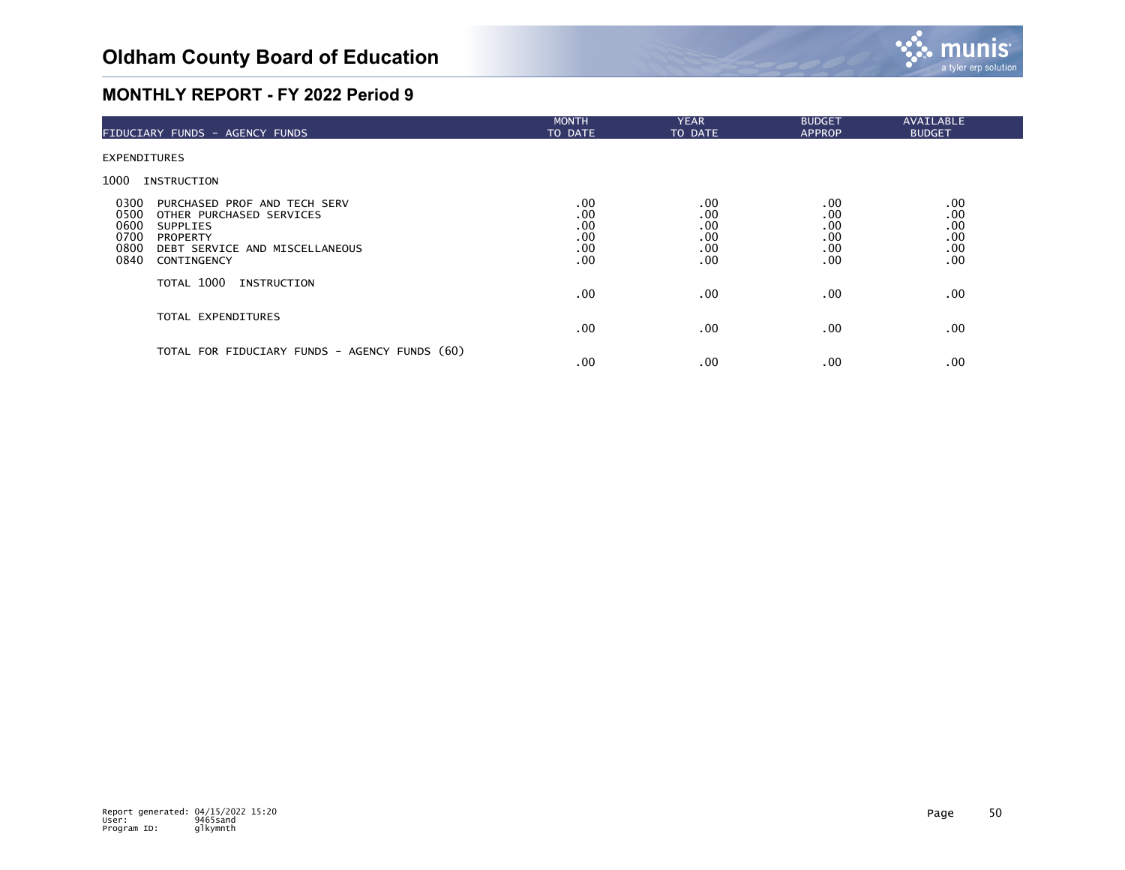

| FIDUCIARY FUNDS - AGENCY FUNDS                                                                                                                                                                  | <b>MONTH</b><br>TO DATE                | <b>YEAR</b><br>TO DATE                 | <b>BUDGET</b><br><b>APPROP</b>         | <b>AVAILABLE</b><br><b>BUDGET</b>      |  |
|-------------------------------------------------------------------------------------------------------------------------------------------------------------------------------------------------|----------------------------------------|----------------------------------------|----------------------------------------|----------------------------------------|--|
| <b>EXPENDITURES</b>                                                                                                                                                                             |                                        |                                        |                                        |                                        |  |
| 1000<br>INSTRUCTION                                                                                                                                                                             |                                        |                                        |                                        |                                        |  |
| 0300<br>PURCHASED PROF AND TECH SERV<br>0500<br>OTHER PURCHASED SERVICES<br>0600<br><b>SUPPLIES</b><br>0700<br><b>PROPERTY</b><br>0800<br>DEBT SERVICE AND MISCELLANEOUS<br>0840<br>CONTINGENCY | .00<br>.00<br>.00<br>.00<br>.00<br>.00 | .00<br>.00<br>.00<br>.00<br>.00<br>.00 | .00<br>.00<br>.00<br>.00<br>.00<br>.00 | .00<br>.00<br>.00<br>.00<br>.00<br>.00 |  |
| TOTAL 1000<br>INSTRUCTION                                                                                                                                                                       | $.00 \,$                               | .00                                    | .00.                                   | .00                                    |  |
| TOTAL EXPENDITURES                                                                                                                                                                              | $.00 \,$                               | .00                                    | .00.                                   | .00                                    |  |
| TOTAL FOR FIDUCIARY FUNDS - AGENCY FUNDS (60)                                                                                                                                                   | .00                                    | .00                                    | .00                                    | .00                                    |  |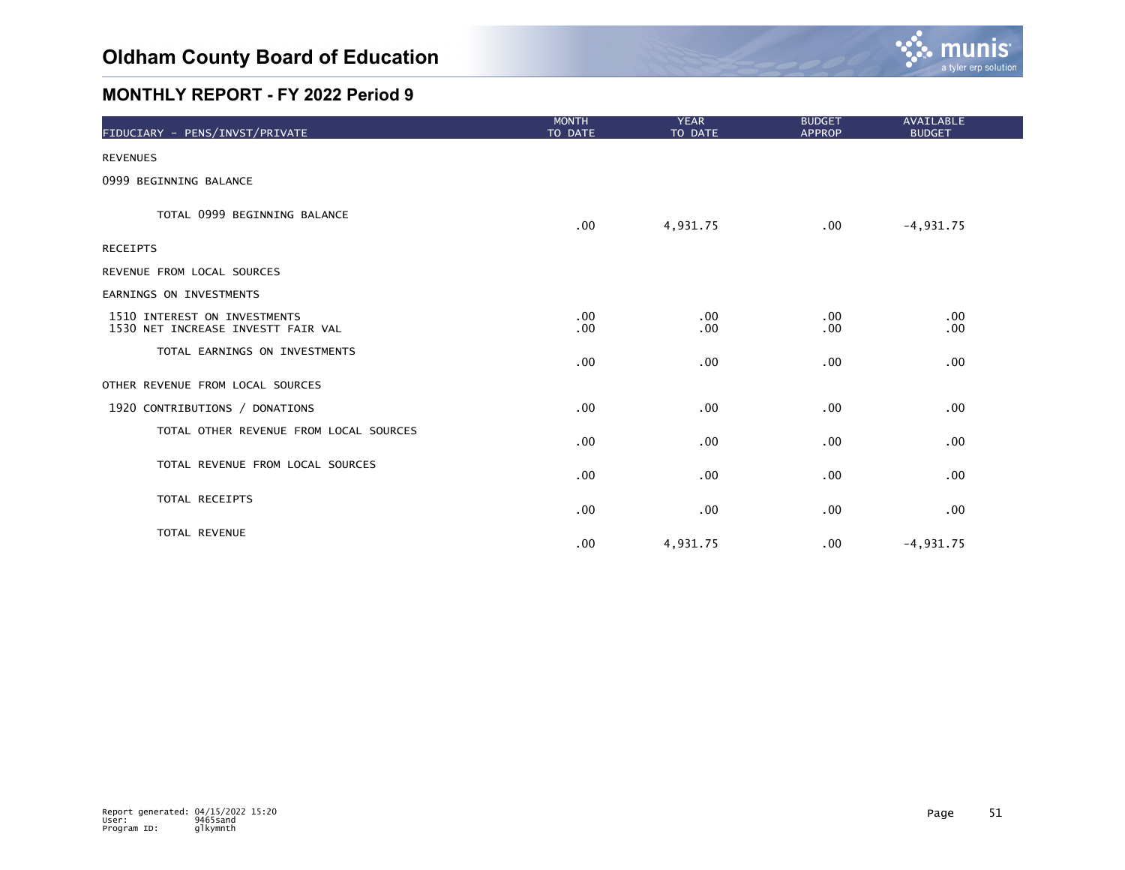

| FIDUCIARY - PENS/INVST/PRIVATE                                     | <b>MONTH</b><br>TO DATE | <b>YEAR</b><br>TO DATE | <b>BUDGET</b><br><b>APPROP</b> | AVAILABLE<br><b>BUDGET</b> |  |
|--------------------------------------------------------------------|-------------------------|------------------------|--------------------------------|----------------------------|--|
| <b>REVENUES</b>                                                    |                         |                        |                                |                            |  |
| 0999 BEGINNING BALANCE                                             |                         |                        |                                |                            |  |
| TOTAL 0999 BEGINNING BALANCE                                       | $.00 \,$                | 4,931.75               | .00                            | $-4,931.75$                |  |
| <b>RECEIPTS</b>                                                    |                         |                        |                                |                            |  |
| REVENUE FROM LOCAL SOURCES                                         |                         |                        |                                |                            |  |
| EARNINGS ON INVESTMENTS                                            |                         |                        |                                |                            |  |
| 1510 INTEREST ON INVESTMENTS<br>1530 NET INCREASE INVESTT FAIR VAL | .00<br>.00              | .00<br>.00             | .00<br>.00                     | .00<br>.00 <sub>1</sub>    |  |
| TOTAL EARNINGS ON INVESTMENTS                                      | .00                     | .00                    | .00                            | .00                        |  |
| OTHER REVENUE FROM LOCAL SOURCES                                   |                         |                        |                                |                            |  |
| 1920 CONTRIBUTIONS / DONATIONS                                     | .00                     | .00                    | .00                            | .00                        |  |
| TOTAL OTHER REVENUE FROM LOCAL SOURCES                             | .00                     | .00                    | .00                            | .00                        |  |
| TOTAL REVENUE FROM LOCAL SOURCES                                   | .00                     | .00                    | .00                            | .00                        |  |
| TOTAL RECEIPTS                                                     | .00                     | .00                    | .00                            | .00                        |  |
| TOTAL REVENUE                                                      | .00                     | 4,931.75               | .00                            | $-4,931.75$                |  |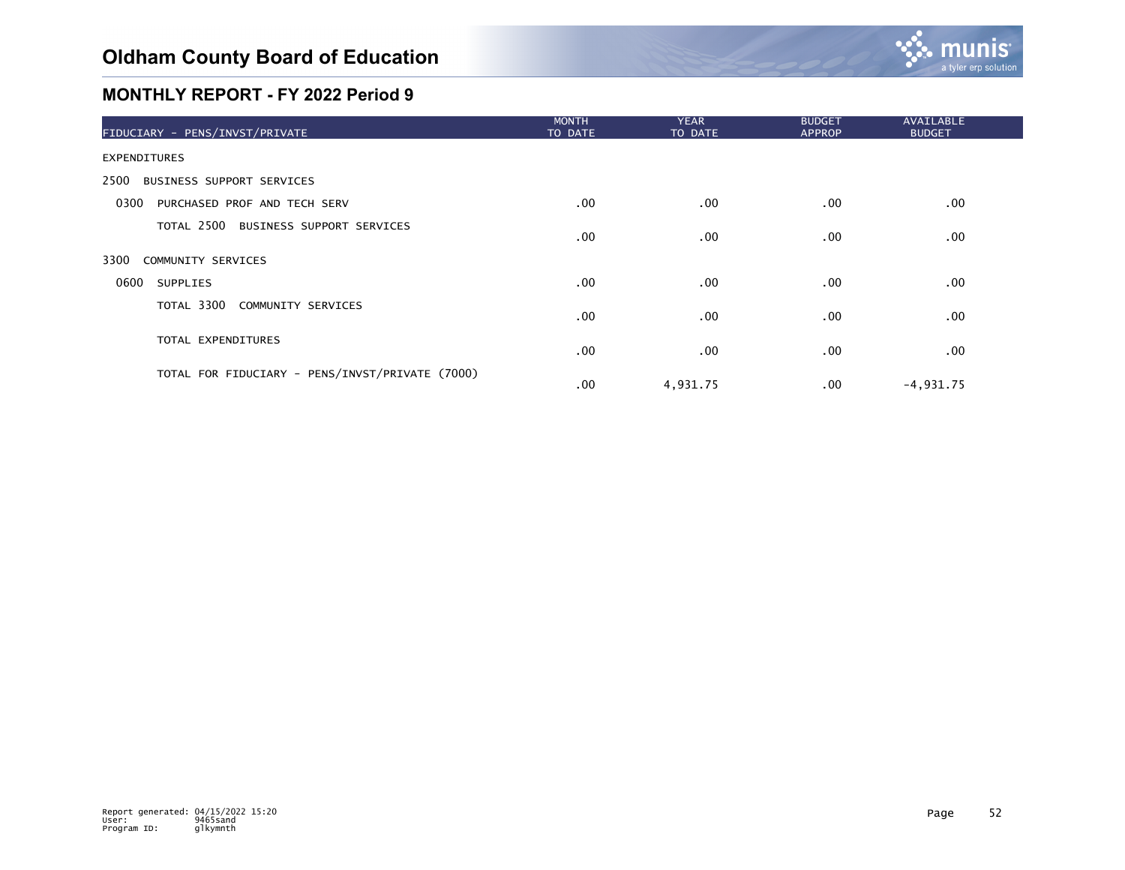

| FIDUCIARY - PENS/INVST/PRIVATE                  | <b>MONTH</b><br>TO DATE | <b>YEAR</b><br>TO DATE | <b>BUDGET</b><br><b>APPROP</b> | <b>AVAILABLE</b><br><b>BUDGET</b> |  |
|-------------------------------------------------|-------------------------|------------------------|--------------------------------|-----------------------------------|--|
| <b>EXPENDITURES</b>                             |                         |                        |                                |                                   |  |
| 2500<br>BUSINESS SUPPORT SERVICES               |                         |                        |                                |                                   |  |
| 0300<br>PURCHASED PROF AND TECH SERV            | $.00 \,$                | .00                    | .00                            | .00                               |  |
| TOTAL 2500 BUSINESS SUPPORT SERVICES            | .00                     | .00                    | .00                            | .00                               |  |
| 3300<br>COMMUNITY SERVICES                      |                         |                        |                                |                                   |  |
| 0600<br><b>SUPPLIES</b>                         | $.00 \,$                | .00                    | .00                            | .00                               |  |
| TOTAL 3300 COMMUNITY SERVICES                   | .00                     | .00                    | .00                            | .00 <sub>1</sub>                  |  |
| TOTAL EXPENDITURES                              | $.00 \,$                | .00                    | .00                            | .00                               |  |
| TOTAL FOR FIDUCIARY - PENS/INVST/PRIVATE (7000) | $.00 \,$                | 4,931.75               | .00.                           | $-4,931.75$                       |  |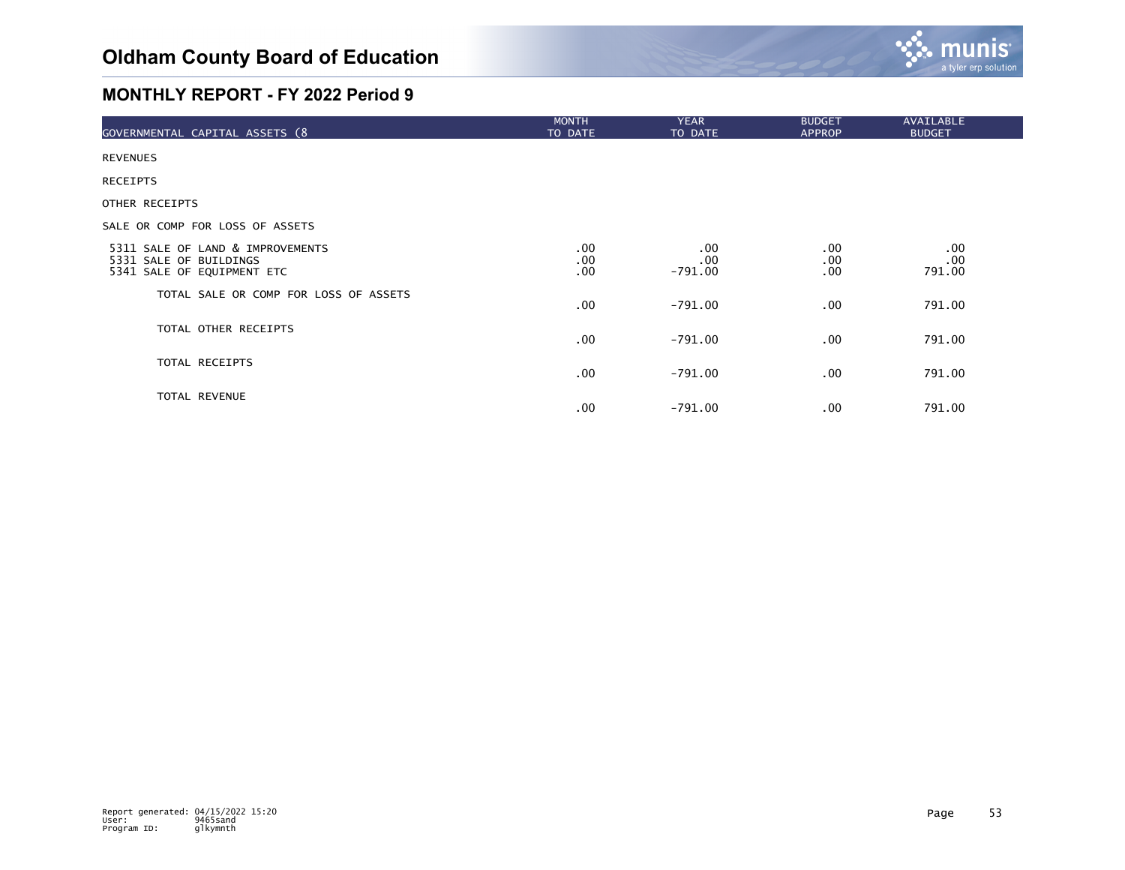

| GOVERNMENTAL CAPITAL ASSETS (8                                                           | <b>MONTH</b><br>TO DATE | <b>YEAR</b><br>TO DATE  | <b>BUDGET</b><br><b>APPROP</b> | AVAILABLE<br><b>BUDGET</b> |
|------------------------------------------------------------------------------------------|-------------------------|-------------------------|--------------------------------|----------------------------|
| <b>REVENUES</b>                                                                          |                         |                         |                                |                            |
| <b>RECEIPTS</b>                                                                          |                         |                         |                                |                            |
| OTHER RECEIPTS                                                                           |                         |                         |                                |                            |
| SALE OR COMP FOR LOSS OF ASSETS                                                          |                         |                         |                                |                            |
| 5311 SALE OF LAND & IMPROVEMENTS<br>5331 SALE OF BUILDINGS<br>5341 SALE OF EQUIPMENT ETC | $.00 \,$<br>.00<br>.00  | .00<br>.00<br>$-791.00$ | .00.<br>.00<br>.00.            | .00<br>.00<br>791.00       |
| TOTAL SALE OR COMP FOR LOSS OF ASSETS                                                    | $.00 \,$                | -791.00                 | .00.                           | 791.00                     |
| TOTAL OTHER RECEIPTS                                                                     | $.00 \,$                | -791.00                 | .00.                           | 791.00                     |
| TOTAL RECEIPTS                                                                           | $.00 \,$                | $-791.00$               | .00.                           | 791.00                     |
| TOTAL REVENUE                                                                            | $.00 \,$                | $-791.00$               | .00.                           | 791.00                     |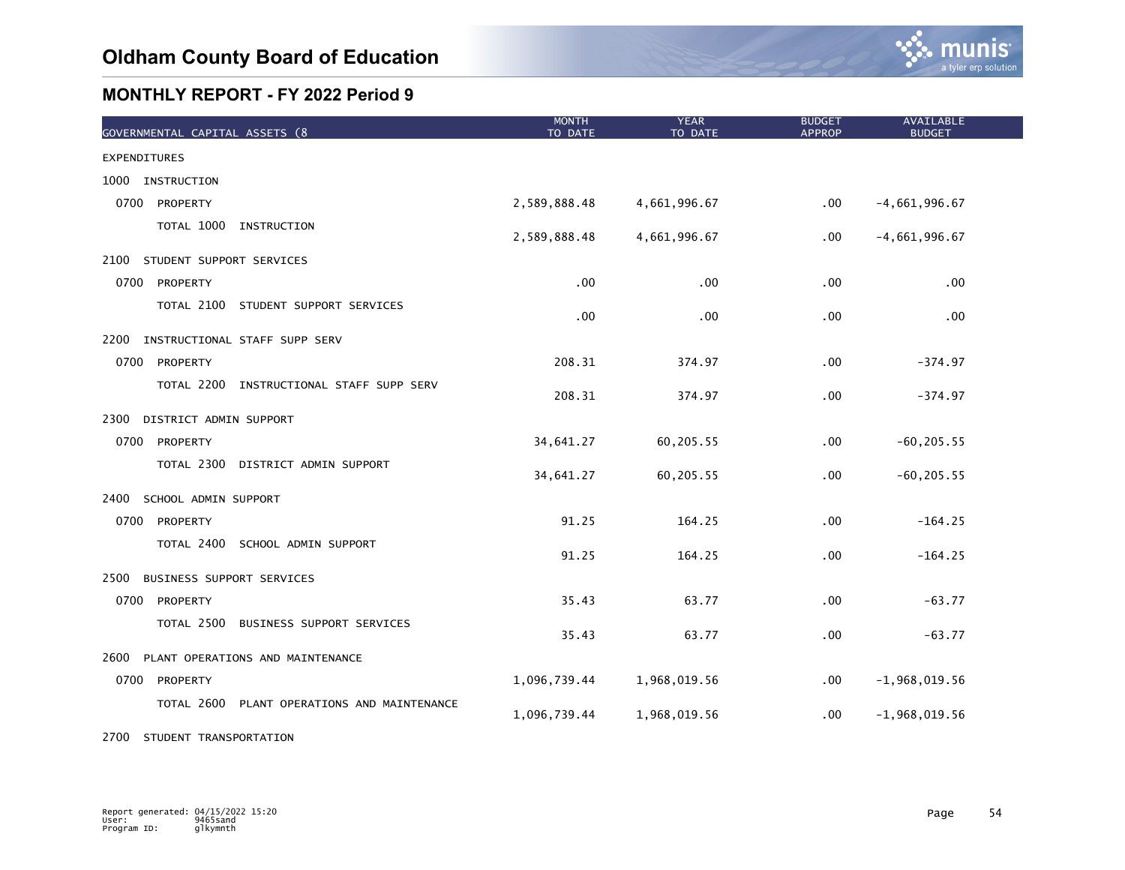

| GOVERNMENTAL CAPITAL ASSETS (8                 | <b>MONTH</b><br>TO DATE | <b>YEAR</b><br>TO DATE | <b>BUDGET</b><br><b>APPROP</b> | <b>AVAILABLE</b><br><b>BUDGET</b> |  |
|------------------------------------------------|-------------------------|------------------------|--------------------------------|-----------------------------------|--|
| <b>EXPENDITURES</b>                            |                         |                        |                                |                                   |  |
| 1000 INSTRUCTION                               |                         |                        |                                |                                   |  |
| 0700<br>PROPERTY                               | 2,589,888.48            | 4,661,996.67           | $.00 \,$                       | $-4,661,996.67$                   |  |
| TOTAL 1000 INSTRUCTION                         | 2,589,888.48            | 4,661,996.67           | $.00 \,$                       | $-4,661,996.67$                   |  |
| 2100<br>STUDENT SUPPORT SERVICES               |                         |                        |                                |                                   |  |
| 0700<br>PROPERTY                               | .00                     | .00                    | .00                            | .00                               |  |
| TOTAL 2100 STUDENT SUPPORT SERVICES            | .00                     | .00                    | .00                            | .00                               |  |
| 2200<br>INSTRUCTIONAL STAFF SUPP SERV          |                         |                        |                                |                                   |  |
| 0700<br>PROPERTY                               | 208.31                  | 374.97                 | .00                            | $-374.97$                         |  |
| TOTAL 2200 INSTRUCTIONAL STAFF SUPP SERV       | 208.31                  | 374.97                 | .00                            | $-374.97$                         |  |
| 2300<br>DISTRICT ADMIN SUPPORT                 |                         |                        |                                |                                   |  |
| 0700<br>PROPERTY                               | 34,641.27               | 60,205.55              | .00                            | $-60, 205.55$                     |  |
| TOTAL 2300 DISTRICT ADMIN SUPPORT              | 34,641.27               | 60,205.55              | .00                            | $-60, 205.55$                     |  |
| 2400<br>SCHOOL ADMIN SUPPORT                   |                         |                        |                                |                                   |  |
| 0700 PROPERTY                                  | 91.25                   | 164.25                 | .00                            | $-164.25$                         |  |
| TOTAL 2400<br>SCHOOL ADMIN SUPPORT             | 91.25                   | 164.25                 | .00                            | $-164.25$                         |  |
| 2500<br>BUSINESS SUPPORT SERVICES              |                         |                        |                                |                                   |  |
| 0700<br>PROPERTY                               | 35.43                   | 63.77                  | .00                            | $-63.77$                          |  |
| TOTAL 2500<br>BUSINESS SUPPORT SERVICES        | 35.43                   | 63.77                  | .00                            | $-63.77$                          |  |
| PLANT OPERATIONS AND MAINTENANCE<br>2600       |                         |                        |                                |                                   |  |
| 0700<br>PROPERTY                               | 1,096,739.44            | 1,968,019.56           | .00                            | $-1,968,019.56$                   |  |
| TOTAL 2600<br>PLANT OPERATIONS AND MAINTENANCE | 1,096,739.44            | 1,968,019.56           | .00                            | $-1,968,019.56$                   |  |

2700 STUDENT TRANSPORTATION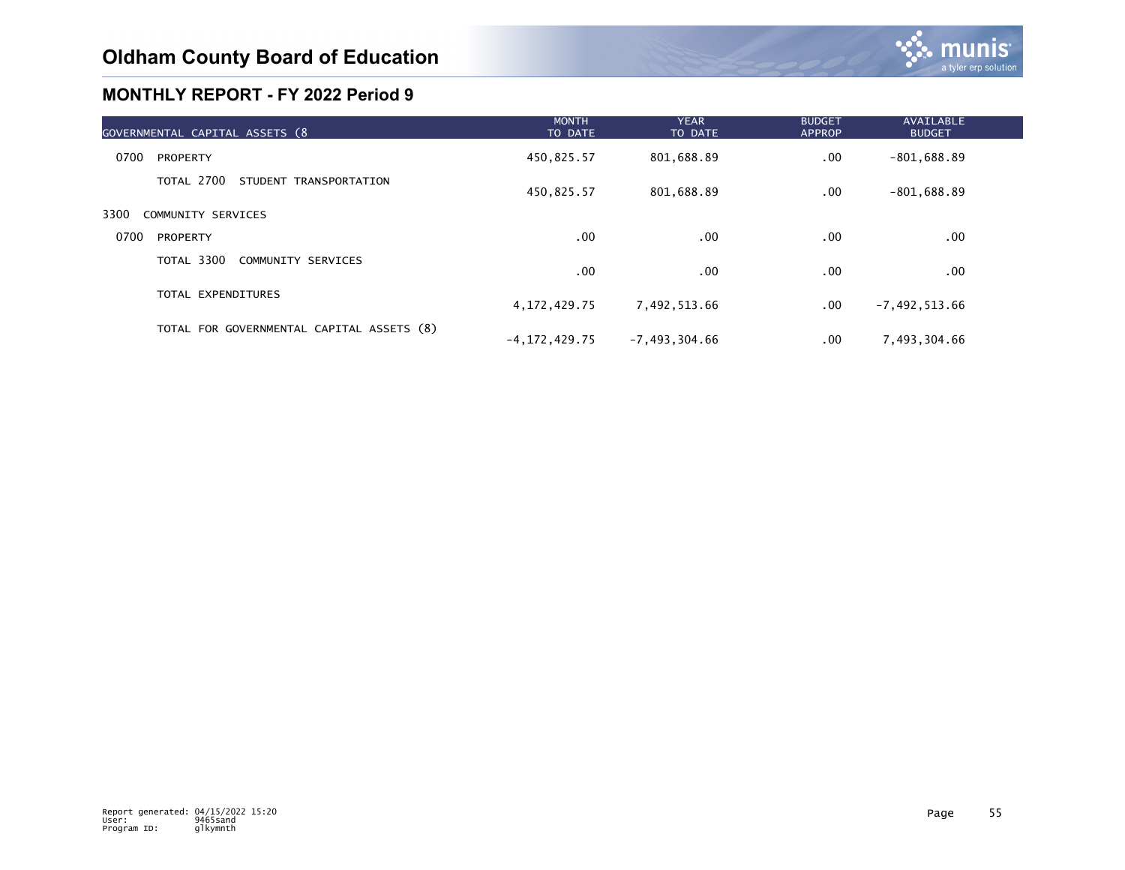| GOVERNMENTAL CAPITAL ASSETS (8            | <b>MONTH</b><br>TO DATE | <b>YEAR</b><br>TO DATE | <b>BUDGET</b><br><b>APPROP</b> | AVAILABLE<br><b>BUDGET</b> |  |
|-------------------------------------------|-------------------------|------------------------|--------------------------------|----------------------------|--|
| 0700<br>PROPERTY                          | 450,825.57              | 801,688.89             | .00.                           | $-801,688.89$              |  |
| TOTAL 2700<br>STUDENT TRANSPORTATION      | 450,825.57              | 801,688.89             | .00.                           | $-801,688.89$              |  |
| 3300<br>COMMUNITY SERVICES                |                         |                        |                                |                            |  |
| 0700<br>PROPERTY                          | .00.                    | .00                    | .00                            | .00                        |  |
| TOTAL 3300<br>COMMUNITY SERVICES          | .00                     | .00                    | .00                            | .00                        |  |
| TOTAL EXPENDITURES                        | 4, 172, 429. 75         | 7,492,513.66           | .00.                           | $-7,492,513.66$            |  |
| TOTAL FOR GOVERNMENTAL CAPITAL ASSETS (8) | -4,172,429.75           | $-7,493,304.66$        | $.00 \,$                       | 7,493,304.66               |  |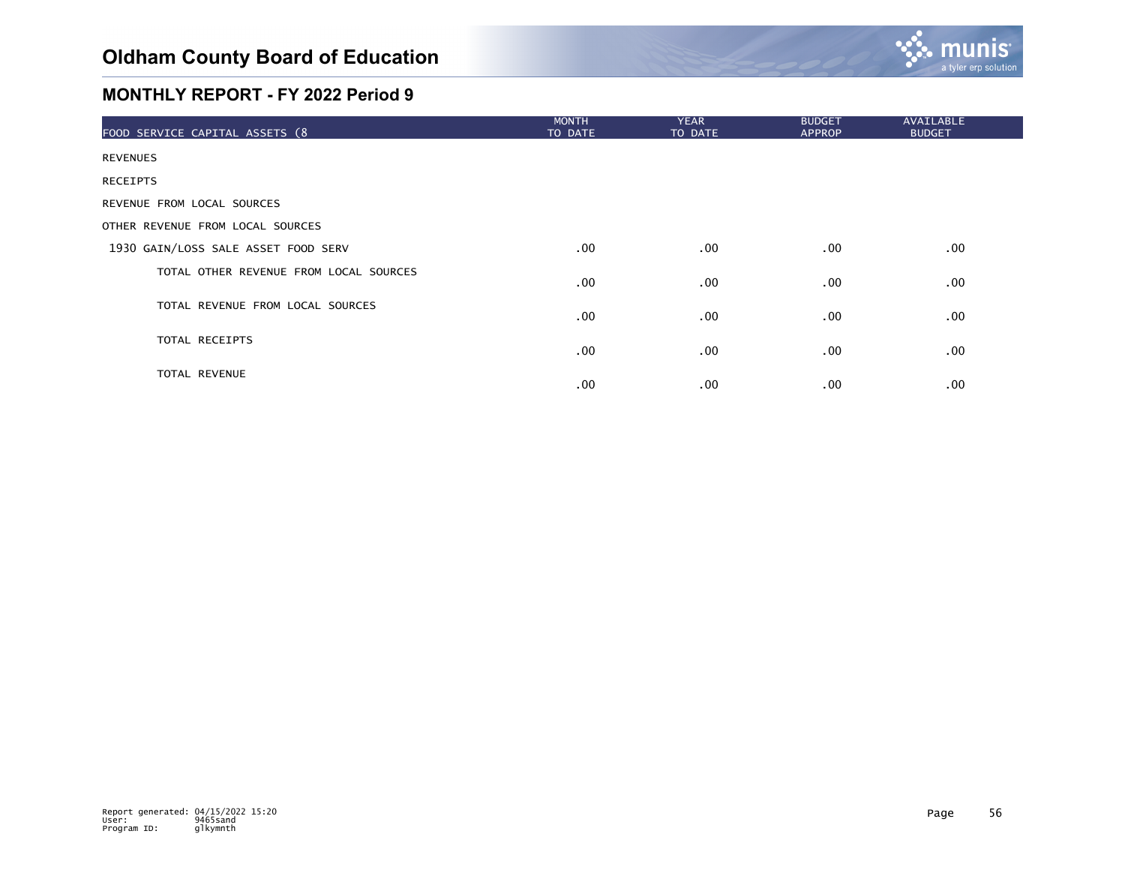

| FOOD SERVICE CAPITAL ASSETS (8         | <b>MONTH</b><br>TO DATE | <b>YEAR</b><br>TO DATE | <b>BUDGET</b><br><b>APPROP</b> | <b>AVAILABLE</b><br><b>BUDGET</b> |
|----------------------------------------|-------------------------|------------------------|--------------------------------|-----------------------------------|
| <b>REVENUES</b>                        |                         |                        |                                |                                   |
| <b>RECEIPTS</b>                        |                         |                        |                                |                                   |
| REVENUE FROM LOCAL SOURCES             |                         |                        |                                |                                   |
| OTHER REVENUE FROM LOCAL SOURCES       |                         |                        |                                |                                   |
| 1930 GAIN/LOSS SALE ASSET FOOD SERV    | $.00 \,$                | $.00 \,$               | $.00 \,$                       | $.00 \,$                          |
| TOTAL OTHER REVENUE FROM LOCAL SOURCES | $.00 \,$                | $.00 \,$               | $.00 \,$                       | $.00 \,$                          |
| TOTAL REVENUE FROM LOCAL SOURCES       | $.00 \,$                | .00                    | $.00 \,$                       | $.00 \,$                          |
| TOTAL RECEIPTS                         | $.00 \,$                | $.00 \,$               | $.00 \,$                       | $.00 \,$                          |
| TOTAL REVENUE                          | $.00 \,$                | .00                    | .00.                           | .00 <sub>1</sub>                  |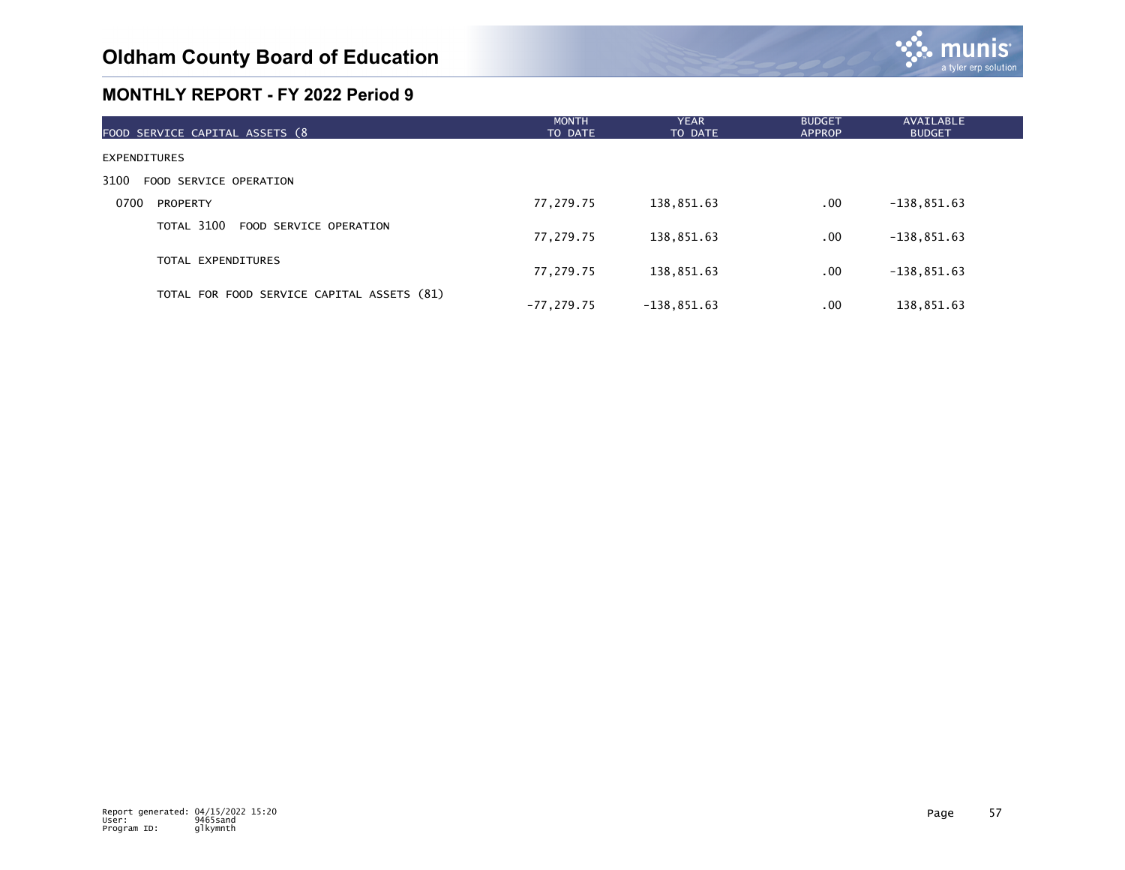

| FOOD SERVICE CAPITAL ASSETS (8             | <b>MONTH</b><br>TO DATE | <b>YEAR</b><br>TO DATE | <b>BUDGET</b><br><b>APPROP</b> | <b>AVAILABLE</b><br><b>BUDGET</b> |
|--------------------------------------------|-------------------------|------------------------|--------------------------------|-----------------------------------|
| EXPENDITURES                               |                         |                        |                                |                                   |
| 3100<br>FOOD SERVICE OPERATION             |                         |                        |                                |                                   |
| 0700<br>PROPERTY                           | 77,279.75               | 138,851.63             | $.00 \,$                       | $-138,851.63$                     |
| TOTAL 3100<br>FOOD SERVICE OPERATION       | 77,279.75               | 138,851.63             | $.00 \,$                       | $-138,851.63$                     |
| TOTAL EXPENDITURES                         | 77,279.75               | 138,851.63             | $.00 \,$                       | $-138,851.63$                     |
| TOTAL FOR FOOD SERVICE CAPITAL ASSETS (81) | $-77.279.75$            | $-138,851.63$          | .00                            | 138,851.63                        |